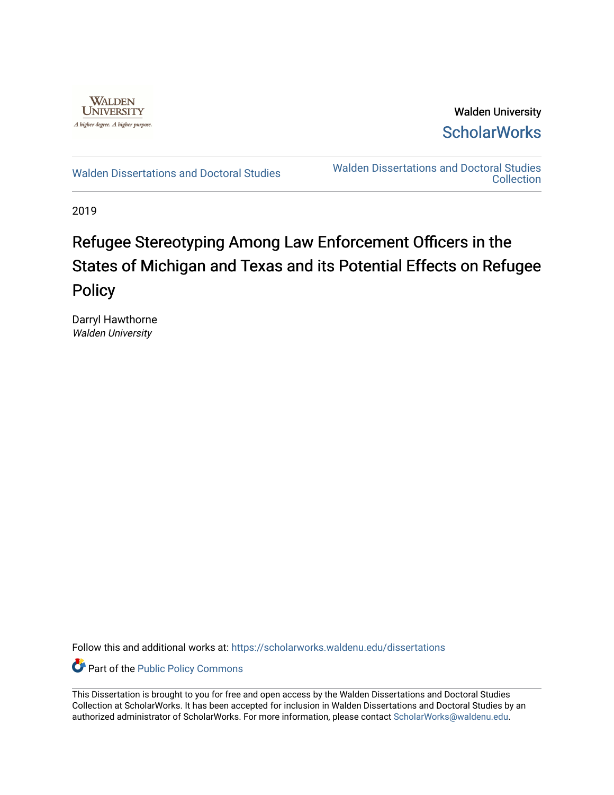

Walden University **ScholarWorks** 

[Walden Dissertations and Doctoral Studies](https://scholarworks.waldenu.edu/dissertations) Walden Dissertations and Doctoral Studies **Collection** 

2019

# Refugee Stereotyping Among Law Enforcement Officers in the States of Michigan and Texas and its Potential Effects on Refugee Policy

Darryl Hawthorne Walden University

Follow this and additional works at: [https://scholarworks.waldenu.edu/dissertations](https://scholarworks.waldenu.edu/dissertations?utm_source=scholarworks.waldenu.edu%2Fdissertations%2F7660&utm_medium=PDF&utm_campaign=PDFCoverPages)

Part of the [Public Policy Commons](http://network.bepress.com/hgg/discipline/400?utm_source=scholarworks.waldenu.edu%2Fdissertations%2F7660&utm_medium=PDF&utm_campaign=PDFCoverPages) 

This Dissertation is brought to you for free and open access by the Walden Dissertations and Doctoral Studies Collection at ScholarWorks. It has been accepted for inclusion in Walden Dissertations and Doctoral Studies by an authorized administrator of ScholarWorks. For more information, please contact [ScholarWorks@waldenu.edu](mailto:ScholarWorks@waldenu.edu).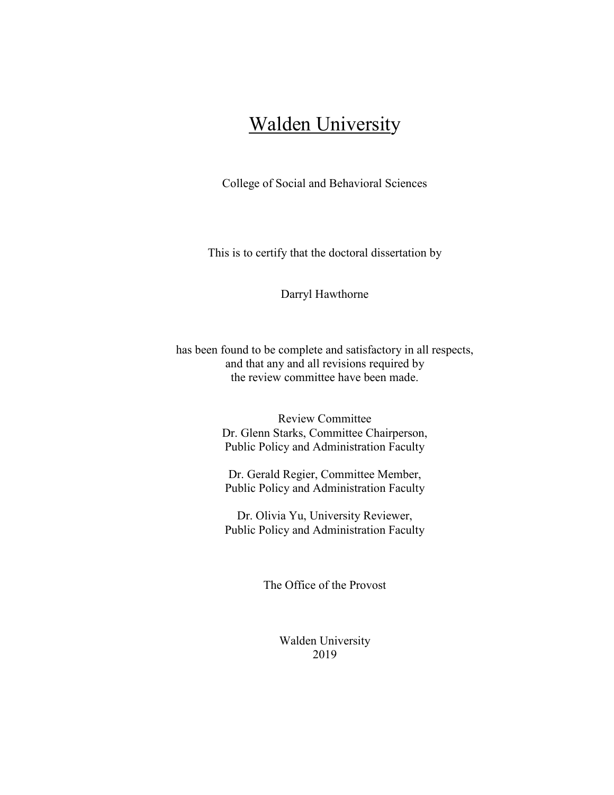# Walden University

College of Social and Behavioral Sciences

This is to certify that the doctoral dissertation by

Darryl Hawthorne

has been found to be complete and satisfactory in all respects, and that any and all revisions required by the review committee have been made.

> Review Committee Dr. Glenn Starks, Committee Chairperson, Public Policy and Administration Faculty

Dr. Gerald Regier, Committee Member, Public Policy and Administration Faculty

Dr. Olivia Yu, University Reviewer, Public Policy and Administration Faculty

The Office of the Provost

Walden University 2019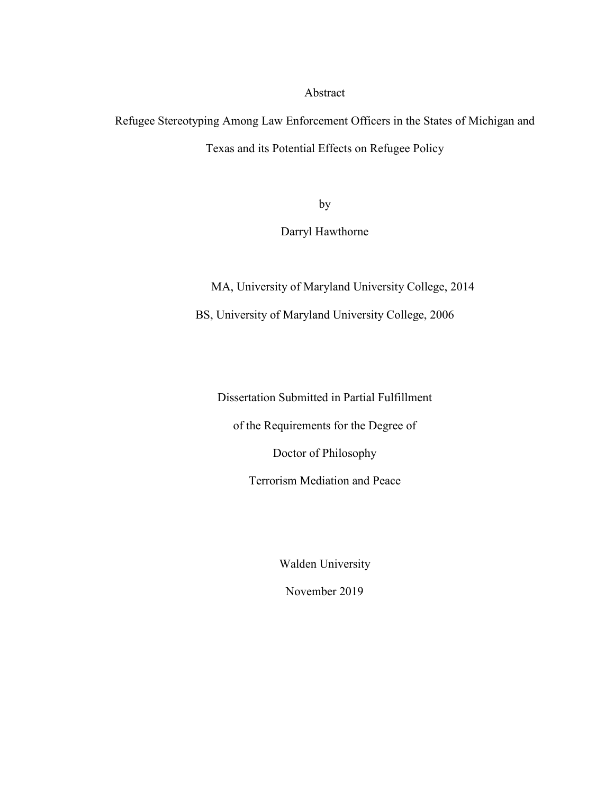Abstract

Refugee Stereotyping Among Law Enforcement Officers in the States of Michigan and Texas and its Potential Effects on Refugee Policy

by

Darryl Hawthorne

MA, University of Maryland University College, 2014

BS, University of Maryland University College, 2006

Dissertation Submitted in Partial Fulfillment

of the Requirements for the Degree of

Doctor of Philosophy

Terrorism Mediation and Peace

Walden University

November 2019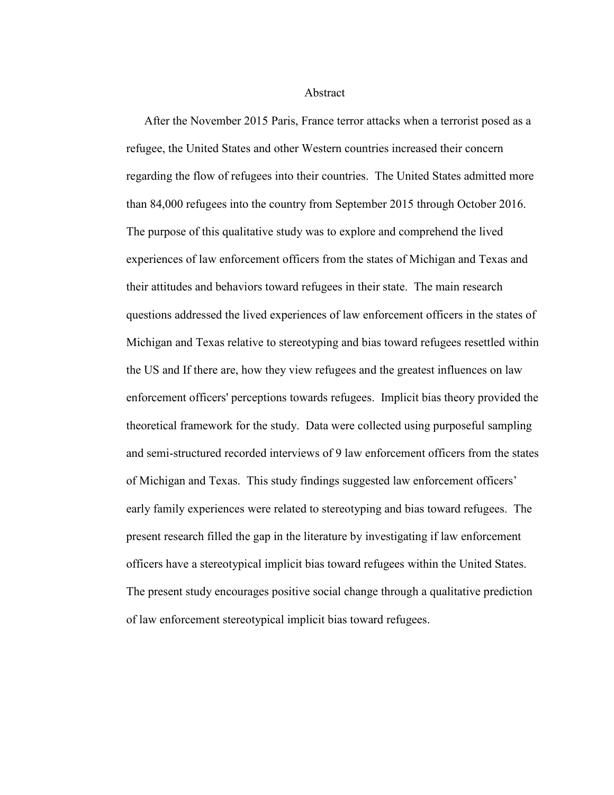Abstract

After the November 2015 Paris, France terror attacks when a terrorist posed as a refugee, the United States and other Western countries increased their concern regarding the flow of refugees into their countries. The United States admitted more than 84,000 refugees into the country from September 2015 through October 2016. The purpose of this qualitative study was to explore and comprehend the lived experiences of law enforcement officers from the states of Michigan and Texas and their attitudes and behaviors toward refugees in their state. The main research questions addressed the lived experiences of law enforcement officers in the states of Michigan and Texas relative to stereotyping and bias toward refugees resettled within the US and If there are, how they view refugees and the greatest influences on law enforcement officers' perceptions towards refugees. Implicit bias theory provided the theoretical framework for the study. Data were collected using purposeful sampling and semi-structured recorded interviews of 9 law enforcement officers from the states of Michigan and Texas. This study findings suggested law enforcement officers' early family experiences were related to stereotyping and bias toward refugees. The present research filled the gap in the literature by investigating if law enforcement officers have a stereotypical implicit bias toward refugees within the United States. The present study encourages positive social change through a qualitative prediction of law enforcement stereotypical implicit bias toward refugees.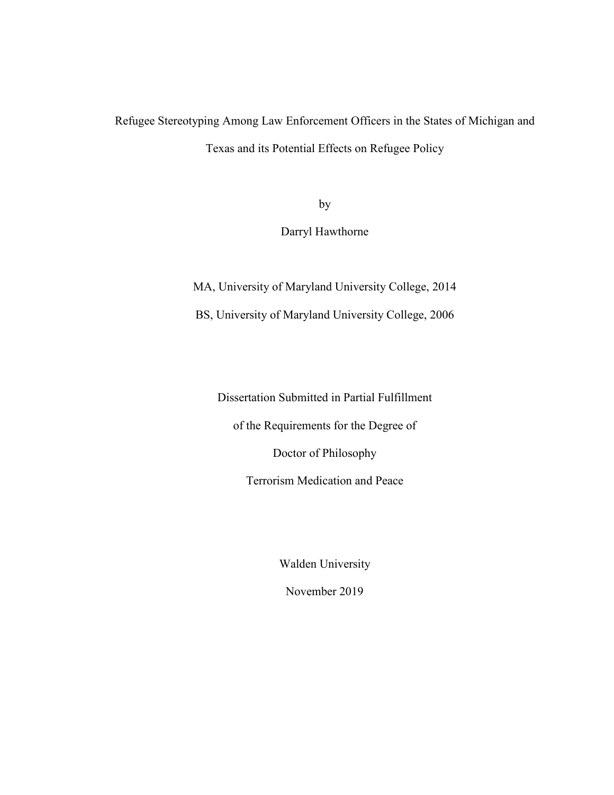## Refugee Stereotyping Among Law Enforcement Officers in the States of Michigan and Texas and its Potential Effects on Refugee Policy

by

Darryl Hawthorne

MA, University of Maryland University College, 2014

BS, University of Maryland University College, 2006

Dissertation Submitted in Partial Fulfillment

of the Requirements for the Degree of

Doctor of Philosophy

Terrorism Medication and Peace

Walden University

November 2019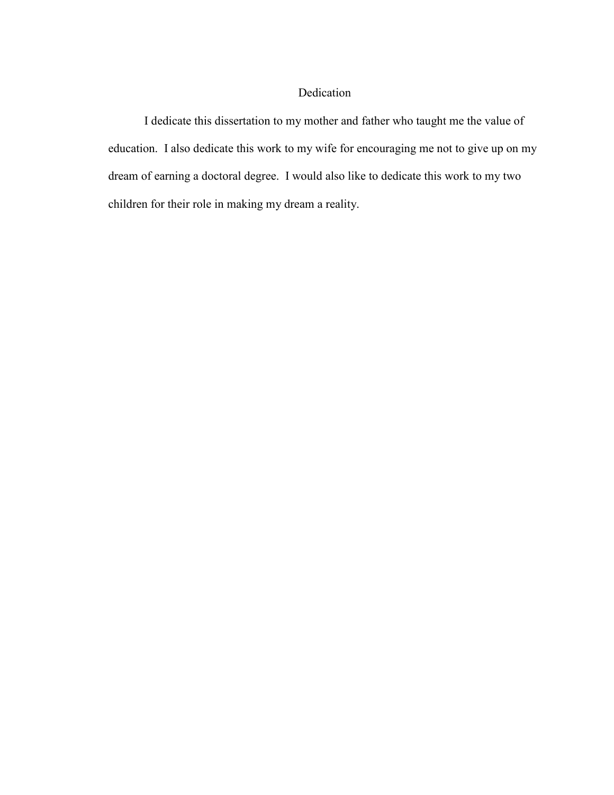### Dedication

I dedicate this dissertation to my mother and father who taught me the value of education. I also dedicate this work to my wife for encouraging me not to give up on my dream of earning a doctoral degree. I would also like to dedicate this work to my two children for their role in making my dream a reality.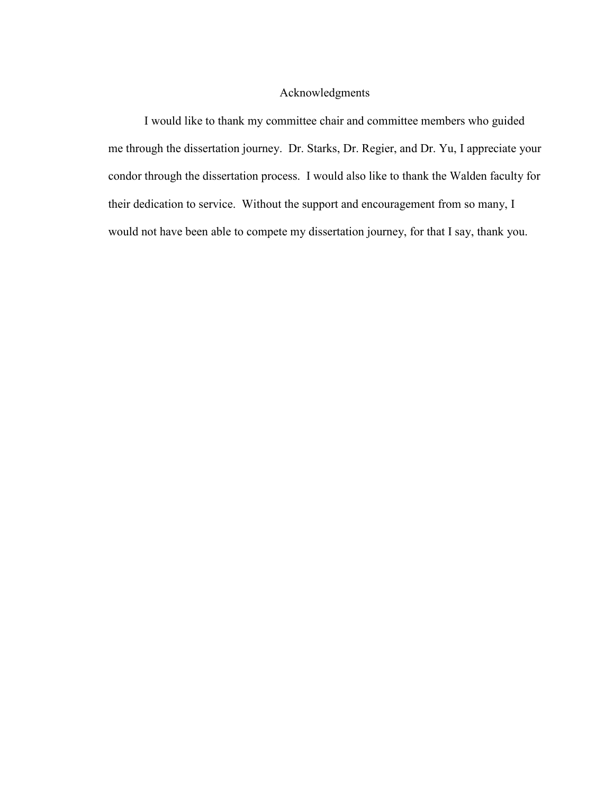### Acknowledgments

I would like to thank my committee chair and committee members who guided me through the dissertation journey. Dr. Starks, Dr. Regier, and Dr. Yu, I appreciate your condor through the dissertation process. I would also like to thank the Walden faculty for their dedication to service. Without the support and encouragement from so many, I would not have been able to compete my dissertation journey, for that I say, thank you.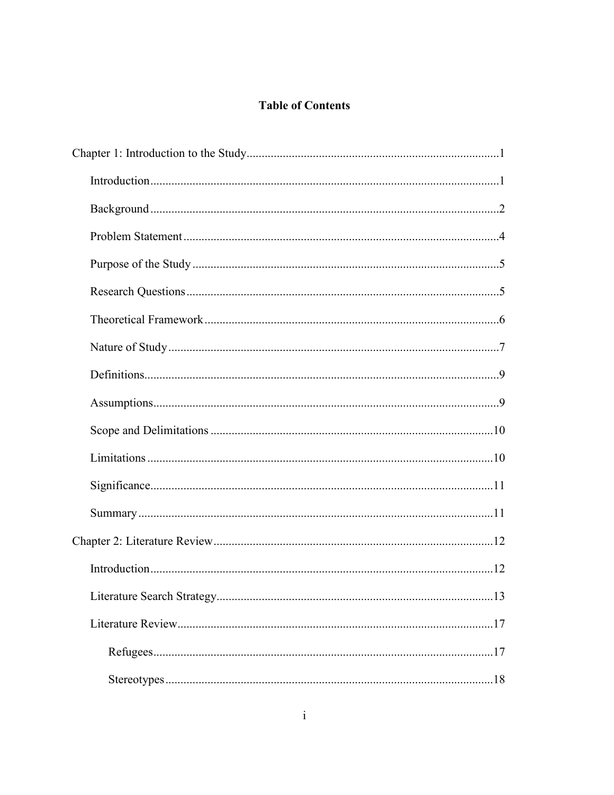### **Table of Contents**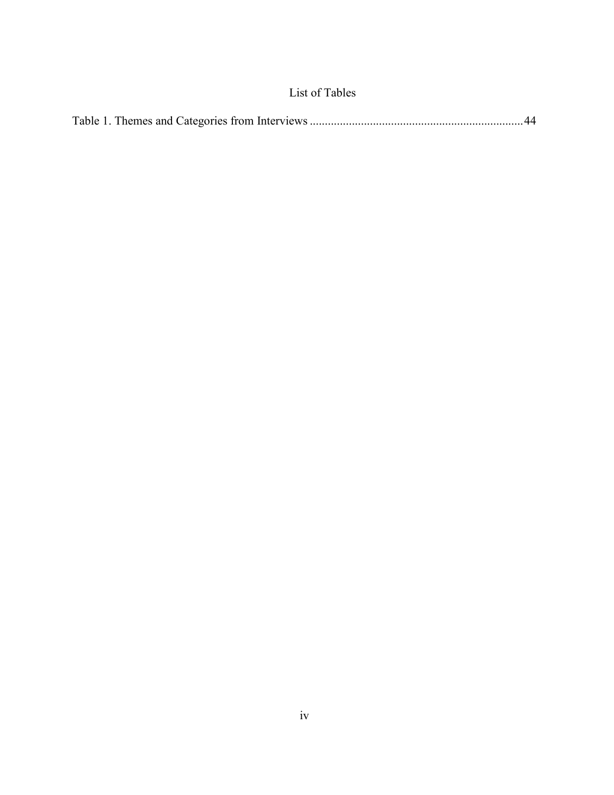## List of Tables

|--|--|--|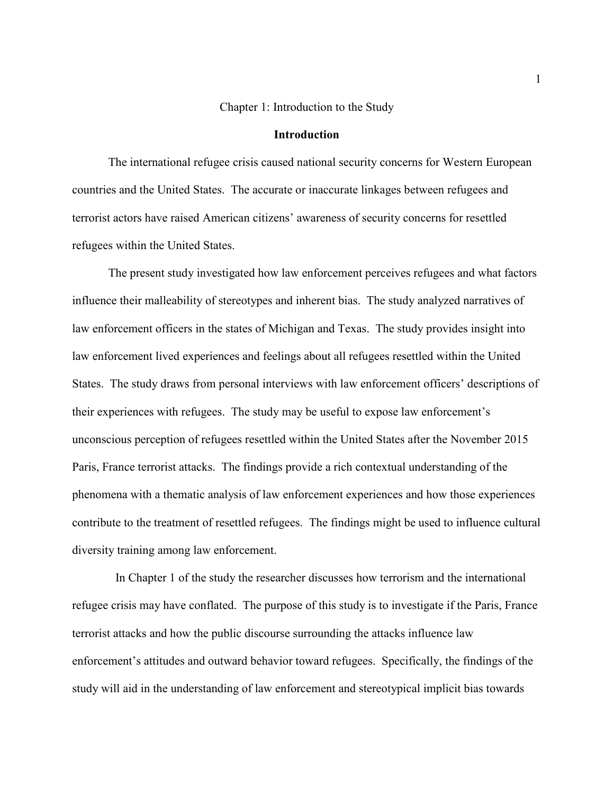#### Chapter 1: Introduction to the Study

#### **Introduction**

The international refugee crisis caused national security concerns for Western European countries and the United States. The accurate or inaccurate linkages between refugees and terrorist actors have raised American citizens' awareness of security concerns for resettled refugees within the United States.

The present study investigated how law enforcement perceives refugees and what factors influence their malleability of stereotypes and inherent bias. The study analyzed narratives of law enforcement officers in the states of Michigan and Texas. The study provides insight into law enforcement lived experiences and feelings about all refugees resettled within the United States. The study draws from personal interviews with law enforcement officers' descriptions of their experiences with refugees. The study may be useful to expose law enforcement's unconscious perception of refugees resettled within the United States after the November 2015 Paris, France terrorist attacks. The findings provide a rich contextual understanding of the phenomena with a thematic analysis of law enforcement experiences and how those experiences contribute to the treatment of resettled refugees. The findings might be used to influence cultural diversity training among law enforcement.

 In Chapter 1 of the study the researcher discusses how terrorism and the international refugee crisis may have conflated. The purpose of this study is to investigate if the Paris, France terrorist attacks and how the public discourse surrounding the attacks influence law enforcement's attitudes and outward behavior toward refugees. Specifically, the findings of the study will aid in the understanding of law enforcement and stereotypical implicit bias towards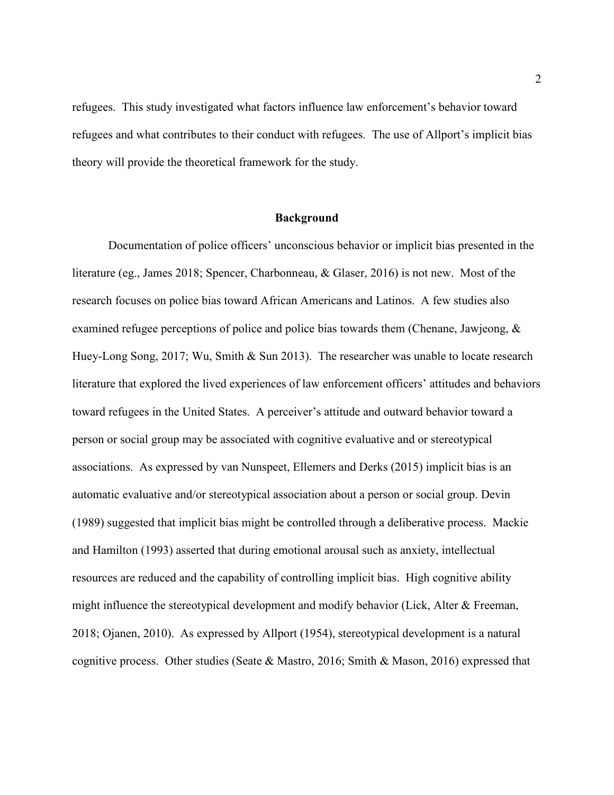refugees. This study investigated what factors influence law enforcement's behavior toward refugees and what contributes to their conduct with refugees. The use of Allport's implicit bias theory will provide the theoretical framework for the study.

#### **Background**

Documentation of police officers' unconscious behavior or implicit bias presented in the literature (eg., James 2018; Spencer, Charbonneau, & Glaser, 2016) is not new. Most of the research focuses on police bias toward African Americans and Latinos. A few studies also examined refugee perceptions of police and police bias towards them (Chenane, Jawjeong, & Huey-Long Song, 2017; Wu, Smith & Sun 2013). The researcher was unable to locate research literature that explored the lived experiences of law enforcement officers' attitudes and behaviors toward refugees in the United States. A perceiver's attitude and outward behavior toward a person or social group may be associated with cognitive evaluative and or stereotypical associations. As expressed by van Nunspeet, Ellemers and Derks (2015) implicit bias is an automatic evaluative and/or stereotypical association about a person or social group. Devin (1989) suggested that implicit bias might be controlled through a deliberative process. Mackie and Hamilton (1993) asserted that during emotional arousal such as anxiety, intellectual resources are reduced and the capability of controlling implicit bias. High cognitive ability might influence the stereotypical development and modify behavior (Lick, Alter  $\&$  Freeman, 2018; Ojanen, 2010). As expressed by Allport (1954), stereotypical development is a natural cognitive process. Other studies (Seate & Mastro, 2016; Smith & Mason, 2016) expressed that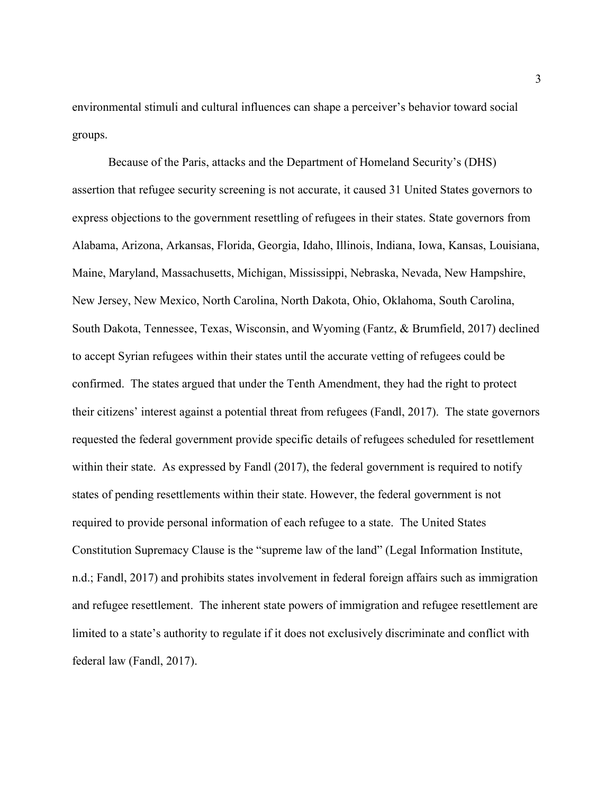environmental stimuli and cultural influences can shape a perceiver's behavior toward social groups.

Because of the Paris, attacks and the Department of Homeland Security's (DHS) assertion that refugee security screening is not accurate, it caused 31 United States governors to express objections to the government resettling of refugees in their states. State governors from Alabama, Arizona, Arkansas, Florida, Georgia, Idaho, Illinois, Indiana, Iowa, Kansas, Louisiana, Maine, Maryland, Massachusetts, Michigan, Mississippi, Nebraska, Nevada, New Hampshire, New Jersey, New Mexico, North Carolina, North Dakota, Ohio, Oklahoma, South Carolina, South Dakota, Tennessee, Texas, Wisconsin, and Wyoming (Fantz, & Brumfield, 2017) declined to accept Syrian refugees within their states until the accurate vetting of refugees could be confirmed. The states argued that under the Tenth Amendment, they had the right to protect their citizens' interest against a potential threat from refugees (Fandl, 2017). The state governors requested the federal government provide specific details of refugees scheduled for resettlement within their state. As expressed by Fandl (2017), the federal government is required to notify states of pending resettlements within their state. However, the federal government is not required to provide personal information of each refugee to a state. The United States Constitution Supremacy Clause is the "supreme law of the land" (Legal Information Institute, n.d.; Fandl, 2017) and prohibits states involvement in federal foreign affairs such as immigration and refugee resettlement. The inherent state powers of immigration and refugee resettlement are limited to a state's authority to regulate if it does not exclusively discriminate and conflict with federal law (Fandl, 2017).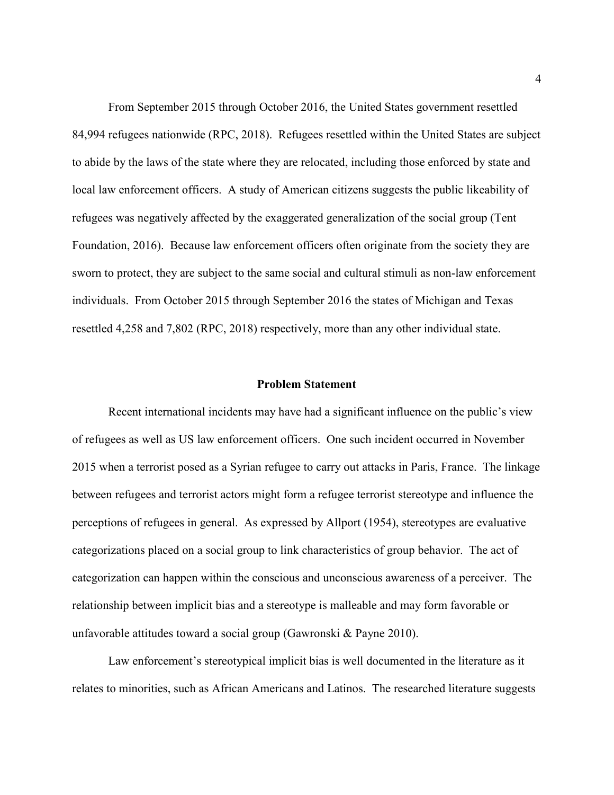From September 2015 through October 2016, the United States government resettled 84,994 refugees nationwide (RPC, 2018). Refugees resettled within the United States are subject to abide by the laws of the state where they are relocated, including those enforced by state and local law enforcement officers. A study of American citizens suggests the public likeability of refugees was negatively affected by the exaggerated generalization of the social group (Tent Foundation, 2016). Because law enforcement officers often originate from the society they are sworn to protect, they are subject to the same social and cultural stimuli as non-law enforcement individuals. From October 2015 through September 2016 the states of Michigan and Texas resettled 4,258 and 7,802 (RPC, 2018) respectively, more than any other individual state.

#### **Problem Statement**

Recent international incidents may have had a significant influence on the public's view of refugees as well as US law enforcement officers. One such incident occurred in November 2015 when a terrorist posed as a Syrian refugee to carry out attacks in Paris, France. The linkage between refugees and terrorist actors might form a refugee terrorist stereotype and influence the perceptions of refugees in general. As expressed by Allport (1954), stereotypes are evaluative categorizations placed on a social group to link characteristics of group behavior. The act of categorization can happen within the conscious and unconscious awareness of a perceiver. The relationship between implicit bias and a stereotype is malleable and may form favorable or unfavorable attitudes toward a social group (Gawronski & Payne 2010).

Law enforcement's stereotypical implicit bias is well documented in the literature as it relates to minorities, such as African Americans and Latinos. The researched literature suggests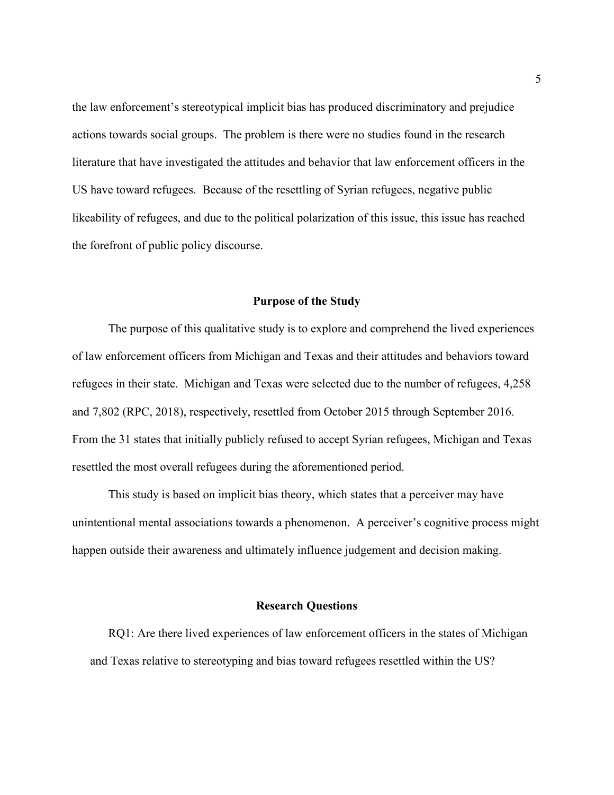the law enforcement's stereotypical implicit bias has produced discriminatory and prejudice actions towards social groups. The problem is there were no studies found in the research literature that have investigated the attitudes and behavior that law enforcement officers in the US have toward refugees. Because of the resettling of Syrian refugees, negative public likeability of refugees, and due to the political polarization of this issue, this issue has reached the forefront of public policy discourse.

#### **Purpose of the Study**

The purpose of this qualitative study is to explore and comprehend the lived experiences of law enforcement officers from Michigan and Texas and their attitudes and behaviors toward refugees in their state. Michigan and Texas were selected due to the number of refugees, 4,258 and 7,802 (RPC, 2018), respectively, resettled from October 2015 through September 2016. From the 31 states that initially publicly refused to accept Syrian refugees, Michigan and Texas resettled the most overall refugees during the aforementioned period.

This study is based on implicit bias theory, which states that a perceiver may have unintentional mental associations towards a phenomenon. A perceiver's cognitive process might happen outside their awareness and ultimately influence judgement and decision making.

#### **Research Questions**

RQ1: Are there lived experiences of law enforcement officers in the states of Michigan and Texas relative to stereotyping and bias toward refugees resettled within the US?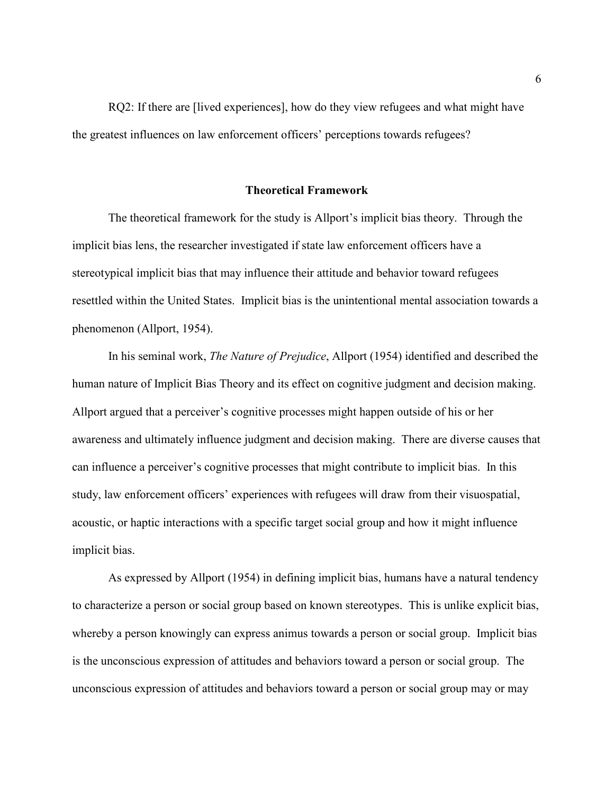RQ2: If there are [lived experiences], how do they view refugees and what might have the greatest influences on law enforcement officers' perceptions towards refugees?

#### **Theoretical Framework**

The theoretical framework for the study is Allport's implicit bias theory. Through the implicit bias lens, the researcher investigated if state law enforcement officers have a stereotypical implicit bias that may influence their attitude and behavior toward refugees resettled within the United States. Implicit bias is the unintentional mental association towards a phenomenon (Allport, 1954).

In his seminal work, *The Nature of Prejudice*, Allport (1954) identified and described the human nature of Implicit Bias Theory and its effect on cognitive judgment and decision making. Allport argued that a perceiver's cognitive processes might happen outside of his or her awareness and ultimately influence judgment and decision making. There are diverse causes that can influence a perceiver's cognitive processes that might contribute to implicit bias. In this study, law enforcement officers' experiences with refugees will draw from their visuospatial, acoustic, or haptic interactions with a specific target social group and how it might influence implicit bias.

As expressed by Allport (1954) in defining implicit bias, humans have a natural tendency to characterize a person or social group based on known stereotypes. This is unlike explicit bias, whereby a person knowingly can express animus towards a person or social group. Implicit bias is the unconscious expression of attitudes and behaviors toward a person or social group. The unconscious expression of attitudes and behaviors toward a person or social group may or may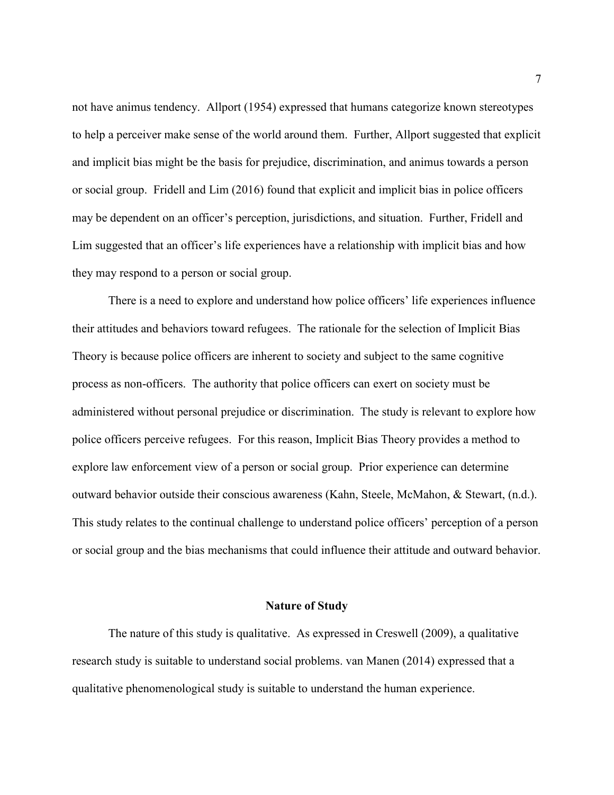not have animus tendency. Allport (1954) expressed that humans categorize known stereotypes to help a perceiver make sense of the world around them. Further, Allport suggested that explicit and implicit bias might be the basis for prejudice, discrimination, and animus towards a person or social group. Fridell and Lim (2016) found that explicit and implicit bias in police officers may be dependent on an officer's perception, jurisdictions, and situation. Further, Fridell and Lim suggested that an officer's life experiences have a relationship with implicit bias and how they may respond to a person or social group.

There is a need to explore and understand how police officers' life experiences influence their attitudes and behaviors toward refugees. The rationale for the selection of Implicit Bias Theory is because police officers are inherent to society and subject to the same cognitive process as non-officers. The authority that police officers can exert on society must be administered without personal prejudice or discrimination. The study is relevant to explore how police officers perceive refugees. For this reason, Implicit Bias Theory provides a method to explore law enforcement view of a person or social group. Prior experience can determine outward behavior outside their conscious awareness (Kahn, Steele, McMahon, & Stewart, (n.d.). This study relates to the continual challenge to understand police officers' perception of a person or social group and the bias mechanisms that could influence their attitude and outward behavior.

#### **Nature of Study**

The nature of this study is qualitative. As expressed in Creswell (2009), a qualitative research study is suitable to understand social problems. van Manen (2014) expressed that a qualitative phenomenological study is suitable to understand the human experience.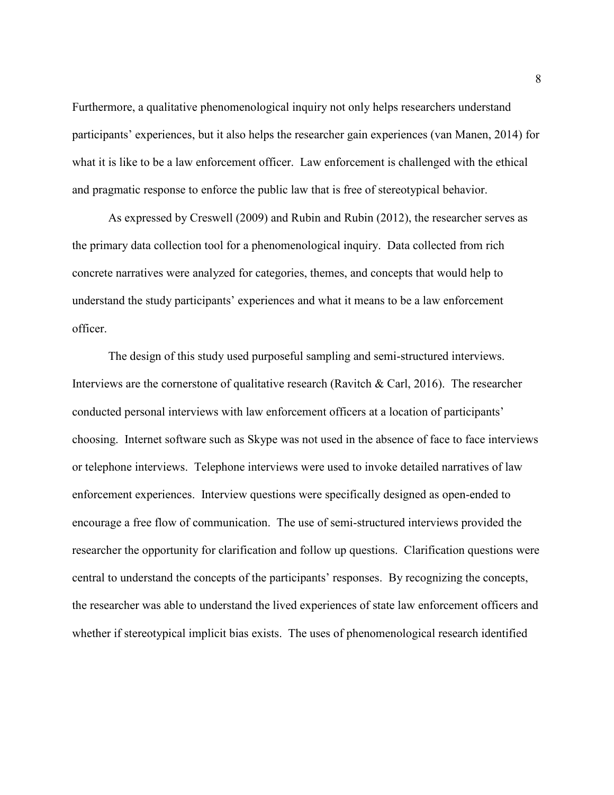Furthermore, a qualitative phenomenological inquiry not only helps researchers understand participants' experiences, but it also helps the researcher gain experiences (van Manen, 2014) for what it is like to be a law enforcement officer. Law enforcement is challenged with the ethical and pragmatic response to enforce the public law that is free of stereotypical behavior.

As expressed by Creswell (2009) and Rubin and Rubin (2012), the researcher serves as the primary data collection tool for a phenomenological inquiry. Data collected from rich concrete narratives were analyzed for categories, themes, and concepts that would help to understand the study participants' experiences and what it means to be a law enforcement officer.

The design of this study used purposeful sampling and semi-structured interviews. Interviews are the cornerstone of qualitative research (Ravitch & Carl, 2016). The researcher conducted personal interviews with law enforcement officers at a location of participants' choosing. Internet software such as Skype was not used in the absence of face to face interviews or telephone interviews. Telephone interviews were used to invoke detailed narratives of law enforcement experiences. Interview questions were specifically designed as open-ended to encourage a free flow of communication. The use of semi-structured interviews provided the researcher the opportunity for clarification and follow up questions. Clarification questions were central to understand the concepts of the participants' responses. By recognizing the concepts, the researcher was able to understand the lived experiences of state law enforcement officers and whether if stereotypical implicit bias exists. The uses of phenomenological research identified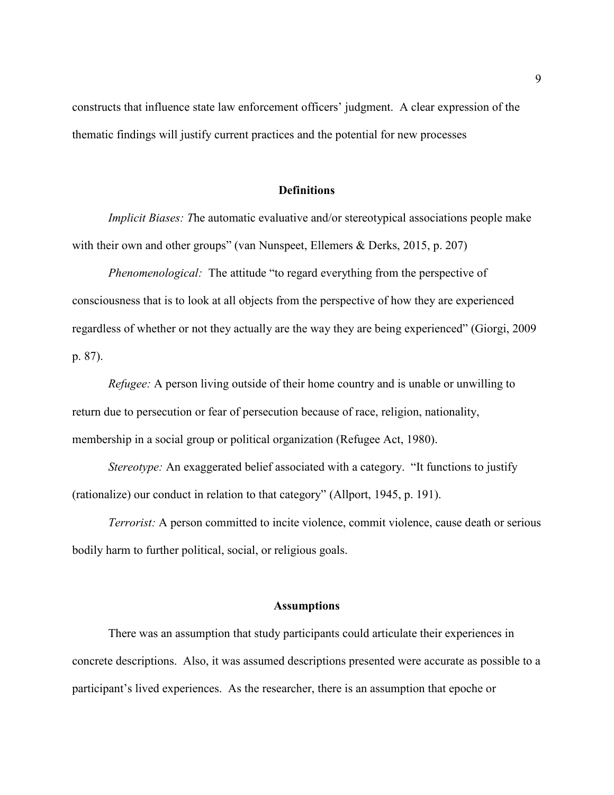constructs that influence state law enforcement officers' judgment. A clear expression of the thematic findings will justify current practices and the potential for new processes

#### **Definitions**

*Implicit Biases: The automatic evaluative and/or stereotypical associations people make* with their own and other groups" (van Nunspeet, Ellemers & Derks, 2015, p. 207)

*Phenomenological:* The attitude "to regard everything from the perspective of consciousness that is to look at all objects from the perspective of how they are experienced regardless of whether or not they actually are the way they are being experienced" (Giorgi, 2009 p. 87).

*Refugee:* A person living outside of their home country and is unable or unwilling to return due to persecution or fear of persecution because of race, religion, nationality, membership in a social group or political organization (Refugee Act, 1980).

*Stereotype:* An exaggerated belief associated with a category. "It functions to justify (rationalize) our conduct in relation to that category" (Allport, 1945, p. 191).

*Terrorist:* A person committed to incite violence, commit violence, cause death or serious bodily harm to further political, social, or religious goals.

#### **Assumptions**

There was an assumption that study participants could articulate their experiences in concrete descriptions. Also, it was assumed descriptions presented were accurate as possible to a participant's lived experiences. As the researcher, there is an assumption that epoche or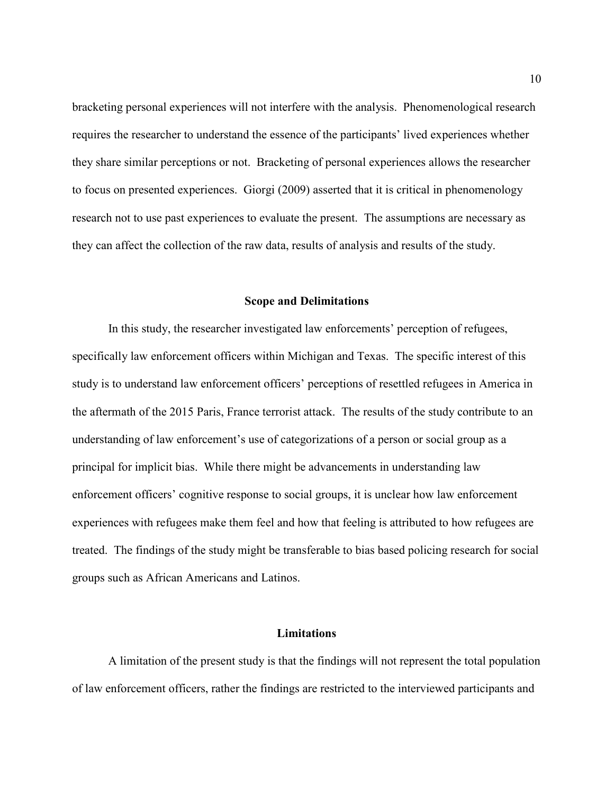bracketing personal experiences will not interfere with the analysis. Phenomenological research requires the researcher to understand the essence of the participants' lived experiences whether they share similar perceptions or not. Bracketing of personal experiences allows the researcher to focus on presented experiences. Giorgi (2009) asserted that it is critical in phenomenology research not to use past experiences to evaluate the present. The assumptions are necessary as they can affect the collection of the raw data, results of analysis and results of the study.

#### **Scope and Delimitations**

In this study, the researcher investigated law enforcements' perception of refugees, specifically law enforcement officers within Michigan and Texas. The specific interest of this study is to understand law enforcement officers' perceptions of resettled refugees in America in the aftermath of the 2015 Paris, France terrorist attack. The results of the study contribute to an understanding of law enforcement's use of categorizations of a person or social group as a principal for implicit bias. While there might be advancements in understanding law enforcement officers' cognitive response to social groups, it is unclear how law enforcement experiences with refugees make them feel and how that feeling is attributed to how refugees are treated. The findings of the study might be transferable to bias based policing research for social groups such as African Americans and Latinos.

#### **Limitations**

A limitation of the present study is that the findings will not represent the total population of law enforcement officers, rather the findings are restricted to the interviewed participants and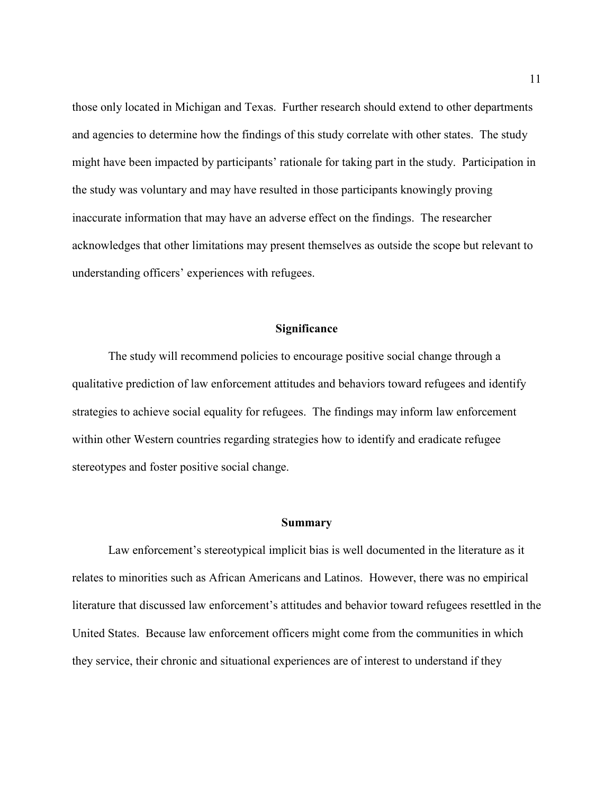those only located in Michigan and Texas. Further research should extend to other departments and agencies to determine how the findings of this study correlate with other states. The study might have been impacted by participants' rationale for taking part in the study. Participation in the study was voluntary and may have resulted in those participants knowingly proving inaccurate information that may have an adverse effect on the findings. The researcher acknowledges that other limitations may present themselves as outside the scope but relevant to understanding officers' experiences with refugees.

#### **Significance**

The study will recommend policies to encourage positive social change through a qualitative prediction of law enforcement attitudes and behaviors toward refugees and identify strategies to achieve social equality for refugees. The findings may inform law enforcement within other Western countries regarding strategies how to identify and eradicate refugee stereotypes and foster positive social change.

#### **Summary**

Law enforcement's stereotypical implicit bias is well documented in the literature as it relates to minorities such as African Americans and Latinos. However, there was no empirical literature that discussed law enforcement's attitudes and behavior toward refugees resettled in the United States. Because law enforcement officers might come from the communities in which they service, their chronic and situational experiences are of interest to understand if they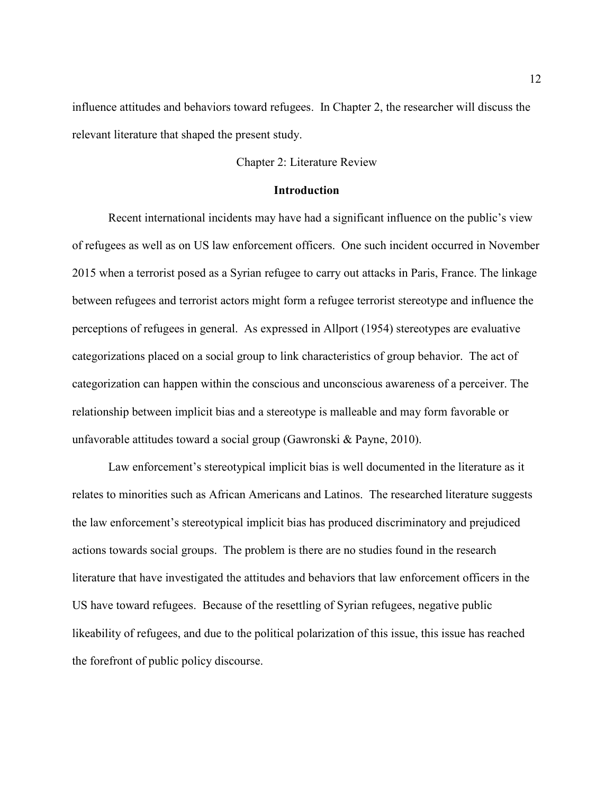influence attitudes and behaviors toward refugees. In Chapter 2, the researcher will discuss the relevant literature that shaped the present study.

#### Chapter 2: Literature Review

#### **Introduction**

Recent international incidents may have had a significant influence on the public's view of refugees as well as on US law enforcement officers. One such incident occurred in November 2015 when a terrorist posed as a Syrian refugee to carry out attacks in Paris, France. The linkage between refugees and terrorist actors might form a refugee terrorist stereotype and influence the perceptions of refugees in general. As expressed in Allport (1954) stereotypes are evaluative categorizations placed on a social group to link characteristics of group behavior. The act of categorization can happen within the conscious and unconscious awareness of a perceiver. The relationship between implicit bias and a stereotype is malleable and may form favorable or unfavorable attitudes toward a social group (Gawronski & Payne, 2010).

Law enforcement's stereotypical implicit bias is well documented in the literature as it relates to minorities such as African Americans and Latinos. The researched literature suggests the law enforcement's stereotypical implicit bias has produced discriminatory and prejudiced actions towards social groups. The problem is there are no studies found in the research literature that have investigated the attitudes and behaviors that law enforcement officers in the US have toward refugees. Because of the resettling of Syrian refugees, negative public likeability of refugees, and due to the political polarization of this issue, this issue has reached the forefront of public policy discourse.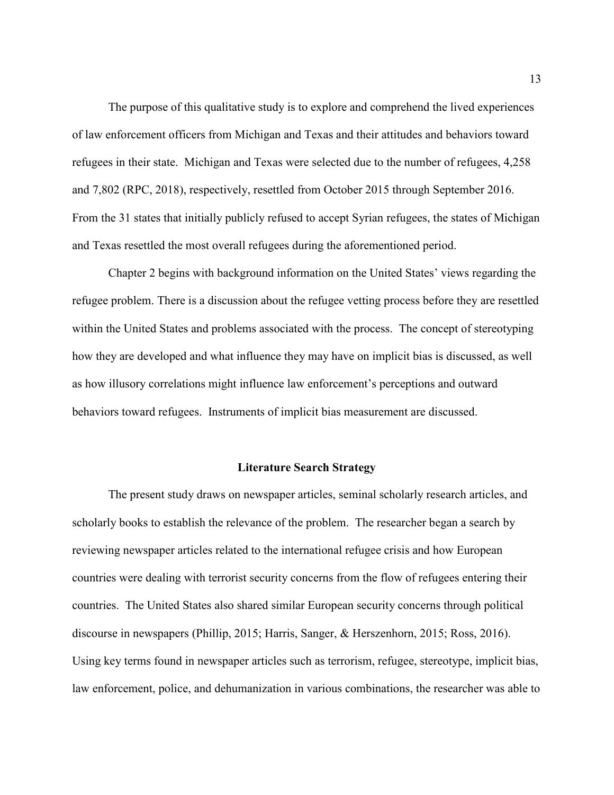The purpose of this qualitative study is to explore and comprehend the lived experiences of law enforcement officers from Michigan and Texas and their attitudes and behaviors toward refugees in their state. Michigan and Texas were selected due to the number of refugees, 4,258 and 7,802 (RPC, 2018), respectively, resettled from October 2015 through September 2016. From the 31 states that initially publicly refused to accept Syrian refugees, the states of Michigan and Texas resettled the most overall refugees during the aforementioned period.

Chapter 2 begins with background information on the United States' views regarding the refugee problem. There is a discussion about the refugee vetting process before they are resettled within the United States and problems associated with the process. The concept of stereotyping how they are developed and what influence they may have on implicit bias is discussed, as well as how illusory correlations might influence law enforcement's perceptions and outward behaviors toward refugees. Instruments of implicit bias measurement are discussed.

#### **Literature Search Strategy**

The present study draws on newspaper articles, seminal scholarly research articles, and scholarly books to establish the relevance of the problem. The researcher began a search by reviewing newspaper articles related to the international refugee crisis and how European countries were dealing with terrorist security concerns from the flow of refugees entering their countries. The United States also shared similar European security concerns through political discourse in newspapers (Phillip, 2015; Harris, Sanger, & Herszenhorn, 2015; Ross, 2016). Using key terms found in newspaper articles such as terrorism, refugee, stereotype, implicit bias, law enforcement, police, and dehumanization in various combinations, the researcher was able to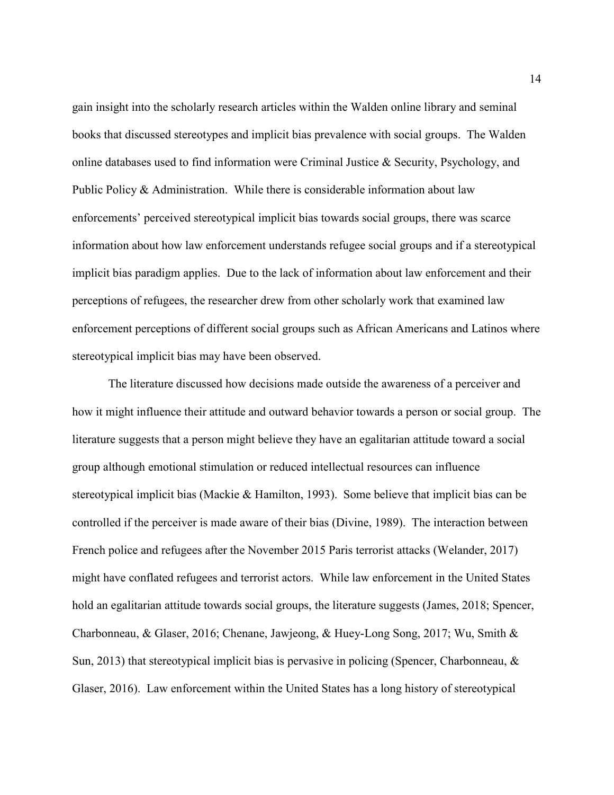gain insight into the scholarly research articles within the Walden online library and seminal books that discussed stereotypes and implicit bias prevalence with social groups. The Walden online databases used to find information were Criminal Justice  $\&$  Security, Psychology, and Public Policy & Administration. While there is considerable information about law enforcements' perceived stereotypical implicit bias towards social groups, there was scarce information about how law enforcement understands refugee social groups and if a stereotypical implicit bias paradigm applies. Due to the lack of information about law enforcement and their perceptions of refugees, the researcher drew from other scholarly work that examined law enforcement perceptions of different social groups such as African Americans and Latinos where stereotypical implicit bias may have been observed.

The literature discussed how decisions made outside the awareness of a perceiver and how it might influence their attitude and outward behavior towards a person or social group. The literature suggests that a person might believe they have an egalitarian attitude toward a social group although emotional stimulation or reduced intellectual resources can influence stereotypical implicit bias (Mackie & Hamilton, 1993). Some believe that implicit bias can be controlled if the perceiver is made aware of their bias (Divine, 1989). The interaction between French police and refugees after the November 2015 Paris terrorist attacks (Welander, 2017) might have conflated refugees and terrorist actors. While law enforcement in the United States hold an egalitarian attitude towards social groups, the literature suggests (James, 2018; Spencer, Charbonneau, & Glaser, 2016; Chenane, Jawjeong, & Huey-Long Song, 2017; Wu, Smith & Sun, 2013) that stereotypical implicit bias is pervasive in policing (Spencer, Charbonneau,  $\&$ Glaser, 2016). Law enforcement within the United States has a long history of stereotypical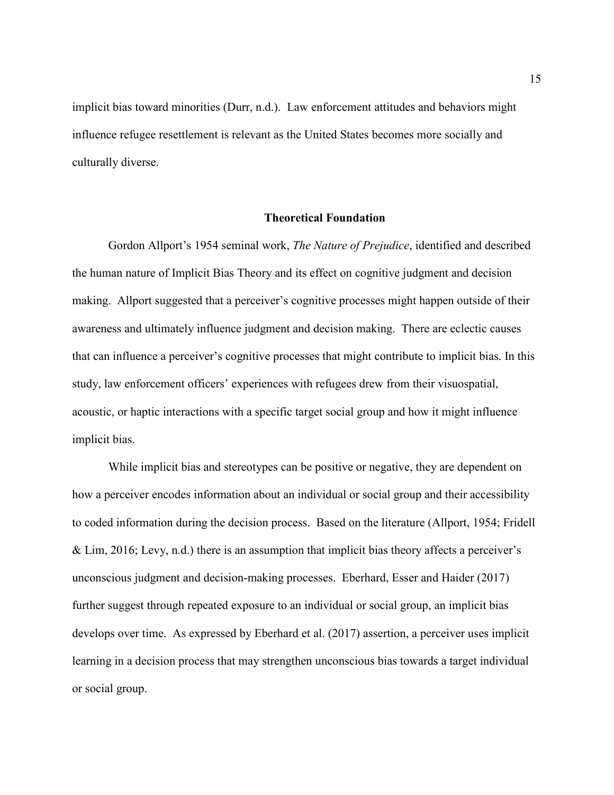implicit bias toward minorities (Durr, n.d.).Law enforcement attitudes and behaviors might influence refugee resettlement is relevant as the United States becomes more socially and culturally diverse.

#### **Theoretical Foundation**

Gordon Allport's 1954 seminal work, *The Nature of Prejudice*, identified and described the human nature of Implicit Bias Theory and its effect on cognitive judgment and decision making. Allport suggested that a perceiver's cognitive processes might happen outside of their awareness and ultimately influence judgment and decision making. There are eclectic causes that can influence a perceiver's cognitive processes that might contribute to implicit bias. In this study, law enforcement officers' experiences with refugees drew from their visuospatial, acoustic, or haptic interactions with a specific target social group and how it might influence implicit bias.

While implicit bias and stereotypes can be positive or negative, they are dependent on how a perceiver encodes information about an individual or social group and their accessibility to coded information during the decision process. Based on the literature (Allport, 1954; Fridell & Lim, 2016; Levy, n.d.) there is an assumption that implicit bias theory affects a perceiver's unconscious judgment and decision-making processes. Eberhard, Esser and Haider (2017) further suggest through repeated exposure to an individual or social group, an implicit bias develops over time. As expressed by Eberhard et al. (2017) assertion, a perceiver uses implicit learning in a decision process that may strengthen unconscious bias towards a target individual or social group.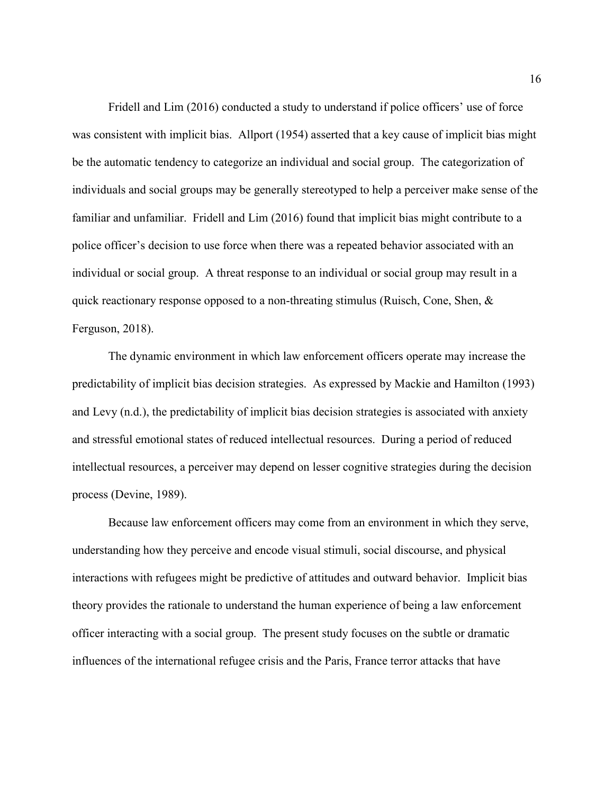Fridell and Lim (2016) conducted a study to understand if police officers' use of force was consistent with implicit bias. Allport (1954) asserted that a key cause of implicit bias might be the automatic tendency to categorize an individual and social group. The categorization of individuals and social groups may be generally stereotyped to help a perceiver make sense of the familiar and unfamiliar. Fridell and Lim (2016) found that implicit bias might contribute to a police officer's decision to use force when there was a repeated behavior associated with an individual or social group. A threat response to an individual or social group may result in a quick reactionary response opposed to a non-threating stimulus (Ruisch, Cone, Shen,  $\&$ Ferguson, 2018).

The dynamic environment in which law enforcement officers operate may increase the predictability of implicit bias decision strategies. As expressed by Mackie and Hamilton (1993) and Levy (n.d.), the predictability of implicit bias decision strategies is associated with anxiety and stressful emotional states of reduced intellectual resources. During a period of reduced intellectual resources, a perceiver may depend on lesser cognitive strategies during the decision process (Devine, 1989).

Because law enforcement officers may come from an environment in which they serve, understanding how they perceive and encode visual stimuli, social discourse, and physical interactions with refugees might be predictive of attitudes and outward behavior. Implicit bias theory provides the rationale to understand the human experience of being a law enforcement officer interacting with a social group. The present study focuses on the subtle or dramatic influences of the international refugee crisis and the Paris, France terror attacks that have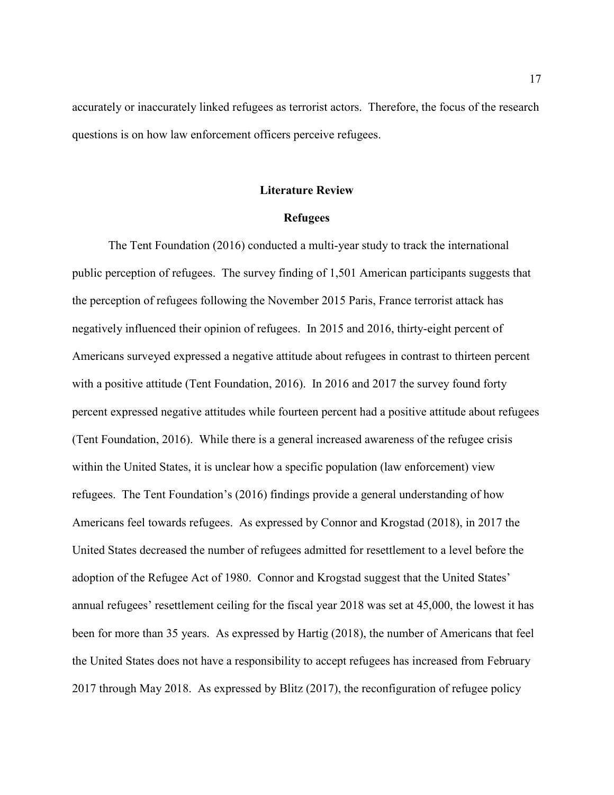accurately or inaccurately linked refugees as terrorist actors. Therefore, the focus of the research questions is on how law enforcement officers perceive refugees.

#### **Literature Review**

#### **Refugees**

The Tent Foundation (2016) conducted a multi-year study to track the international public perception of refugees. The survey finding of 1,501 American participants suggests that the perception of refugees following the November 2015 Paris, France terrorist attack has negatively influenced their opinion of refugees. In 2015 and 2016, thirty-eight percent of Americans surveyed expressed a negative attitude about refugees in contrast to thirteen percent with a positive attitude (Tent Foundation, 2016). In 2016 and 2017 the survey found forty percent expressed negative attitudes while fourteen percent had a positive attitude about refugees (Tent Foundation, 2016). While there is a general increased awareness of the refugee crisis within the United States, it is unclear how a specific population (law enforcement) view refugees. The Tent Foundation's (2016) findings provide a general understanding of how Americans feel towards refugees. As expressed by Connor and Krogstad (2018), in 2017 the United States decreased the number of refugees admitted for resettlement to a level before the adoption of the Refugee Act of 1980. Connor and Krogstad suggest that the United States' annual refugees' resettlement ceiling for the fiscal year 2018 was set at 45,000, the lowest it has been for more than 35 years. As expressed by Hartig (2018), the number of Americans that feel the United States does not have a responsibility to accept refugees has increased from February 2017 through May 2018. As expressed by Blitz (2017), the reconfiguration of refugee policy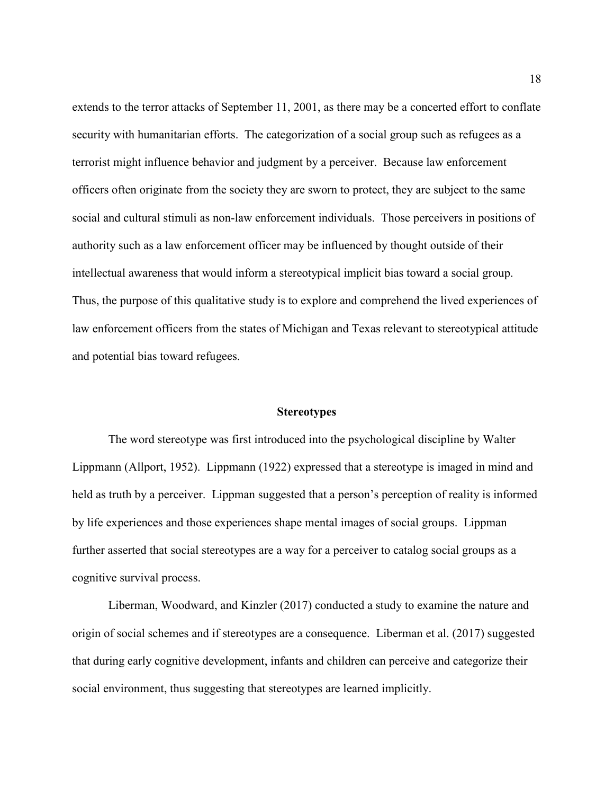extends to the terror attacks of September 11, 2001, as there may be a concerted effort to conflate security with humanitarian efforts. The categorization of a social group such as refugees as a terrorist might influence behavior and judgment by a perceiver. Because law enforcement officers often originate from the society they are sworn to protect, they are subject to the same social and cultural stimuli as non-law enforcement individuals. Those perceivers in positions of authority such as a law enforcement officer may be influenced by thought outside of their intellectual awareness that would inform a stereotypical implicit bias toward a social group. Thus, the purpose of this qualitative study is to explore and comprehend the lived experiences of law enforcement officers from the states of Michigan and Texas relevant to stereotypical attitude and potential bias toward refugees.

#### **Stereotypes**

The word stereotype was first introduced into the psychological discipline by Walter Lippmann (Allport, 1952). Lippmann (1922) expressed that a stereotype is imaged in mind and held as truth by a perceiver. Lippman suggested that a person's perception of reality is informed by life experiences and those experiences shape mental images of social groups. Lippman further asserted that social stereotypes are a way for a perceiver to catalog social groups as a cognitive survival process.

Liberman, Woodward, and Kinzler (2017) conducted a study to examine the nature and origin of social schemes and if stereotypes are a consequence. Liberman et al. (2017) suggested that during early cognitive development, infants and children can perceive and categorize their social environment, thus suggesting that stereotypes are learned implicitly.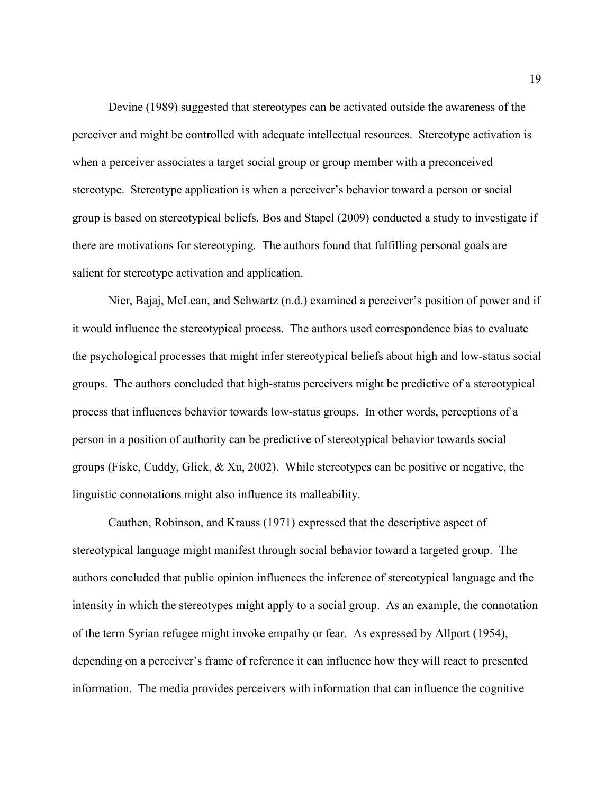Devine (1989) suggested that stereotypes can be activated outside the awareness of the perceiver and might be controlled with adequate intellectual resources. Stereotype activation is when a perceiver associates a target social group or group member with a preconceived stereotype. Stereotype application is when a perceiver's behavior toward a person or social group is based on stereotypical beliefs. Bos and Stapel (2009) conducted a study to investigate if there are motivations for stereotyping. The authors found that fulfilling personal goals are salient for stereotype activation and application.

Nier, Bajaj, McLean, and Schwartz (n.d.) examined a perceiver's position of power and if it would influence the stereotypical process. The authors used correspondence bias to evaluate the psychological processes that might infer stereotypical beliefs about high and low-status social groups. The authors concluded that high-status perceivers might be predictive of a stereotypical process that influences behavior towards low-status groups. In other words, perceptions of a person in a position of authority can be predictive of stereotypical behavior towards social groups (Fiske, Cuddy, Glick, & Xu, 2002). While stereotypes can be positive or negative, the linguistic connotations might also influence its malleability.

Cauthen, Robinson, and Krauss (1971) expressed that the descriptive aspect of stereotypical language might manifest through social behavior toward a targeted group. The authors concluded that public opinion influences the inference of stereotypical language and the intensity in which the stereotypes might apply to a social group. As an example, the connotation of the term Syrian refugee might invoke empathy or fear. As expressed by Allport (1954), depending on a perceiver's frame of reference it can influence how they will react to presented information. The media provides perceivers with information that can influence the cognitive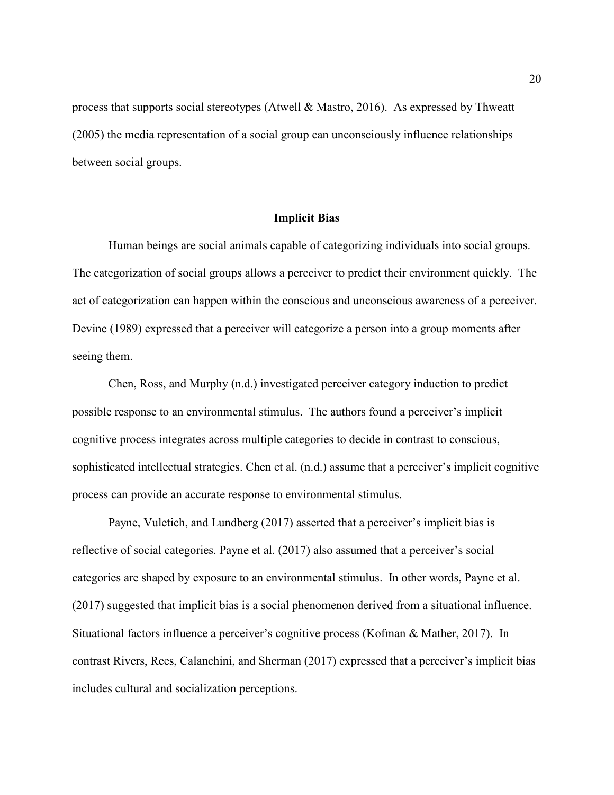process that supports social stereotypes (Atwell & Mastro, 2016). As expressed by Thweatt (2005) the media representation of a social group can unconsciously influence relationships between social groups.

#### **Implicit Bias**

Human beings are social animals capable of categorizing individuals into social groups. The categorization of social groups allows a perceiver to predict their environment quickly. The act of categorization can happen within the conscious and unconscious awareness of a perceiver. Devine (1989) expressed that a perceiver will categorize a person into a group moments after seeing them.

Chen, Ross, and Murphy (n.d.) investigated perceiver category induction to predict possible response to an environmental stimulus. The authors found a perceiver's implicit cognitive process integrates across multiple categories to decide in contrast to conscious, sophisticated intellectual strategies. Chen et al. (n.d.) assume that a perceiver's implicit cognitive process can provide an accurate response to environmental stimulus.

Payne, Vuletich, and Lundberg (2017) asserted that a perceiver's implicit bias is reflective of social categories. Payne et al. (2017) also assumed that a perceiver's social categories are shaped by exposure to an environmental stimulus. In other words, Payne et al. (2017) suggested that implicit bias is a social phenomenon derived from a situational influence. Situational factors influence a perceiver's cognitive process (Kofman & Mather, 2017). In contrast Rivers, Rees, Calanchini, and Sherman (2017) expressed that a perceiver's implicit bias includes cultural and socialization perceptions.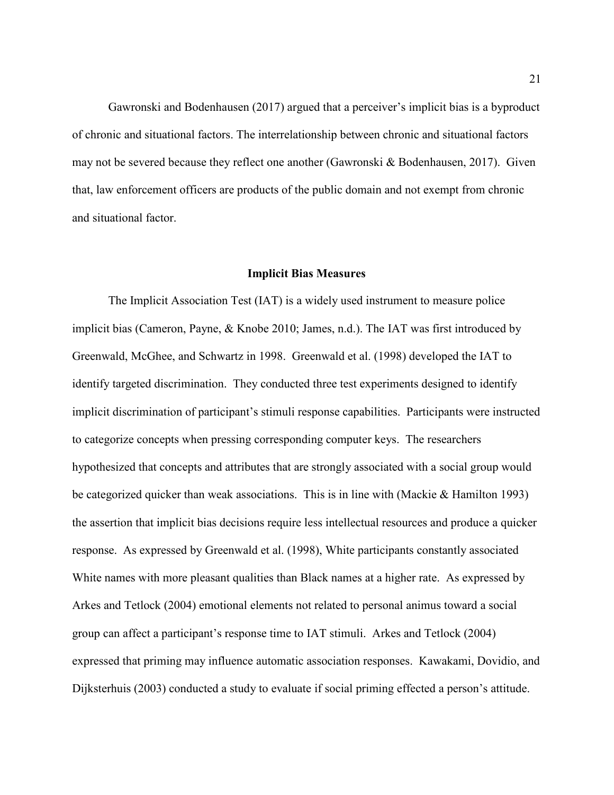Gawronski and Bodenhausen (2017) argued that a perceiver's implicit bias is a byproduct of chronic and situational factors. The interrelationship between chronic and situational factors may not be severed because they reflect one another (Gawronski & Bodenhausen, 2017). Given that, law enforcement officers are products of the public domain and not exempt from chronic and situational factor.

#### **Implicit Bias Measures**

The Implicit Association Test (IAT) is a widely used instrument to measure police implicit bias (Cameron, Payne, & Knobe 2010; James, n.d.). The IAT was first introduced by Greenwald, McGhee, and Schwartz in 1998. Greenwald et al. (1998) developed the IAT to identify targeted discrimination. They conducted three test experiments designed to identify implicit discrimination of participant's stimuli response capabilities. Participants were instructed to categorize concepts when pressing corresponding computer keys. The researchers hypothesized that concepts and attributes that are strongly associated with a social group would be categorized quicker than weak associations. This is in line with (Mackie & Hamilton 1993) the assertion that implicit bias decisions require less intellectual resources and produce a quicker response. As expressed by Greenwald et al. (1998), White participants constantly associated White names with more pleasant qualities than Black names at a higher rate. As expressed by Arkes and Tetlock (2004) emotional elements not related to personal animus toward a social group can affect a participant's response time to IAT stimuli. Arkes and Tetlock (2004) expressed that priming may influence automatic association responses. Kawakami, Dovidio, and Dijksterhuis (2003) conducted a study to evaluate if social priming effected a person's attitude.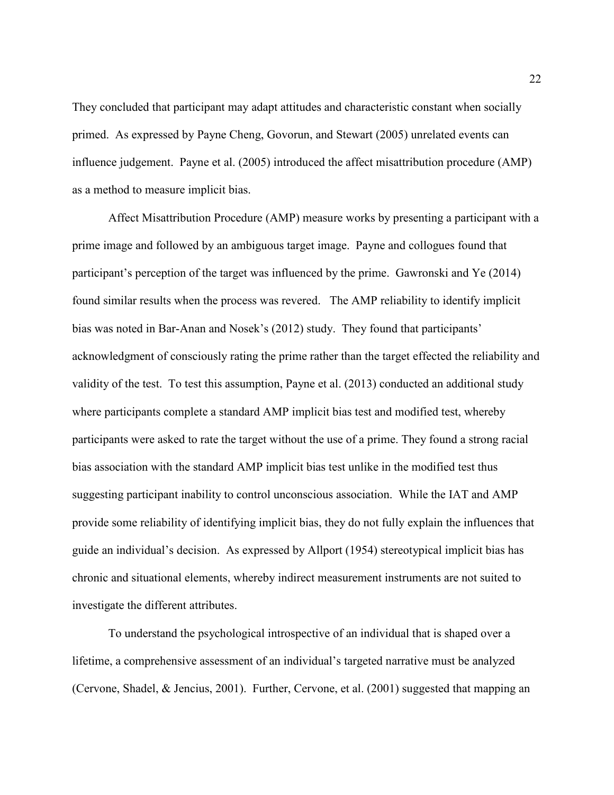They concluded that participant may adapt attitudes and characteristic constant when socially primed. As expressed by Payne Cheng, Govorun, and Stewart (2005) unrelated events can influence judgement. Payne et al. (2005) introduced the affect misattribution procedure (AMP) as a method to measure implicit bias.

Affect Misattribution Procedure (AMP) measure works by presenting a participant with a prime image and followed by an ambiguous target image. Payne and collogues found that participant's perception of the target was influenced by the prime. Gawronski and Ye (2014) found similar results when the process was revered. The AMP reliability to identify implicit bias was noted in Bar-Anan and Nosek's (2012) study. They found that participants' acknowledgment of consciously rating the prime rather than the target effected the reliability and validity of the test. To test this assumption, Payne et al. (2013) conducted an additional study where participants complete a standard AMP implicit bias test and modified test, whereby participants were asked to rate the target without the use of a prime. They found a strong racial bias association with the standard AMP implicit bias test unlike in the modified test thus suggesting participant inability to control unconscious association. While the IAT and AMP provide some reliability of identifying implicit bias, they do not fully explain the influences that guide an individual's decision. As expressed by Allport (1954) stereotypical implicit bias has chronic and situational elements, whereby indirect measurement instruments are not suited to investigate the different attributes.

To understand the psychological introspective of an individual that is shaped over a lifetime, a comprehensive assessment of an individual's targeted narrative must be analyzed (Cervone, Shadel, & Jencius, 2001). Further, Cervone, et al. (2001) suggested that mapping an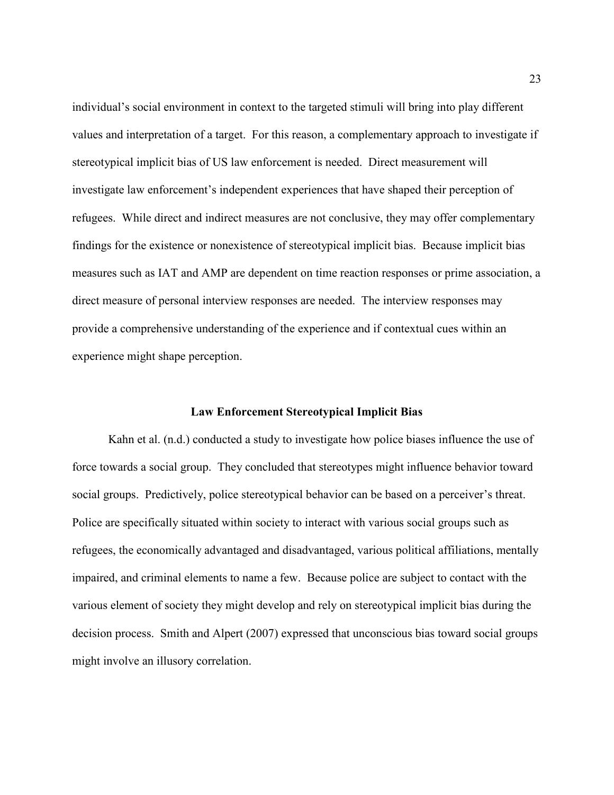individual's social environment in context to the targeted stimuli will bring into play different values and interpretation of a target. For this reason, a complementary approach to investigate if stereotypical implicit bias of US law enforcement is needed. Direct measurement will investigate law enforcement's independent experiences that have shaped their perception of refugees. While direct and indirect measures are not conclusive, they may offer complementary findings for the existence or nonexistence of stereotypical implicit bias. Because implicit bias measures such as IAT and AMP are dependent on time reaction responses or prime association, a direct measure of personal interview responses are needed. The interview responses may provide a comprehensive understanding of the experience and if contextual cues within an experience might shape perception.

#### **Law Enforcement Stereotypical Implicit Bias**

Kahn et al. (n.d.) conducted a study to investigate how police biases influence the use of force towards a social group. They concluded that stereotypes might influence behavior toward social groups. Predictively, police stereotypical behavior can be based on a perceiver's threat. Police are specifically situated within society to interact with various social groups such as refugees, the economically advantaged and disadvantaged, various political affiliations, mentally impaired, and criminal elements to name a few. Because police are subject to contact with the various element of society they might develop and rely on stereotypical implicit bias during the decision process. Smith and Alpert (2007) expressed that unconscious bias toward social groups might involve an illusory correlation.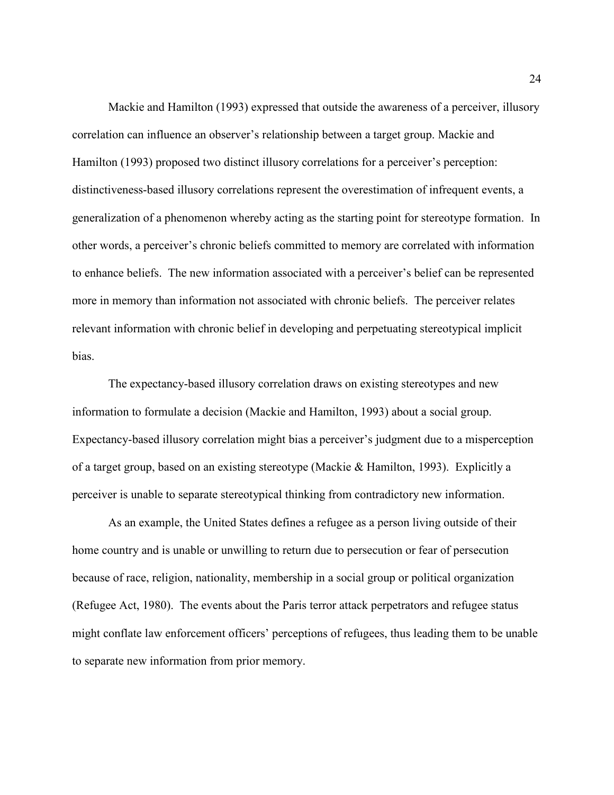Mackie and Hamilton (1993) expressed that outside the awareness of a perceiver, illusory correlation can influence an observer's relationship between a target group. Mackie and Hamilton (1993) proposed two distinct illusory correlations for a perceiver's perception: distinctiveness-based illusory correlations represent the overestimation of infrequent events, a generalization of a phenomenon whereby acting as the starting point for stereotype formation. In other words, a perceiver's chronic beliefs committed to memory are correlated with information to enhance beliefs. The new information associated with a perceiver's belief can be represented more in memory than information not associated with chronic beliefs. The perceiver relates relevant information with chronic belief in developing and perpetuating stereotypical implicit bias.

The expectancy-based illusory correlation draws on existing stereotypes and new information to formulate a decision (Mackie and Hamilton, 1993) about a social group. Expectancy-based illusory correlation might bias a perceiver's judgment due to a misperception of a target group, based on an existing stereotype (Mackie & Hamilton, 1993). Explicitly a perceiver is unable to separate stereotypical thinking from contradictory new information.

As an example, the United States defines a refugee as a person living outside of their home country and is unable or unwilling to return due to persecution or fear of persecution because of race, religion, nationality, membership in a social group or political organization (Refugee Act, 1980). The events about the Paris terror attack perpetrators and refugee status might conflate law enforcement officers' perceptions of refugees, thus leading them to be unable to separate new information from prior memory.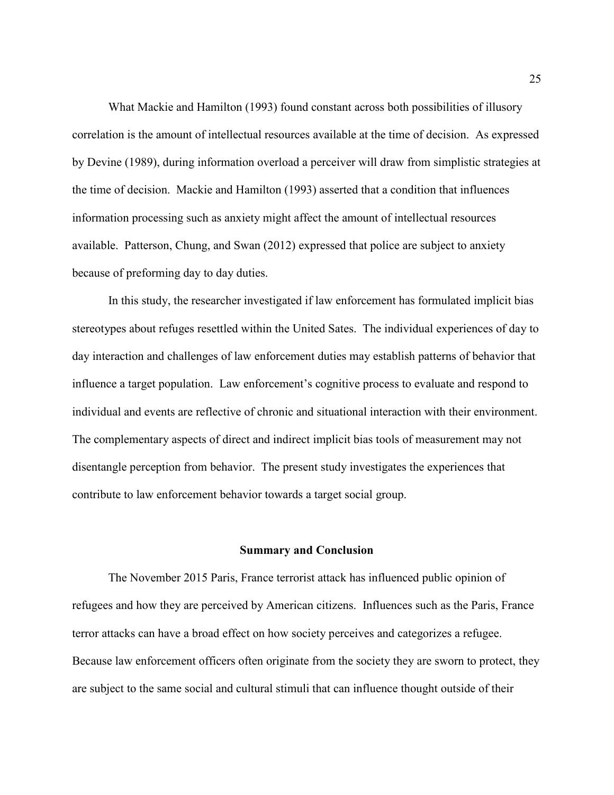What Mackie and Hamilton (1993) found constant across both possibilities of illusory correlation is the amount of intellectual resources available at the time of decision. As expressed by Devine (1989), during information overload a perceiver will draw from simplistic strategies at the time of decision. Mackie and Hamilton (1993) asserted that a condition that influences information processing such as anxiety might affect the amount of intellectual resources available. Patterson, Chung, and Swan (2012) expressed that police are subject to anxiety because of preforming day to day duties.

In this study, the researcher investigated if law enforcement has formulated implicit bias stereotypes about refuges resettled within the United Sates. The individual experiences of day to day interaction and challenges of law enforcement duties may establish patterns of behavior that influence a target population. Law enforcement's cognitive process to evaluate and respond to individual and events are reflective of chronic and situational interaction with their environment. The complementary aspects of direct and indirect implicit bias tools of measurement may not disentangle perception from behavior. The present study investigates the experiences that contribute to law enforcement behavior towards a target social group.

#### **Summary and Conclusion**

The November 2015 Paris, France terrorist attack has influenced public opinion of refugees and how they are perceived by American citizens. Influences such as the Paris, France terror attacks can have a broad effect on how society perceives and categorizes a refugee. Because law enforcement officers often originate from the society they are sworn to protect, they are subject to the same social and cultural stimuli that can influence thought outside of their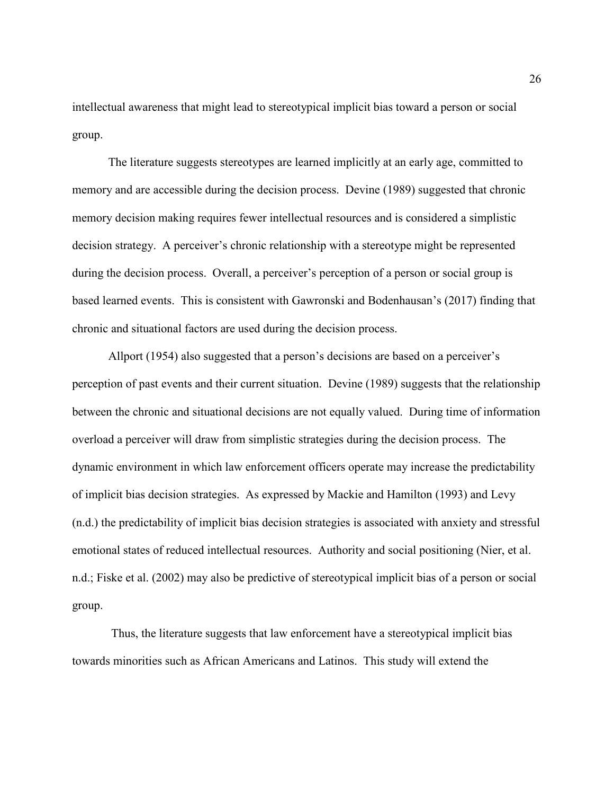intellectual awareness that might lead to stereotypical implicit bias toward a person or social group.

The literature suggests stereotypes are learned implicitly at an early age, committed to memory and are accessible during the decision process. Devine (1989) suggested that chronic memory decision making requires fewer intellectual resources and is considered a simplistic decision strategy. A perceiver's chronic relationship with a stereotype might be represented during the decision process. Overall, a perceiver's perception of a person or social group is based learned events. This is consistent with Gawronski and Bodenhausan's (2017) finding that chronic and situational factors are used during the decision process.

Allport (1954) also suggested that a person's decisions are based on a perceiver's perception of past events and their current situation. Devine (1989) suggests that the relationship between the chronic and situational decisions are not equally valued. During time of information overload a perceiver will draw from simplistic strategies during the decision process. The dynamic environment in which law enforcement officers operate may increase the predictability of implicit bias decision strategies. As expressed by Mackie and Hamilton (1993) and Levy (n.d.) the predictability of implicit bias decision strategies is associated with anxiety and stressful emotional states of reduced intellectual resources. Authority and social positioning (Nier, et al. n.d.; Fiske et al. (2002) may also be predictive of stereotypical implicit bias of a person or social group.

 Thus, the literature suggests that law enforcement have a stereotypical implicit bias towards minorities such as African Americans and Latinos. This study will extend the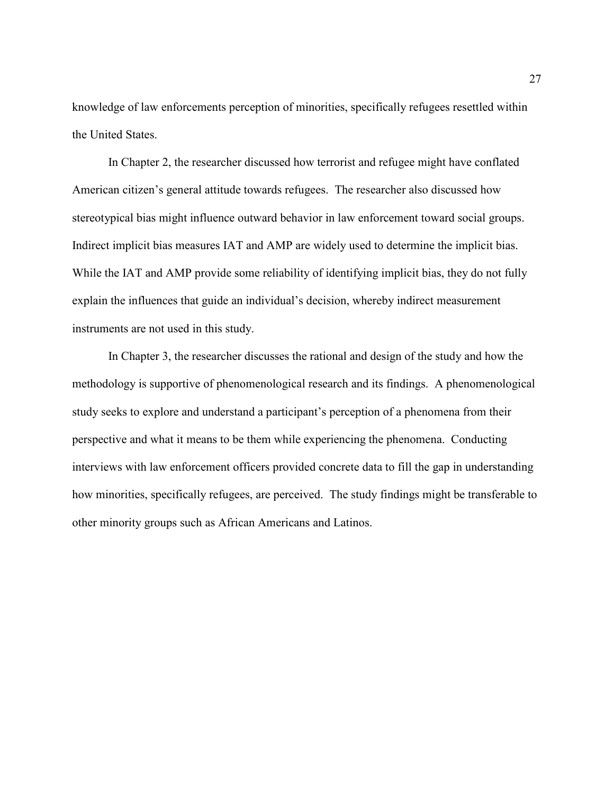knowledge of law enforcements perception of minorities, specifically refugees resettled within the United States.

In Chapter 2, the researcher discussed how terrorist and refugee might have conflated American citizen's general attitude towards refugees. The researcher also discussed how stereotypical bias might influence outward behavior in law enforcement toward social groups. Indirect implicit bias measures IAT and AMP are widely used to determine the implicit bias. While the IAT and AMP provide some reliability of identifying implicit bias, they do not fully explain the influences that guide an individual's decision, whereby indirect measurement instruments are not used in this study.

In Chapter 3, the researcher discusses the rational and design of the study and how the methodology is supportive of phenomenological research and its findings. A phenomenological study seeks to explore and understand a participant's perception of a phenomena from their perspective and what it means to be them while experiencing the phenomena. Conducting interviews with law enforcement officers provided concrete data to fill the gap in understanding how minorities, specifically refugees, are perceived. The study findings might be transferable to other minority groups such as African Americans and Latinos.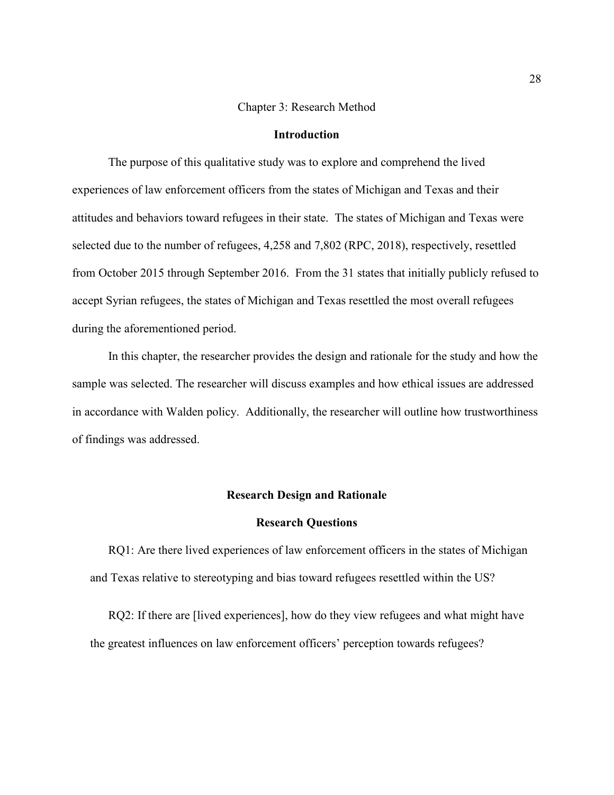## Chapter 3: Research Method

## **Introduction**

The purpose of this qualitative study was to explore and comprehend the lived experiences of law enforcement officers from the states of Michigan and Texas and their attitudes and behaviors toward refugees in their state. The states of Michigan and Texas were selected due to the number of refugees, 4,258 and 7,802 (RPC, 2018), respectively, resettled from October 2015 through September 2016. From the 31 states that initially publicly refused to accept Syrian refugees, the states of Michigan and Texas resettled the most overall refugees during the aforementioned period.

In this chapter, the researcher provides the design and rationale for the study and how the sample was selected. The researcher will discuss examples and how ethical issues are addressed in accordance with Walden policy. Additionally, the researcher will outline how trustworthiness of findings was addressed.

## **Research Design and Rationale**

## **Research Questions**

RQ1: Are there lived experiences of law enforcement officers in the states of Michigan and Texas relative to stereotyping and bias toward refugees resettled within the US?

RQ2: If there are [lived experiences], how do they view refugees and what might have the greatest influences on law enforcement officers' perception towards refugees?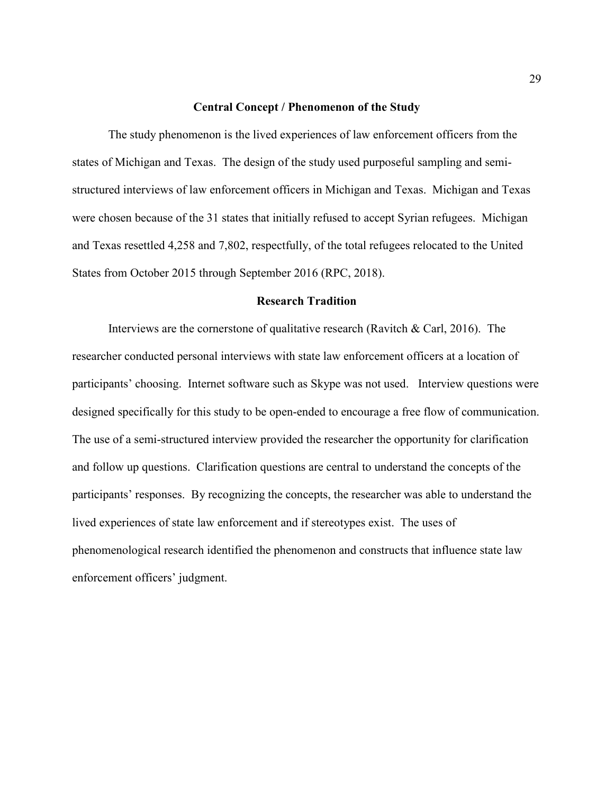## **Central Concept / Phenomenon of the Study**

The study phenomenon is the lived experiences of law enforcement officers from the states of Michigan and Texas. The design of the study used purposeful sampling and semistructured interviews of law enforcement officers in Michigan and Texas. Michigan and Texas were chosen because of the 31 states that initially refused to accept Syrian refugees. Michigan and Texas resettled 4,258 and 7,802, respectfully, of the total refugees relocated to the United States from October 2015 through September 2016 (RPC, 2018).

## **Research Tradition**

Interviews are the cornerstone of qualitative research (Ravitch & Carl, 2016). The researcher conducted personal interviews with state law enforcement officers at a location of participants' choosing. Internet software such as Skype was not used. Interview questions were designed specifically for this study to be open-ended to encourage a free flow of communication. The use of a semi-structured interview provided the researcher the opportunity for clarification and follow up questions. Clarification questions are central to understand the concepts of the participants' responses. By recognizing the concepts, the researcher was able to understand the lived experiences of state law enforcement and if stereotypes exist. The uses of phenomenological research identified the phenomenon and constructs that influence state law enforcement officers' judgment.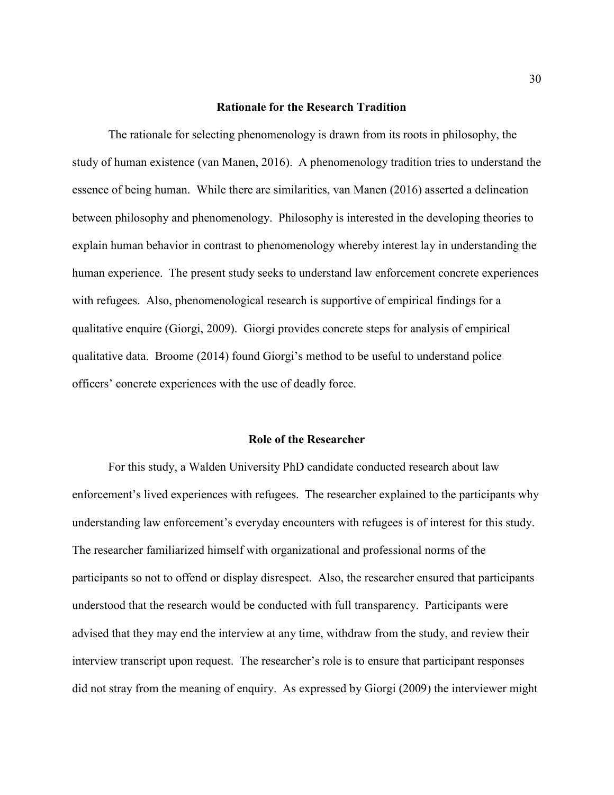#### **Rationale for the Research Tradition**

The rationale for selecting phenomenology is drawn from its roots in philosophy, the study of human existence (van Manen, 2016). A phenomenology tradition tries to understand the essence of being human. While there are similarities, van Manen (2016) asserted a delineation between philosophy and phenomenology. Philosophy is interested in the developing theories to explain human behavior in contrast to phenomenology whereby interest lay in understanding the human experience. The present study seeks to understand law enforcement concrete experiences with refugees. Also, phenomenological research is supportive of empirical findings for a qualitative enquire (Giorgi, 2009). Giorgi provides concrete steps for analysis of empirical qualitative data. Broome (2014) found Giorgi's method to be useful to understand police officers' concrete experiences with the use of deadly force.

#### **Role of the Researcher**

For this study, a Walden University PhD candidate conducted research about law enforcement's lived experiences with refugees. The researcher explained to the participants why understanding law enforcement's everyday encounters with refugees is of interest for this study. The researcher familiarized himself with organizational and professional norms of the participants so not to offend or display disrespect. Also, the researcher ensured that participants understood that the research would be conducted with full transparency. Participants were advised that they may end the interview at any time, withdraw from the study, and review their interview transcript upon request. The researcher's role is to ensure that participant responses did not stray from the meaning of enquiry. As expressed by Giorgi (2009) the interviewer might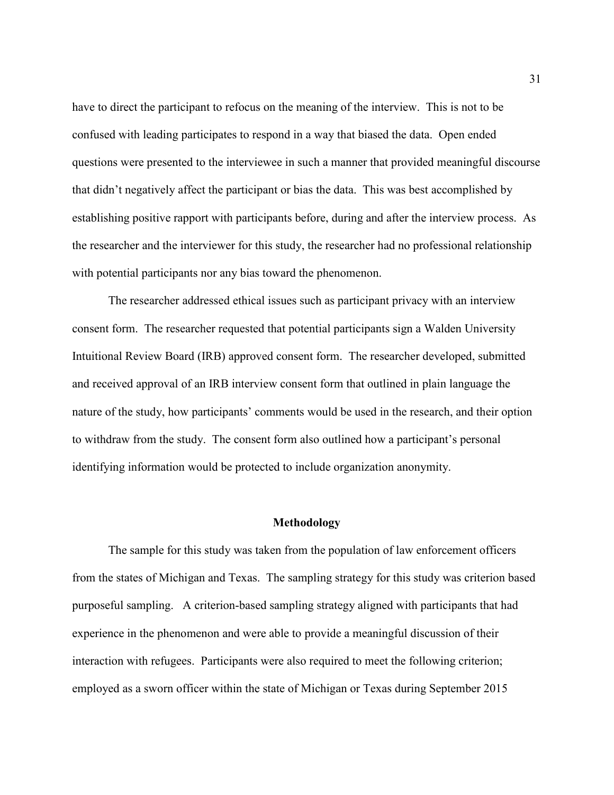have to direct the participant to refocus on the meaning of the interview. This is not to be confused with leading participates to respond in a way that biased the data. Open ended questions were presented to the interviewee in such a manner that provided meaningful discourse that didn't negatively affect the participant or bias the data. This was best accomplished by establishing positive rapport with participants before, during and after the interview process. As the researcher and the interviewer for this study, the researcher had no professional relationship with potential participants nor any bias toward the phenomenon.

The researcher addressed ethical issues such as participant privacy with an interview consent form. The researcher requested that potential participants sign a Walden University Intuitional Review Board (IRB) approved consent form. The researcher developed, submitted and received approval of an IRB interview consent form that outlined in plain language the nature of the study, how participants' comments would be used in the research, and their option to withdraw from the study. The consent form also outlined how a participant's personal identifying information would be protected to include organization anonymity.

## **Methodology**

The sample for this study was taken from the population of law enforcement officers from the states of Michigan and Texas. The sampling strategy for this study was criterion based purposeful sampling. A criterion-based sampling strategy aligned with participants that had experience in the phenomenon and were able to provide a meaningful discussion of their interaction with refugees. Participants were also required to meet the following criterion; employed as a sworn officer within the state of Michigan or Texas during September 2015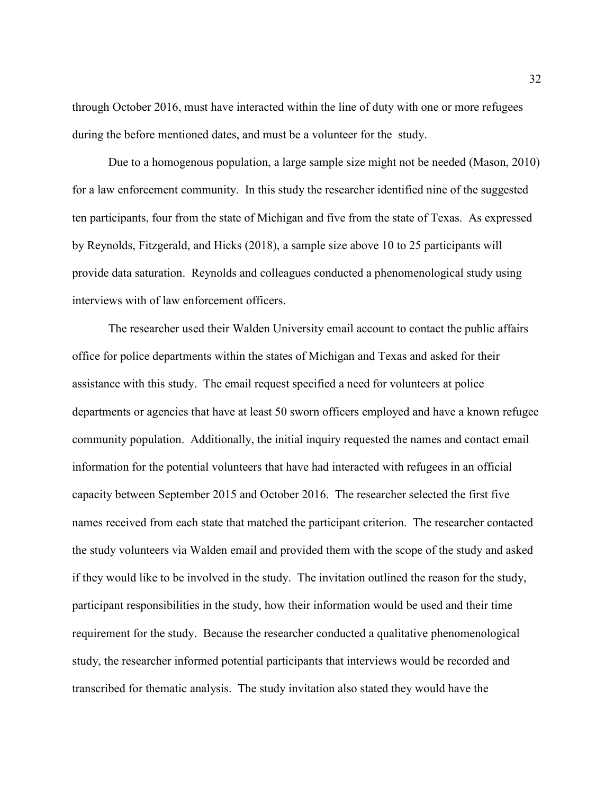through October 2016, must have interacted within the line of duty with one or more refugees during the before mentioned dates, and must be a volunteer for the study.

Due to a homogenous population, a large sample size might not be needed (Mason, 2010) for a law enforcement community. In this study the researcher identified nine of the suggested ten participants, four from the state of Michigan and five from the state of Texas. As expressed by Reynolds, Fitzgerald, and Hicks (2018), a sample size above 10 to 25 participants will provide data saturation. Reynolds and colleagues conducted a phenomenological study using interviews with of law enforcement officers.

The researcher used their Walden University email account to contact the public affairs office for police departments within the states of Michigan and Texas and asked for their assistance with this study. The email request specified a need for volunteers at police departments or agencies that have at least 50 sworn officers employed and have a known refugee community population. Additionally, the initial inquiry requested the names and contact email information for the potential volunteers that have had interacted with refugees in an official capacity between September 2015 and October 2016. The researcher selected the first five names received from each state that matched the participant criterion. The researcher contacted the study volunteers via Walden email and provided them with the scope of the study and asked if they would like to be involved in the study. The invitation outlined the reason for the study, participant responsibilities in the study, how their information would be used and their time requirement for the study. Because the researcher conducted a qualitative phenomenological study, the researcher informed potential participants that interviews would be recorded and transcribed for thematic analysis. The study invitation also stated they would have the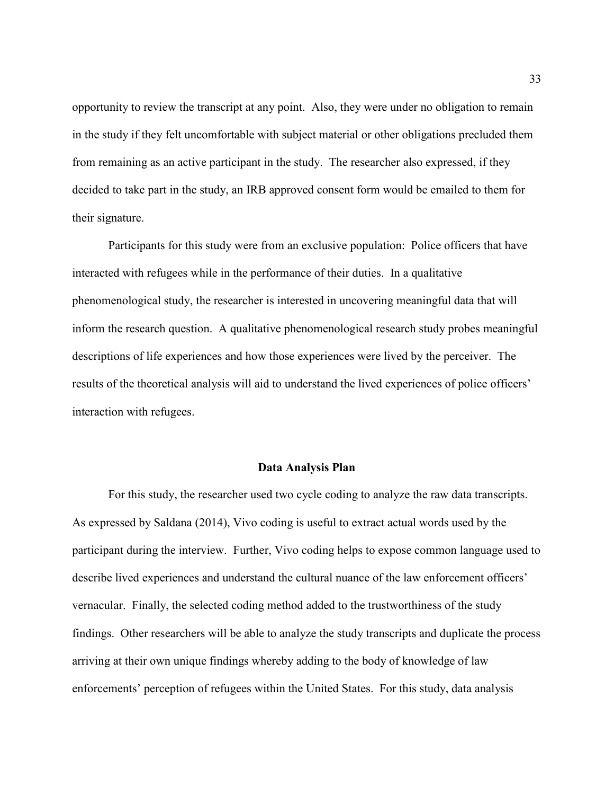opportunity to review the transcript at any point. Also, they were under no obligation to remain in the study if they felt uncomfortable with subject material or other obligations precluded them from remaining as an active participant in the study. The researcher also expressed, if they decided to take part in the study, an IRB approved consent form would be emailed to them for their signature.

Participants for this study were from an exclusive population: Police officers that have interacted with refugees while in the performance of their duties. In a qualitative phenomenological study, the researcher is interested in uncovering meaningful data that will inform the research question. A qualitative phenomenological research study probes meaningful descriptions of life experiences and how those experiences were lived by the perceiver. The results of the theoretical analysis will aid to understand the lived experiences of police officers' interaction with refugees.

## **Data Analysis Plan**

For this study, the researcher used two cycle coding to analyze the raw data transcripts. As expressed by Saldana (2014), Vivo coding is useful to extract actual words used by the participant during the interview. Further, Vivo coding helps to expose common language used to describe lived experiences and understand the cultural nuance of the law enforcement officers' vernacular. Finally, the selected coding method added to the trustworthiness of the study findings. Other researchers will be able to analyze the study transcripts and duplicate the process arriving at their own unique findings whereby adding to the body of knowledge of law enforcements' perception of refugees within the United States. For this study, data analysis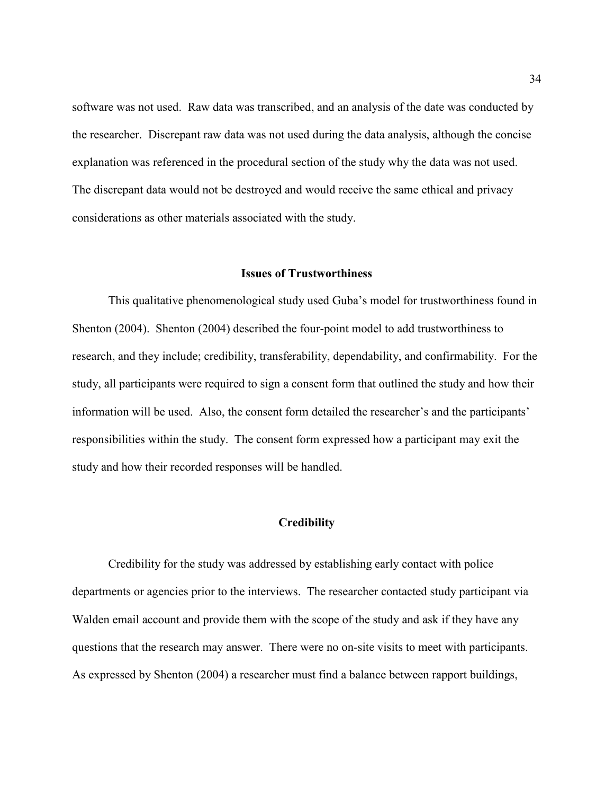software was not used. Raw data was transcribed, and an analysis of the date was conducted by the researcher. Discrepant raw data was not used during the data analysis, although the concise explanation was referenced in the procedural section of the study why the data was not used. The discrepant data would not be destroyed and would receive the same ethical and privacy considerations as other materials associated with the study.

#### **Issues of Trustworthiness**

This qualitative phenomenological study used Guba's model for trustworthiness found in Shenton (2004). Shenton (2004) described the four-point model to add trustworthiness to research, and they include; credibility, transferability, dependability, and confirmability. For the study, all participants were required to sign a consent form that outlined the study and how their information will be used. Also, the consent form detailed the researcher's and the participants' responsibilities within the study. The consent form expressed how a participant may exit the study and how their recorded responses will be handled.

## **Credibility**

Credibility for the study was addressed by establishing early contact with police departments or agencies prior to the interviews. The researcher contacted study participant via Walden email account and provide them with the scope of the study and ask if they have any questions that the research may answer. There were no on-site visits to meet with participants. As expressed by Shenton (2004) a researcher must find a balance between rapport buildings,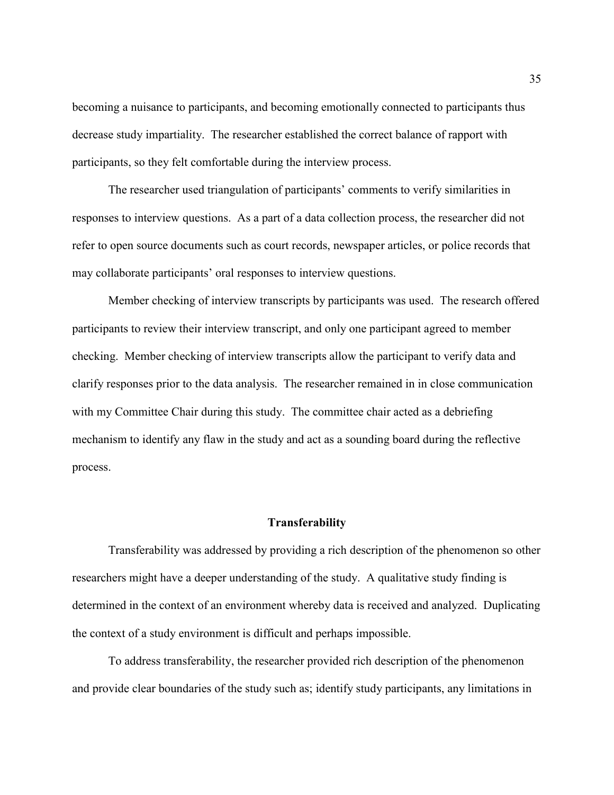becoming a nuisance to participants, and becoming emotionally connected to participants thus decrease study impartiality. The researcher established the correct balance of rapport with participants, so they felt comfortable during the interview process.

The researcher used triangulation of participants' comments to verify similarities in responses to interview questions. As a part of a data collection process, the researcher did not refer to open source documents such as court records, newspaper articles, or police records that may collaborate participants' oral responses to interview questions.

Member checking of interview transcripts by participants was used. The research offered participants to review their interview transcript, and only one participant agreed to member checking. Member checking of interview transcripts allow the participant to verify data and clarify responses prior to the data analysis. The researcher remained in in close communication with my Committee Chair during this study. The committee chair acted as a debriefing mechanism to identify any flaw in the study and act as a sounding board during the reflective process.

## **Transferability**

Transferability was addressed by providing a rich description of the phenomenon so other researchers might have a deeper understanding of the study. A qualitative study finding is determined in the context of an environment whereby data is received and analyzed. Duplicating the context of a study environment is difficult and perhaps impossible.

To address transferability, the researcher provided rich description of the phenomenon and provide clear boundaries of the study such as; identify study participants, any limitations in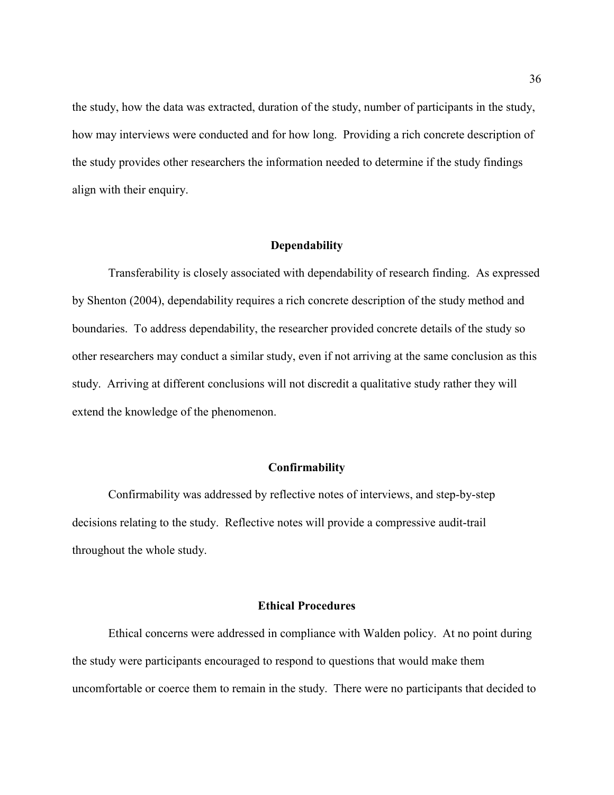the study, how the data was extracted, duration of the study, number of participants in the study, how may interviews were conducted and for how long. Providing a rich concrete description of the study provides other researchers the information needed to determine if the study findings align with their enquiry.

## **Dependability**

Transferability is closely associated with dependability of research finding. As expressed by Shenton (2004), dependability requires a rich concrete description of the study method and boundaries. To address dependability, the researcher provided concrete details of the study so other researchers may conduct a similar study, even if not arriving at the same conclusion as this study. Arriving at different conclusions will not discredit a qualitative study rather they will extend the knowledge of the phenomenon.

#### **Confirmability**

Confirmability was addressed by reflective notes of interviews, and step-by-step decisions relating to the study. Reflective notes will provide a compressive audit-trail throughout the whole study.

## **Ethical Procedures**

Ethical concerns were addressed in compliance with Walden policy. At no point during the study were participants encouraged to respond to questions that would make them uncomfortable or coerce them to remain in the study. There were no participants that decided to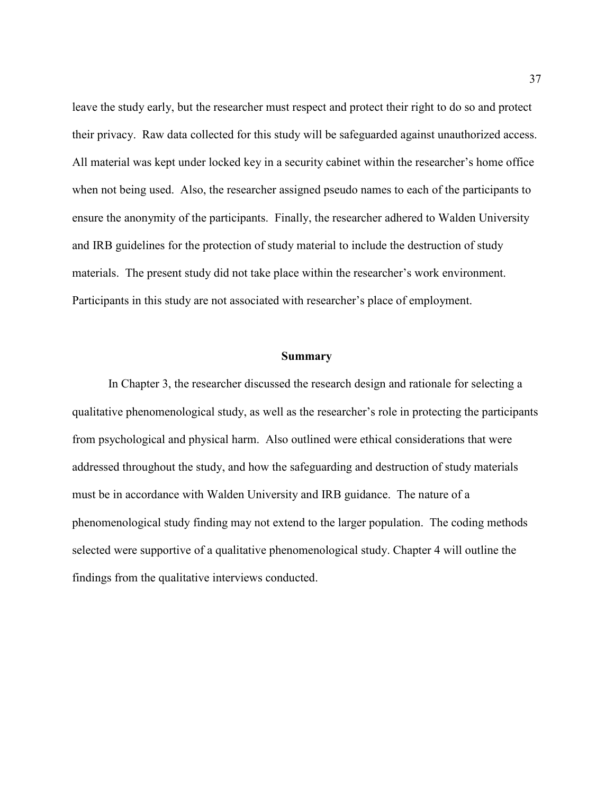leave the study early, but the researcher must respect and protect their right to do so and protect their privacy. Raw data collected for this study will be safeguarded against unauthorized access. All material was kept under locked key in a security cabinet within the researcher's home office when not being used. Also, the researcher assigned pseudo names to each of the participants to ensure the anonymity of the participants. Finally, the researcher adhered to Walden University and IRB guidelines for the protection of study material to include the destruction of study materials. The present study did not take place within the researcher's work environment. Participants in this study are not associated with researcher's place of employment.

## **Summary**

In Chapter 3, the researcher discussed the research design and rationale for selecting a qualitative phenomenological study, as well as the researcher's role in protecting the participants from psychological and physical harm. Also outlined were ethical considerations that were addressed throughout the study, and how the safeguarding and destruction of study materials must be in accordance with Walden University and IRB guidance. The nature of a phenomenological study finding may not extend to the larger population. The coding methods selected were supportive of a qualitative phenomenological study. Chapter 4 will outline the findings from the qualitative interviews conducted.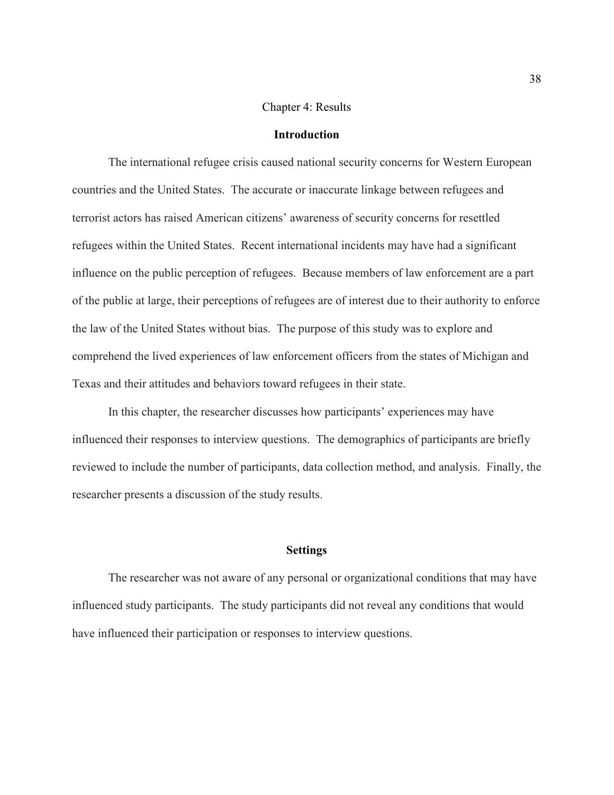## Chapter 4: Results

## **Introduction**

The international refugee crisis caused national security concerns for Western European countries and the United States. The accurate or inaccurate linkage between refugees and terrorist actors has raised American citizens' awareness of security concerns for resettled refugees within the United States. Recent international incidents may have had a significant influence on the public perception of refugees. Because members of law enforcement are a part of the public at large, their perceptions of refugees are of interest due to their authority to enforce the law of the United States without bias. The purpose of this study was to explore and comprehend the lived experiences of law enforcement officers from the states of Michigan and Texas and their attitudes and behaviors toward refugees in their state.

In this chapter, the researcher discusses how participants' experiences may have influenced their responses to interview questions. The demographics of participants are briefly reviewed to include the number of participants, data collection method, and analysis. Finally, the researcher presents a discussion of the study results.

## **Settings**

The researcher was not aware of any personal or organizational conditions that may have influenced study participants. The study participants did not reveal any conditions that would have influenced their participation or responses to interview questions.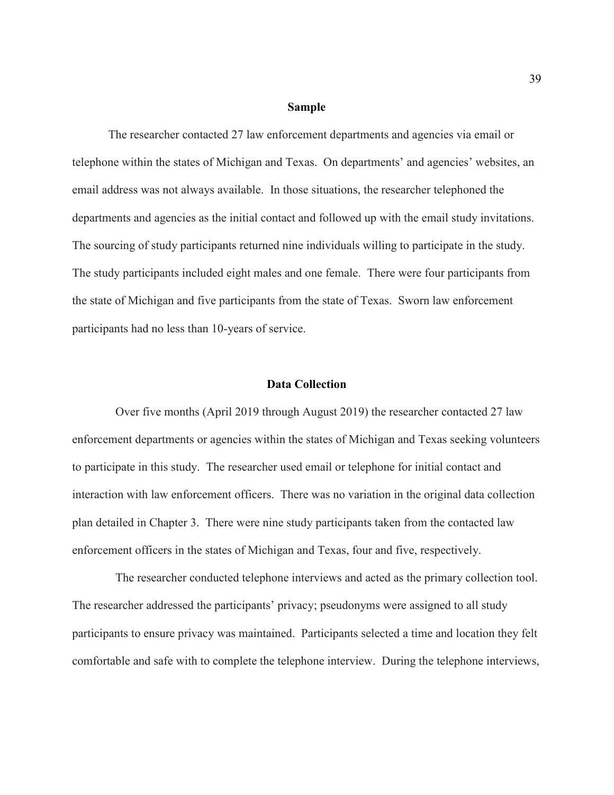#### **Sample**

The researcher contacted 27 law enforcement departments and agencies via email or telephone within the states of Michigan and Texas. On departments' and agencies' websites, an email address was not always available. In those situations, the researcher telephoned the departments and agencies as the initial contact and followed up with the email study invitations. The sourcing of study participants returned nine individuals willing to participate in the study. The study participants included eight males and one female. There were four participants from the state of Michigan and five participants from the state of Texas. Sworn law enforcement participants had no less than 10-years of service.

#### **Data Collection**

Over five months (April 2019 through August 2019) the researcher contacted 27 law enforcement departments or agencies within the states of Michigan and Texas seeking volunteers to participate in this study. The researcher used email or telephone for initial contact and interaction with law enforcement officers. There was no variation in the original data collection plan detailed in Chapter 3. There were nine study participants taken from the contacted law enforcement officers in the states of Michigan and Texas, four and five, respectively.

The researcher conducted telephone interviews and acted as the primary collection tool. The researcher addressed the participants' privacy; pseudonyms were assigned to all study participants to ensure privacy was maintained. Participants selected a time and location they felt comfortable and safe with to complete the telephone interview. During the telephone interviews,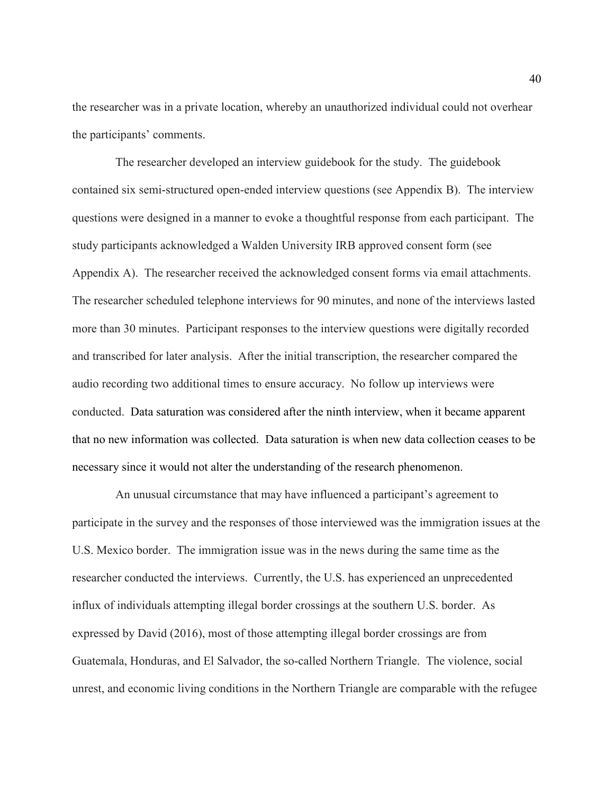the researcher was in a private location, whereby an unauthorized individual could not overhear the participants' comments.

The researcher developed an interview guidebook for the study. The guidebook contained six semi-structured open-ended interview questions (see Appendix B). The interview questions were designed in a manner to evoke a thoughtful response from each participant. The study participants acknowledged a Walden University IRB approved consent form (see Appendix A). The researcher received the acknowledged consent forms via email attachments. The researcher scheduled telephone interviews for 90 minutes, and none of the interviews lasted more than 30 minutes. Participant responses to the interview questions were digitally recorded and transcribed for later analysis. After the initial transcription, the researcher compared the audio recording two additional times to ensure accuracy. No follow up interviews were conducted. Data saturation was considered after the ninth interview, when it became apparent that no new information was collected. Data saturation is when new data collection ceases to be necessary since it would not alter the understanding of the research phenomenon.

An unusual circumstance that may have influenced a participant's agreement to participate in the survey and the responses of those interviewed was the immigration issues at the U.S. Mexico border. The immigration issue was in the news during the same time as the researcher conducted the interviews. Currently, the U.S. has experienced an unprecedented influx of individuals attempting illegal border crossings at the southern U.S. border. As expressed by David (2016), most of those attempting illegal border crossings are from Guatemala, Honduras, and El Salvador, the so-called Northern Triangle. The violence, social unrest, and economic living conditions in the Northern Triangle are comparable with the refugee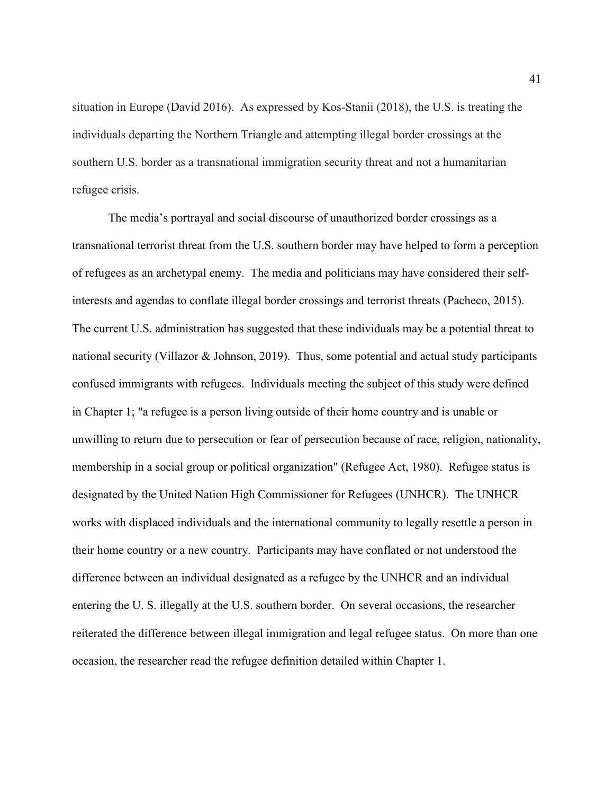situation in Europe (David 2016). As expressed by Kos-Stanii (2018), the U.S. is treating the individuals departing the Northern Triangle and attempting illegal border crossings at the southern U.S. border as a transnational immigration security threat and not a humanitarian refugee crisis.

The media's portrayal and social discourse of unauthorized border crossings as a transnational terrorist threat from the U.S. southern border may have helped to form a perception of refugees as an archetypal enemy. The media and politicians may have considered their selfinterests and agendas to conflate illegal border crossings and terrorist threats (Pacheco, 2015). The current U.S. administration has suggested that these individuals may be a potential threat to national security (Villazor & Johnson, 2019). Thus, some potential and actual study participants confused immigrants with refugees. Individuals meeting the subject of this study were defined in Chapter 1; "a refugee is a person living outside of their home country and is unable or unwilling to return due to persecution or fear of persecution because of race, religion, nationality, membership in a social group or political organization" (Refugee Act, 1980). Refugee status is designated by the United Nation High Commissioner for Refugees (UNHCR). The UNHCR works with displaced individuals and the international community to legally resettle a person in their home country or a new country. Participants may have conflated or not understood the difference between an individual designated as a refugee by the UNHCR and an individual entering the U. S. illegally at the U.S. southern border. On several occasions, the researcher reiterated the difference between illegal immigration and legal refugee status. On more than one occasion, the researcher read the refugee definition detailed within Chapter 1.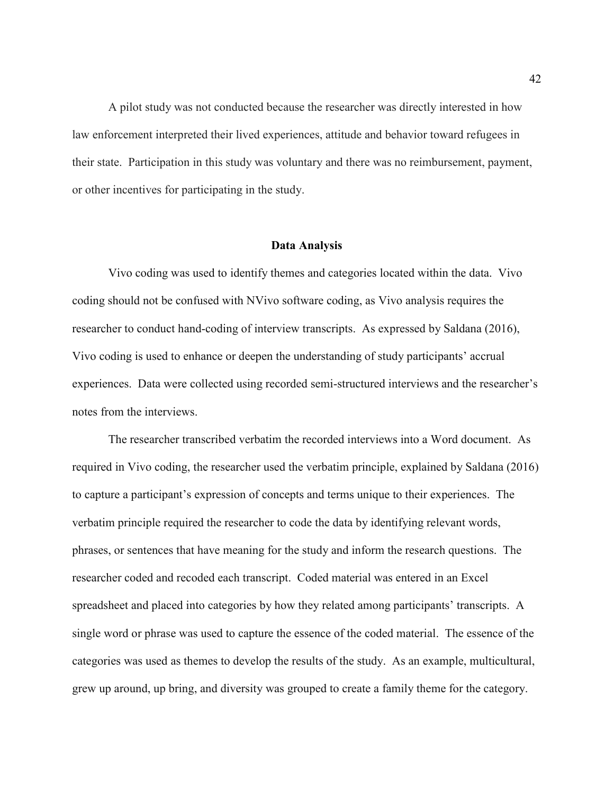A pilot study was not conducted because the researcher was directly interested in how law enforcement interpreted their lived experiences, attitude and behavior toward refugees in their state. Participation in this study was voluntary and there was no reimbursement, payment, or other incentives for participating in the study.

## **Data Analysis**

Vivo coding was used to identify themes and categories located within the data. Vivo coding should not be confused with NVivo software coding, as Vivo analysis requires the researcher to conduct hand-coding of interview transcripts. As expressed by Saldana (2016), Vivo coding is used to enhance or deepen the understanding of study participants' accrual experiences. Data were collected using recorded semi-structured interviews and the researcher's notes from the interviews.

The researcher transcribed verbatim the recorded interviews into a Word document. As required in Vivo coding, the researcher used the verbatim principle, explained by Saldana (2016) to capture a participant's expression of concepts and terms unique to their experiences. The verbatim principle required the researcher to code the data by identifying relevant words, phrases, or sentences that have meaning for the study and inform the research questions. The researcher coded and recoded each transcript. Coded material was entered in an Excel spreadsheet and placed into categories by how they related among participants' transcripts. A single word or phrase was used to capture the essence of the coded material. The essence of the categories was used as themes to develop the results of the study. As an example, multicultural, grew up around, up bring, and diversity was grouped to create a family theme for the category.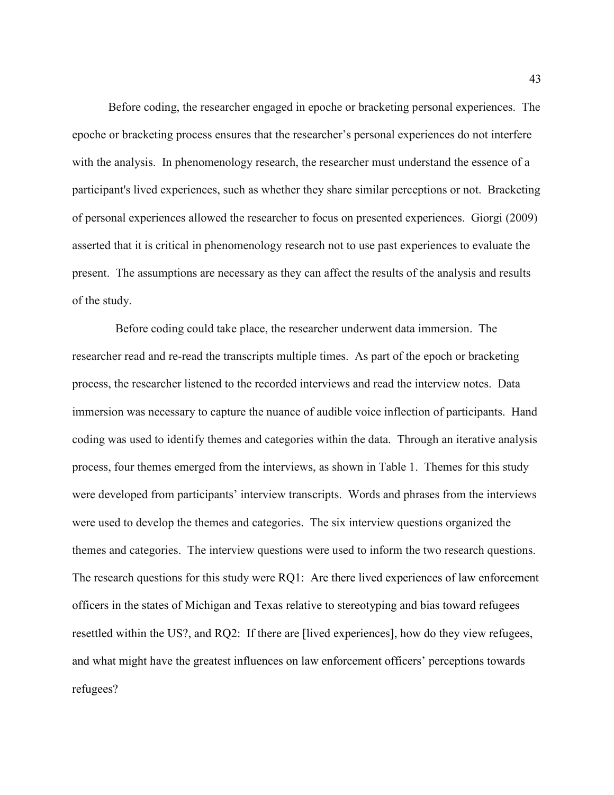Before coding, the researcher engaged in epoche or bracketing personal experiences. The epoche or bracketing process ensures that the researcher's personal experiences do not interfere with the analysis. In phenomenology research, the researcher must understand the essence of a participant's lived experiences, such as whether they share similar perceptions or not. Bracketing of personal experiences allowed the researcher to focus on presented experiences. Giorgi (2009) asserted that it is critical in phenomenology research not to use past experiences to evaluate the present. The assumptions are necessary as they can affect the results of the analysis and results of the study.

Before coding could take place, the researcher underwent data immersion. The researcher read and re-read the transcripts multiple times. As part of the epoch or bracketing process, the researcher listened to the recorded interviews and read the interview notes. Data immersion was necessary to capture the nuance of audible voice inflection of participants. Hand coding was used to identify themes and categories within the data. Through an iterative analysis process, four themes emerged from the interviews, as shown in Table 1. Themes for this study were developed from participants' interview transcripts. Words and phrases from the interviews were used to develop the themes and categories. The six interview questions organized the themes and categories. The interview questions were used to inform the two research questions. The research questions for this study were RQ1: Are there lived experiences of law enforcement officers in the states of Michigan and Texas relative to stereotyping and bias toward refugees resettled within the US?, and RQ2: If there are [lived experiences], how do they view refugees, and what might have the greatest influences on law enforcement officers' perceptions towards refugees?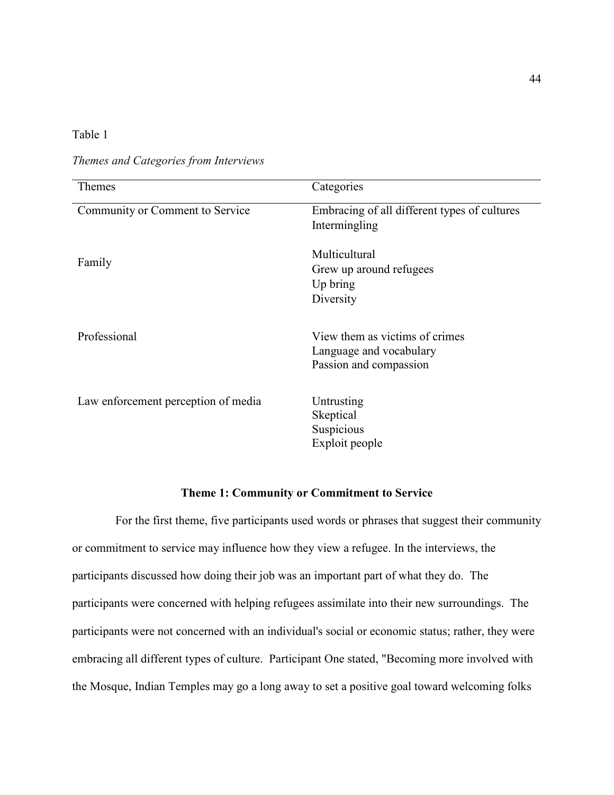# Table 1

*Themes and Categories from Interviews* 

| Themes                              | Categories                                   |
|-------------------------------------|----------------------------------------------|
| Community or Comment to Service     | Embracing of all different types of cultures |
|                                     | Intermingling                                |
|                                     |                                              |
| Family                              | Multicultural                                |
|                                     | Grew up around refugees                      |
|                                     | Up bring                                     |
|                                     | Diversity                                    |
|                                     |                                              |
| Professional                        | View them as victims of crimes               |
|                                     | Language and vocabulary                      |
|                                     | Passion and compassion                       |
|                                     |                                              |
|                                     | Untrusting                                   |
| Law enforcement perception of media |                                              |
|                                     | Skeptical                                    |
|                                     | Suspicious                                   |
|                                     | Exploit people                               |
|                                     |                                              |

# **Theme 1: Community or Commitment to Service**

For the first theme, five participants used words or phrases that suggest their community or commitment to service may influence how they view a refugee. In the interviews, the participants discussed how doing their job was an important part of what they do. The participants were concerned with helping refugees assimilate into their new surroundings. The participants were not concerned with an individual's social or economic status; rather, they were embracing all different types of culture. Participant One stated, "Becoming more involved with the Mosque, Indian Temples may go a long away to set a positive goal toward welcoming folks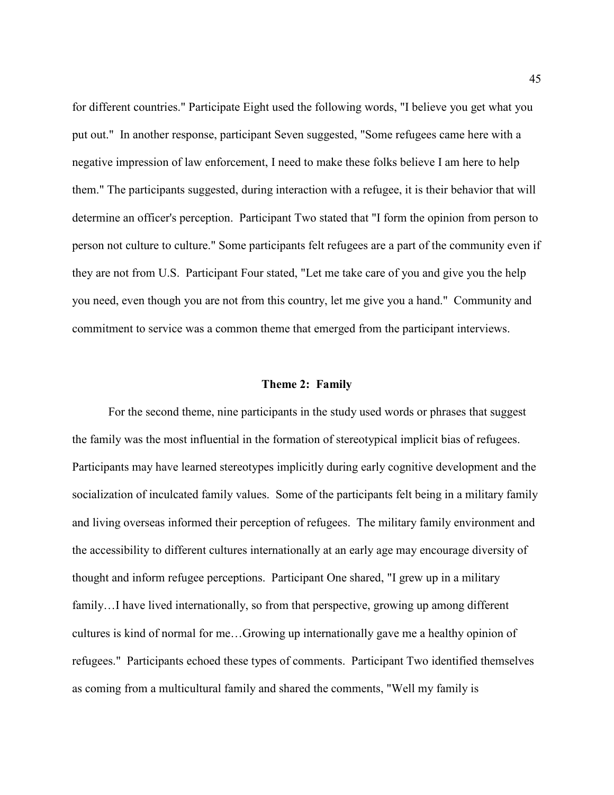for different countries." Participate Eight used the following words, "I believe you get what you put out." In another response, participant Seven suggested, "Some refugees came here with a negative impression of law enforcement, I need to make these folks believe I am here to help them." The participants suggested, during interaction with a refugee, it is their behavior that will determine an officer's perception. Participant Two stated that "I form the opinion from person to person not culture to culture." Some participants felt refugees are a part of the community even if they are not from U.S. Participant Four stated, "Let me take care of you and give you the help you need, even though you are not from this country, let me give you a hand." Community and commitment to service was a common theme that emerged from the participant interviews.

## **Theme 2: Family**

For the second theme, nine participants in the study used words or phrases that suggest the family was the most influential in the formation of stereotypical implicit bias of refugees. Participants may have learned stereotypes implicitly during early cognitive development and the socialization of inculcated family values. Some of the participants felt being in a military family and living overseas informed their perception of refugees. The military family environment and the accessibility to different cultures internationally at an early age may encourage diversity of thought and inform refugee perceptions. Participant One shared, "I grew up in a military family...I have lived internationally, so from that perspective, growing up among different cultures is kind of normal for me…Growing up internationally gave me a healthy opinion of refugees." Participants echoed these types of comments. Participant Two identified themselves as coming from a multicultural family and shared the comments, "Well my family is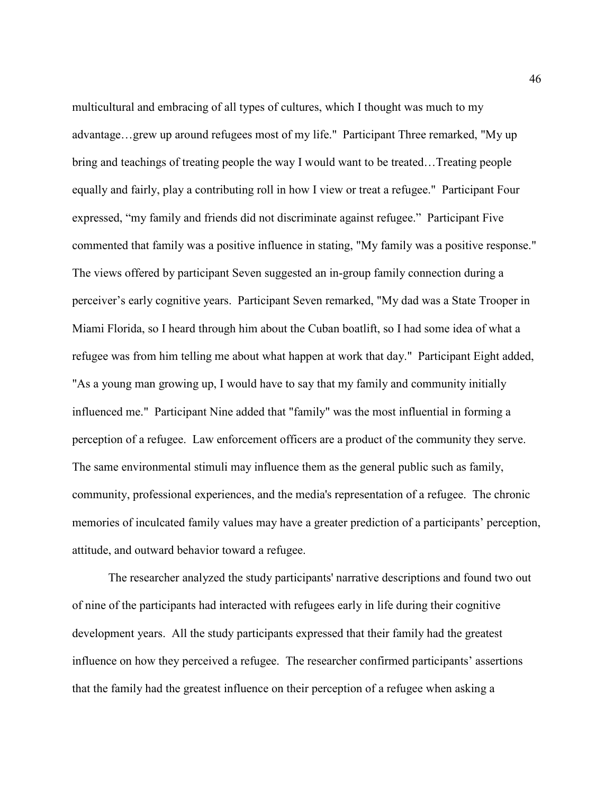multicultural and embracing of all types of cultures, which I thought was much to my advantage…grew up around refugees most of my life." Participant Three remarked, "My up bring and teachings of treating people the way I would want to be treated…Treating people equally and fairly, play a contributing roll in how I view or treat a refugee." Participant Four expressed, "my family and friends did not discriminate against refugee." Participant Five commented that family was a positive influence in stating, "My family was a positive response." The views offered by participant Seven suggested an in-group family connection during a perceiver's early cognitive years. Participant Seven remarked, "My dad was a State Trooper in Miami Florida, so I heard through him about the Cuban boatlift, so I had some idea of what a refugee was from him telling me about what happen at work that day." Participant Eight added, "As a young man growing up, I would have to say that my family and community initially influenced me." Participant Nine added that "family" was the most influential in forming a perception of a refugee. Law enforcement officers are a product of the community they serve. The same environmental stimuli may influence them as the general public such as family, community, professional experiences, and the media's representation of a refugee. The chronic memories of inculcated family values may have a greater prediction of a participants' perception, attitude, and outward behavior toward a refugee.

The researcher analyzed the study participants' narrative descriptions and found two out of nine of the participants had interacted with refugees early in life during their cognitive development years. All the study participants expressed that their family had the greatest influence on how they perceived a refugee. The researcher confirmed participants' assertions that the family had the greatest influence on their perception of a refugee when asking a

46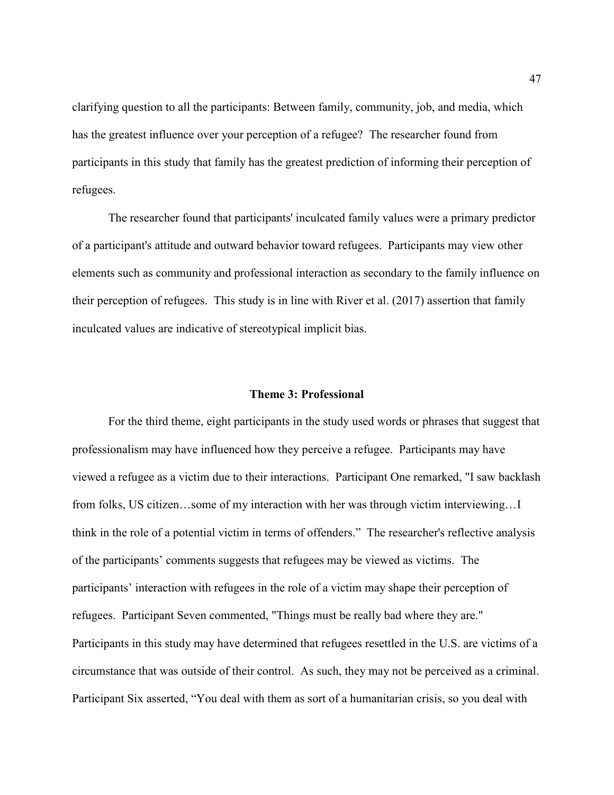clarifying question to all the participants: Between family, community, job, and media, which has the greatest influence over your perception of a refugee? The researcher found from participants in this study that family has the greatest prediction of informing their perception of refugees.

The researcher found that participants' inculcated family values were a primary predictor of a participant's attitude and outward behavior toward refugees. Participants may view other elements such as community and professional interaction as secondary to the family influence on their perception of refugees. This study is in line with River et al. (2017) assertion that family inculcated values are indicative of stereotypical implicit bias.

## **Theme 3: Professional**

For the third theme, eight participants in the study used words or phrases that suggest that professionalism may have influenced how they perceive a refugee. Participants may have viewed a refugee as a victim due to their interactions. Participant One remarked, "I saw backlash from folks, US citizen…some of my interaction with her was through victim interviewing…I think in the role of a potential victim in terms of offenders." The researcher's reflective analysis of the participants' comments suggests that refugees may be viewed as victims. The participants' interaction with refugees in the role of a victim may shape their perception of refugees. Participant Seven commented, "Things must be really bad where they are." Participants in this study may have determined that refugees resettled in the U.S. are victims of a circumstance that was outside of their control. As such, they may not be perceived as a criminal. Participant Six asserted, "You deal with them as sort of a humanitarian crisis, so you deal with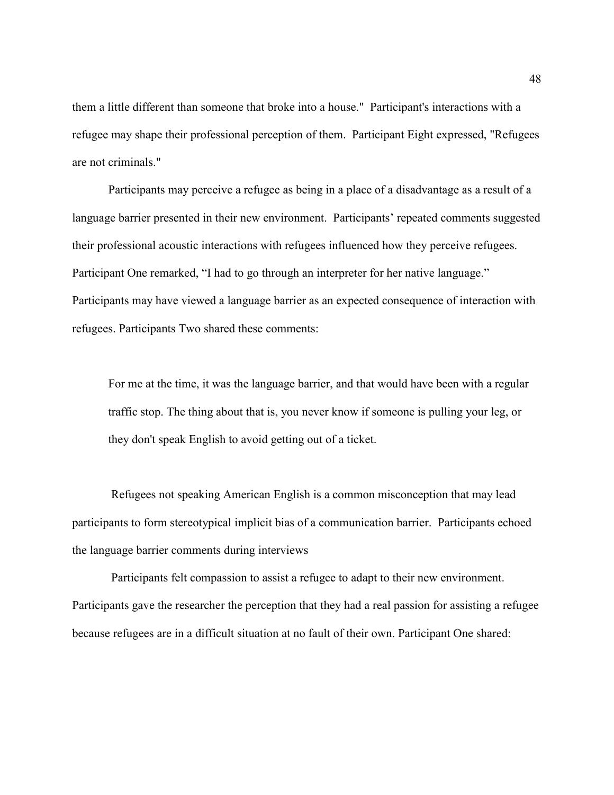them a little different than someone that broke into a house." Participant's interactions with a refugee may shape their professional perception of them. Participant Eight expressed, "Refugees are not criminals."

Participants may perceive a refugee as being in a place of a disadvantage as a result of a language barrier presented in their new environment. Participants' repeated comments suggested their professional acoustic interactions with refugees influenced how they perceive refugees. Participant One remarked, "I had to go through an interpreter for her native language." Participants may have viewed a language barrier as an expected consequence of interaction with refugees. Participants Two shared these comments:

For me at the time, it was the language barrier, and that would have been with a regular traffic stop. The thing about that is, you never know if someone is pulling your leg, or they don't speak English to avoid getting out of a ticket.

 Refugees not speaking American English is a common misconception that may lead participants to form stereotypical implicit bias of a communication barrier. Participants echoed the language barrier comments during interviews

 Participants felt compassion to assist a refugee to adapt to their new environment. Participants gave the researcher the perception that they had a real passion for assisting a refugee because refugees are in a difficult situation at no fault of their own. Participant One shared: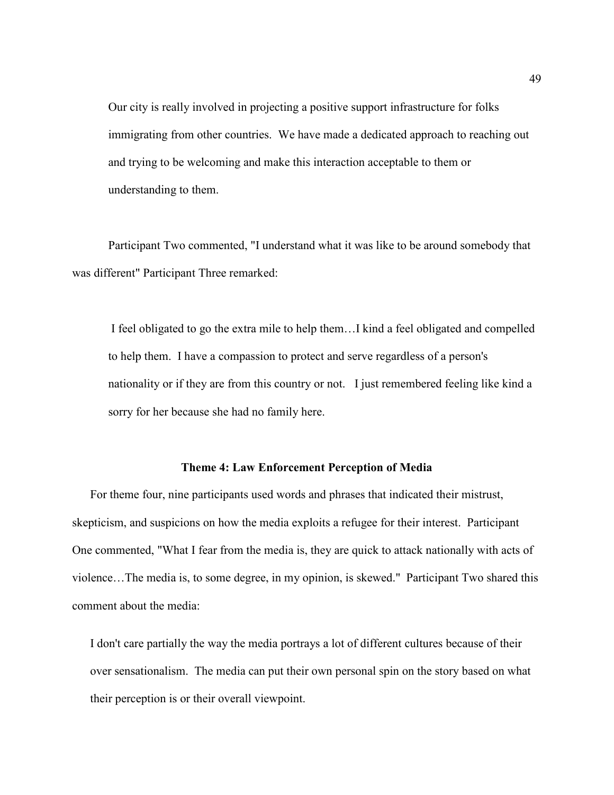Our city is really involved in projecting a positive support infrastructure for folks immigrating from other countries. We have made a dedicated approach to reaching out and trying to be welcoming and make this interaction acceptable to them or understanding to them.

Participant Two commented, "I understand what it was like to be around somebody that was different" Participant Three remarked:

I feel obligated to go the extra mile to help them…I kind a feel obligated and compelled to help them. I have a compassion to protect and serve regardless of a person's nationality or if they are from this country or not. I just remembered feeling like kind a sorry for her because she had no family here.

## **Theme 4: Law Enforcement Perception of Media**

For theme four, nine participants used words and phrases that indicated their mistrust, skepticism, and suspicions on how the media exploits a refugee for their interest. Participant One commented, "What I fear from the media is, they are quick to attack nationally with acts of violence…The media is, to some degree, in my opinion, is skewed." Participant Two shared this comment about the media:

I don't care partially the way the media portrays a lot of different cultures because of their over sensationalism. The media can put their own personal spin on the story based on what their perception is or their overall viewpoint.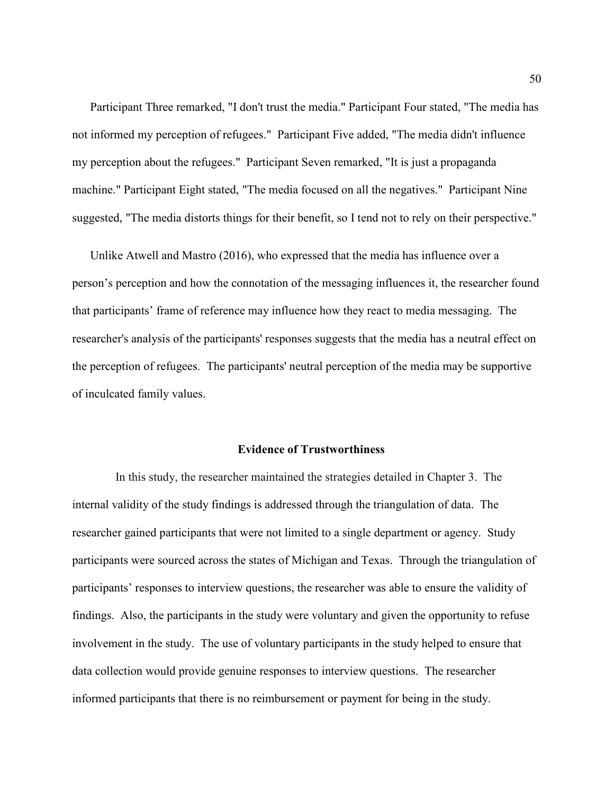Participant Three remarked, "I don't trust the media." Participant Four stated, "The media has not informed my perception of refugees." Participant Five added, "The media didn't influence my perception about the refugees." Participant Seven remarked, "It is just a propaganda machine." Participant Eight stated, "The media focused on all the negatives." Participant Nine suggested, "The media distorts things for their benefit, so I tend not to rely on their perspective."

Unlike Atwell and Mastro (2016), who expressed that the media has influence over a person's perception and how the connotation of the messaging influences it, the researcher found that participants' frame of reference may influence how they react to media messaging. The researcher's analysis of the participants' responses suggests that the media has a neutral effect on the perception of refugees. The participants' neutral perception of the media may be supportive of inculcated family values.

# **Evidence of Trustworthiness**

In this study, the researcher maintained the strategies detailed in Chapter 3. The internal validity of the study findings is addressed through the triangulation of data. The researcher gained participants that were not limited to a single department or agency. Study participants were sourced across the states of Michigan and Texas. Through the triangulation of participants' responses to interview questions, the researcher was able to ensure the validity of findings. Also, the participants in the study were voluntary and given the opportunity to refuse involvement in the study. The use of voluntary participants in the study helped to ensure that data collection would provide genuine responses to interview questions. The researcher informed participants that there is no reimbursement or payment for being in the study.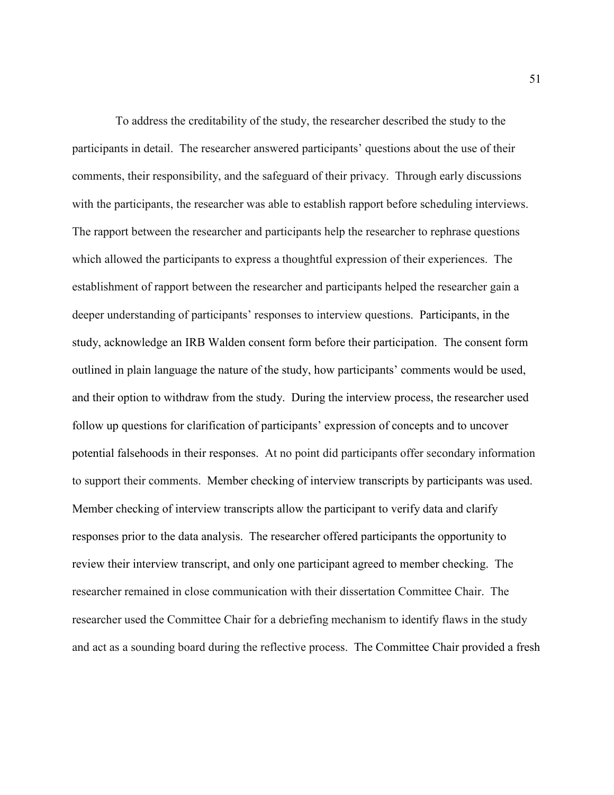To address the creditability of the study, the researcher described the study to the participants in detail. The researcher answered participants' questions about the use of their comments, their responsibility, and the safeguard of their privacy. Through early discussions with the participants, the researcher was able to establish rapport before scheduling interviews. The rapport between the researcher and participants help the researcher to rephrase questions which allowed the participants to express a thoughtful expression of their experiences. The establishment of rapport between the researcher and participants helped the researcher gain a deeper understanding of participants' responses to interview questions. Participants, in the study, acknowledge an IRB Walden consent form before their participation. The consent form outlined in plain language the nature of the study, how participants' comments would be used, and their option to withdraw from the study. During the interview process, the researcher used follow up questions for clarification of participants' expression of concepts and to uncover potential falsehoods in their responses. At no point did participants offer secondary information to support their comments. Member checking of interview transcripts by participants was used. Member checking of interview transcripts allow the participant to verify data and clarify responses prior to the data analysis. The researcher offered participants the opportunity to review their interview transcript, and only one participant agreed to member checking. The researcher remained in close communication with their dissertation Committee Chair. The researcher used the Committee Chair for a debriefing mechanism to identify flaws in the study and act as a sounding board during the reflective process. The Committee Chair provided a fresh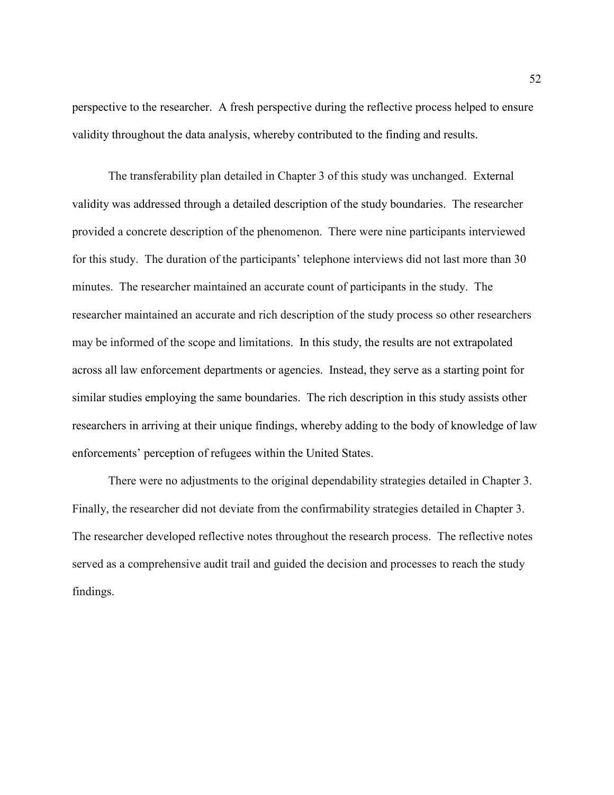perspective to the researcher. A fresh perspective during the reflective process helped to ensure validity throughout the data analysis, whereby contributed to the finding and results.

The transferability plan detailed in Chapter 3 of this study was unchanged. External validity was addressed through a detailed description of the study boundaries. The researcher provided a concrete description of the phenomenon. There were nine participants interviewed for this study. The duration of the participants' telephone interviews did not last more than 30 minutes. The researcher maintained an accurate count of participants in the study. The researcher maintained an accurate and rich description of the study process so other researchers may be informed of the scope and limitations. In this study, the results are not extrapolated across all law enforcement departments or agencies. Instead, they serve as a starting point for similar studies employing the same boundaries. The rich description in this study assists other researchers in arriving at their unique findings, whereby adding to the body of knowledge of law enforcements' perception of refugees within the United States.

There were no adjustments to the original dependability strategies detailed in Chapter 3. Finally, the researcher did not deviate from the confirmability strategies detailed in Chapter 3. The researcher developed reflective notes throughout the research process. The reflective notes served as a comprehensive audit trail and guided the decision and processes to reach the study findings.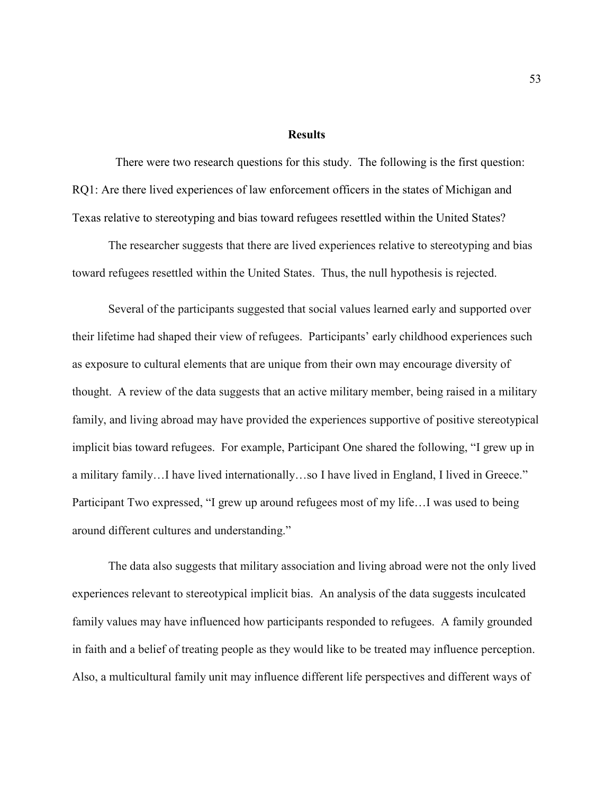## **Results**

There were two research questions for this study. The following is the first question: RQ1: Are there lived experiences of law enforcement officers in the states of Michigan and Texas relative to stereotyping and bias toward refugees resettled within the United States?

The researcher suggests that there are lived experiences relative to stereotyping and bias toward refugees resettled within the United States. Thus, the null hypothesis is rejected.

Several of the participants suggested that social values learned early and supported over their lifetime had shaped their view of refugees. Participants' early childhood experiences such as exposure to cultural elements that are unique from their own may encourage diversity of thought. A review of the data suggests that an active military member, being raised in a military family, and living abroad may have provided the experiences supportive of positive stereotypical implicit bias toward refugees. For example, Participant One shared the following, "I grew up in a military family…I have lived internationally…so I have lived in England, I lived in Greece." Participant Two expressed, "I grew up around refugees most of my life…I was used to being around different cultures and understanding."

The data also suggests that military association and living abroad were not the only lived experiences relevant to stereotypical implicit bias. An analysis of the data suggests inculcated family values may have influenced how participants responded to refugees. A family grounded in faith and a belief of treating people as they would like to be treated may influence perception. Also, a multicultural family unit may influence different life perspectives and different ways of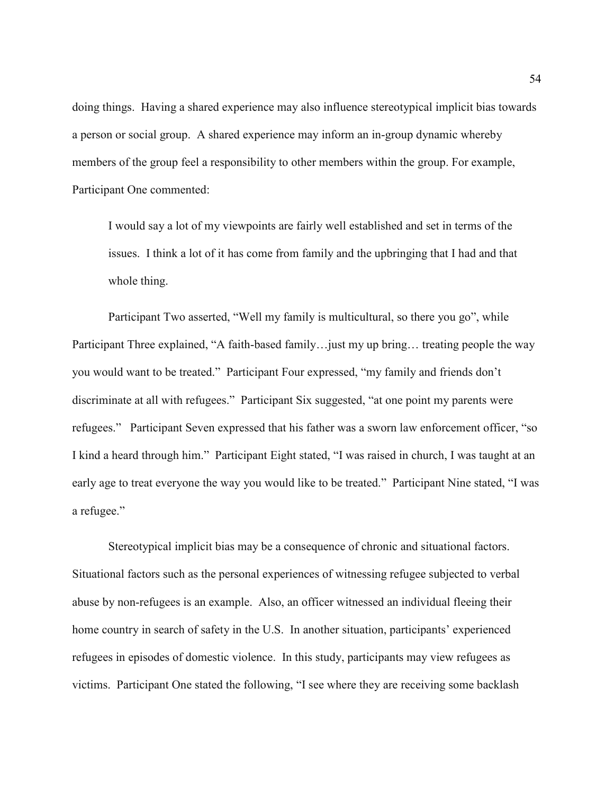doing things. Having a shared experience may also influence stereotypical implicit bias towards a person or social group. A shared experience may inform an in-group dynamic whereby members of the group feel a responsibility to other members within the group. For example, Participant One commented:

I would say a lot of my viewpoints are fairly well established and set in terms of the issues. I think a lot of it has come from family and the upbringing that I had and that whole thing.

Participant Two asserted, "Well my family is multicultural, so there you go", while Participant Three explained, "A faith-based family…just my up bring… treating people the way you would want to be treated." Participant Four expressed, "my family and friends don't discriminate at all with refugees." Participant Six suggested, "at one point my parents were refugees." Participant Seven expressed that his father was a sworn law enforcement officer, "so I kind a heard through him." Participant Eight stated, "I was raised in church, I was taught at an early age to treat everyone the way you would like to be treated." Participant Nine stated, "I was a refugee."

Stereotypical implicit bias may be a consequence of chronic and situational factors. Situational factors such as the personal experiences of witnessing refugee subjected to verbal abuse by non-refugees is an example. Also, an officer witnessed an individual fleeing their home country in search of safety in the U.S. In another situation, participants' experienced refugees in episodes of domestic violence. In this study, participants may view refugees as victims. Participant One stated the following, "I see where they are receiving some backlash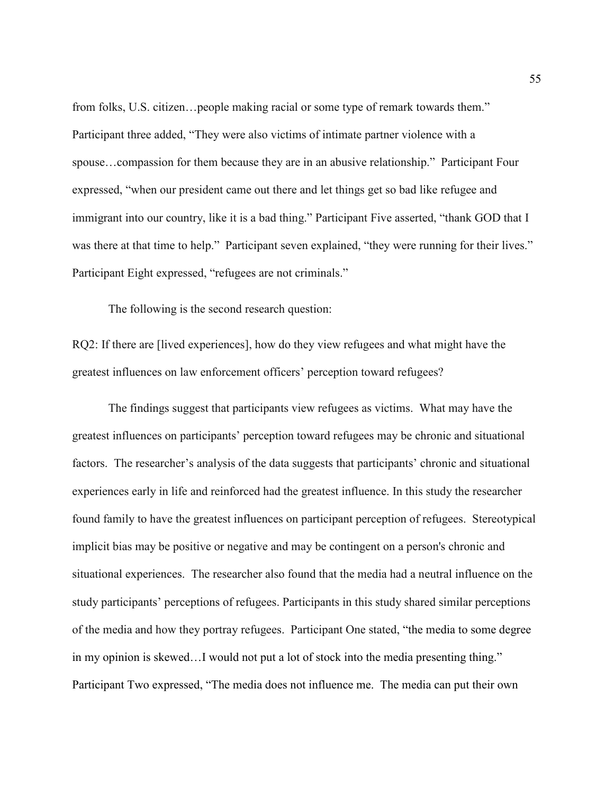from folks, U.S. citizen…people making racial or some type of remark towards them." Participant three added, "They were also victims of intimate partner violence with a spouse…compassion for them because they are in an abusive relationship." Participant Four expressed, "when our president came out there and let things get so bad like refugee and immigrant into our country, like it is a bad thing." Participant Five asserted, "thank GOD that I was there at that time to help." Participant seven explained, "they were running for their lives." Participant Eight expressed, "refugees are not criminals."

The following is the second research question:

RQ2: If there are [lived experiences], how do they view refugees and what might have the greatest influences on law enforcement officers' perception toward refugees?

The findings suggest that participants view refugees as victims. What may have the greatest influences on participants' perception toward refugees may be chronic and situational factors. The researcher's analysis of the data suggests that participants' chronic and situational experiences early in life and reinforced had the greatest influence. In this study the researcher found family to have the greatest influences on participant perception of refugees. Stereotypical implicit bias may be positive or negative and may be contingent on a person's chronic and situational experiences. The researcher also found that the media had a neutral influence on the study participants' perceptions of refugees. Participants in this study shared similar perceptions of the media and how they portray refugees. Participant One stated, "the media to some degree in my opinion is skewed…I would not put a lot of stock into the media presenting thing." Participant Two expressed, "The media does not influence me. The media can put their own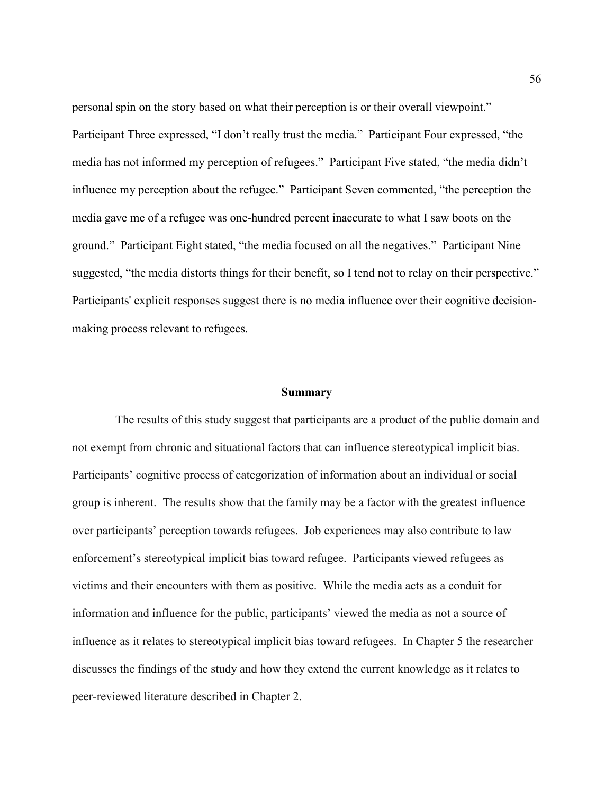personal spin on the story based on what their perception is or their overall viewpoint." Participant Three expressed, "I don't really trust the media." Participant Four expressed, "the media has not informed my perception of refugees." Participant Five stated, "the media didn't influence my perception about the refugee." Participant Seven commented, "the perception the media gave me of a refugee was one-hundred percent inaccurate to what I saw boots on the ground." Participant Eight stated, "the media focused on all the negatives." Participant Nine suggested, "the media distorts things for their benefit, so I tend not to relay on their perspective." Participants' explicit responses suggest there is no media influence over their cognitive decisionmaking process relevant to refugees.

#### **Summary**

The results of this study suggest that participants are a product of the public domain and not exempt from chronic and situational factors that can influence stereotypical implicit bias. Participants' cognitive process of categorization of information about an individual or social group is inherent. The results show that the family may be a factor with the greatest influence over participants' perception towards refugees. Job experiences may also contribute to law enforcement's stereotypical implicit bias toward refugee. Participants viewed refugees as victims and their encounters with them as positive. While the media acts as a conduit for information and influence for the public, participants' viewed the media as not a source of influence as it relates to stereotypical implicit bias toward refugees. In Chapter 5 the researcher discusses the findings of the study and how they extend the current knowledge as it relates to peer-reviewed literature described in Chapter 2.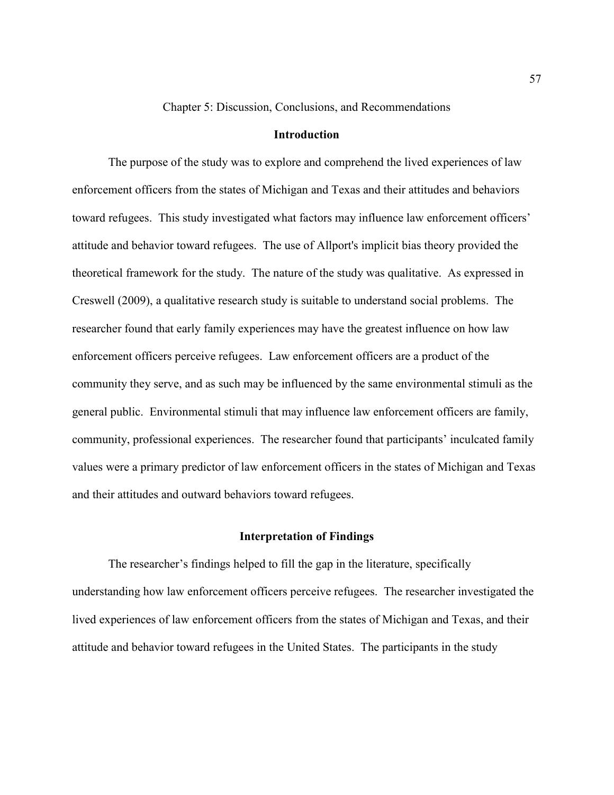Chapter 5: Discussion, Conclusions, and Recommendations

## **Introduction**

The purpose of the study was to explore and comprehend the lived experiences of law enforcement officers from the states of Michigan and Texas and their attitudes and behaviors toward refugees. This study investigated what factors may influence law enforcement officers' attitude and behavior toward refugees. The use of Allport's implicit bias theory provided the theoretical framework for the study. The nature of the study was qualitative. As expressed in Creswell (2009), a qualitative research study is suitable to understand social problems. The researcher found that early family experiences may have the greatest influence on how law enforcement officers perceive refugees. Law enforcement officers are a product of the community they serve, and as such may be influenced by the same environmental stimuli as the general public. Environmental stimuli that may influence law enforcement officers are family, community, professional experiences. The researcher found that participants' inculcated family values were a primary predictor of law enforcement officers in the states of Michigan and Texas and their attitudes and outward behaviors toward refugees.

## **Interpretation of Findings**

The researcher's findings helped to fill the gap in the literature, specifically understanding how law enforcement officers perceive refugees. The researcher investigated the lived experiences of law enforcement officers from the states of Michigan and Texas, and their attitude and behavior toward refugees in the United States. The participants in the study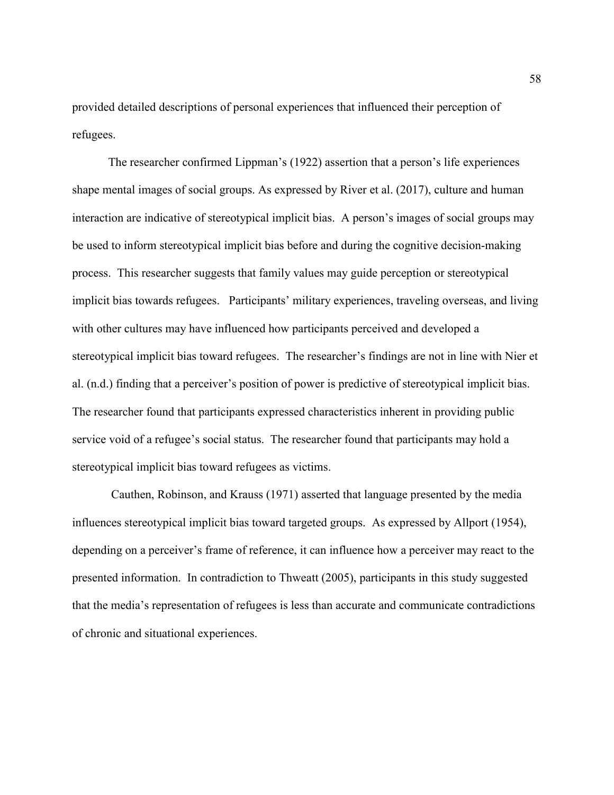provided detailed descriptions of personal experiences that influenced their perception of refugees.

The researcher confirmed Lippman's (1922) assertion that a person's life experiences shape mental images of social groups. As expressed by River et al. (2017), culture and human interaction are indicative of stereotypical implicit bias. A person's images of social groups may be used to inform stereotypical implicit bias before and during the cognitive decision-making process. This researcher suggests that family values may guide perception or stereotypical implicit bias towards refugees. Participants' military experiences, traveling overseas, and living with other cultures may have influenced how participants perceived and developed a stereotypical implicit bias toward refugees. The researcher's findings are not in line with Nier et al. (n.d.) finding that a perceiver's position of power is predictive of stereotypical implicit bias. The researcher found that participants expressed characteristics inherent in providing public service void of a refugee's social status. The researcher found that participants may hold a stereotypical implicit bias toward refugees as victims.

 Cauthen, Robinson, and Krauss (1971) asserted that language presented by the media influences stereotypical implicit bias toward targeted groups. As expressed by Allport (1954), depending on a perceiver's frame of reference, it can influence how a perceiver may react to the presented information. In contradiction to Thweatt (2005), participants in this study suggested that the media's representation of refugees is less than accurate and communicate contradictions of chronic and situational experiences.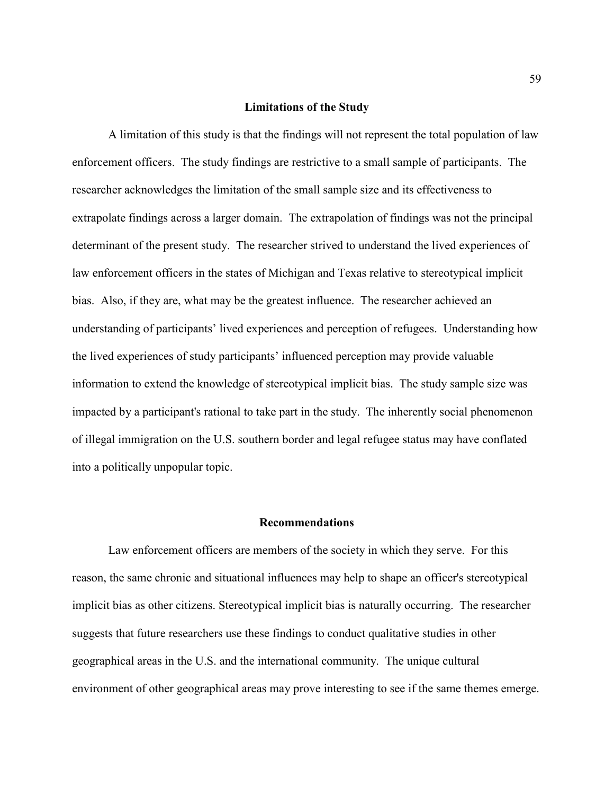## **Limitations of the Study**

A limitation of this study is that the findings will not represent the total population of law enforcement officers. The study findings are restrictive to a small sample of participants. The researcher acknowledges the limitation of the small sample size and its effectiveness to extrapolate findings across a larger domain. The extrapolation of findings was not the principal determinant of the present study. The researcher strived to understand the lived experiences of law enforcement officers in the states of Michigan and Texas relative to stereotypical implicit bias. Also, if they are, what may be the greatest influence. The researcher achieved an understanding of participants' lived experiences and perception of refugees. Understanding how the lived experiences of study participants' influenced perception may provide valuable information to extend the knowledge of stereotypical implicit bias. The study sample size was impacted by a participant's rational to take part in the study. The inherently social phenomenon of illegal immigration on the U.S. southern border and legal refugee status may have conflated into a politically unpopular topic.

#### **Recommendations**

Law enforcement officers are members of the society in which they serve. For this reason, the same chronic and situational influences may help to shape an officer's stereotypical implicit bias as other citizens. Stereotypical implicit bias is naturally occurring. The researcher suggests that future researchers use these findings to conduct qualitative studies in other geographical areas in the U.S. and the international community. The unique cultural environment of other geographical areas may prove interesting to see if the same themes emerge.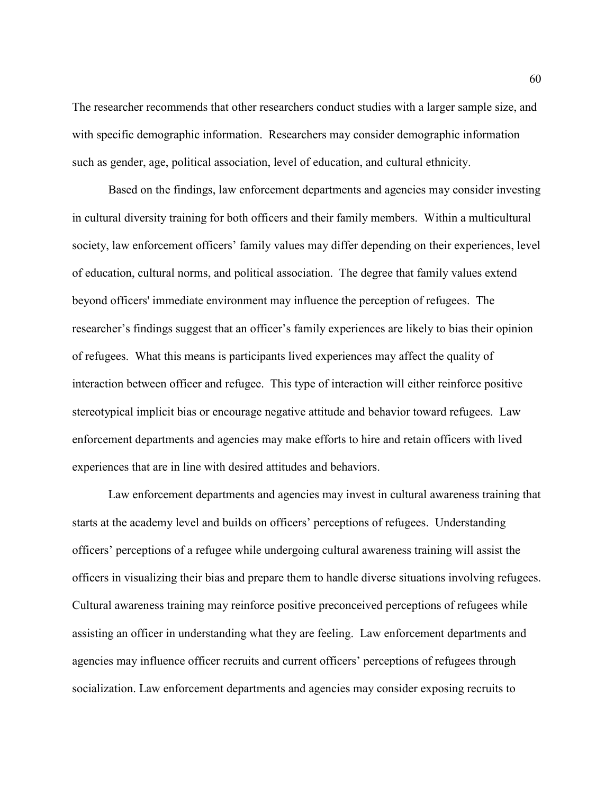The researcher recommends that other researchers conduct studies with a larger sample size, and with specific demographic information. Researchers may consider demographic information such as gender, age, political association, level of education, and cultural ethnicity.

Based on the findings, law enforcement departments and agencies may consider investing in cultural diversity training for both officers and their family members. Within a multicultural society, law enforcement officers' family values may differ depending on their experiences, level of education, cultural norms, and political association. The degree that family values extend beyond officers' immediate environment may influence the perception of refugees. The researcher's findings suggest that an officer's family experiences are likely to bias their opinion of refugees. What this means is participants lived experiences may affect the quality of interaction between officer and refugee. This type of interaction will either reinforce positive stereotypical implicit bias or encourage negative attitude and behavior toward refugees. Law enforcement departments and agencies may make efforts to hire and retain officers with lived experiences that are in line with desired attitudes and behaviors.

Law enforcement departments and agencies may invest in cultural awareness training that starts at the academy level and builds on officers' perceptions of refugees. Understanding officers' perceptions of a refugee while undergoing cultural awareness training will assist the officers in visualizing their bias and prepare them to handle diverse situations involving refugees. Cultural awareness training may reinforce positive preconceived perceptions of refugees while assisting an officer in understanding what they are feeling. Law enforcement departments and agencies may influence officer recruits and current officers' perceptions of refugees through socialization. Law enforcement departments and agencies may consider exposing recruits to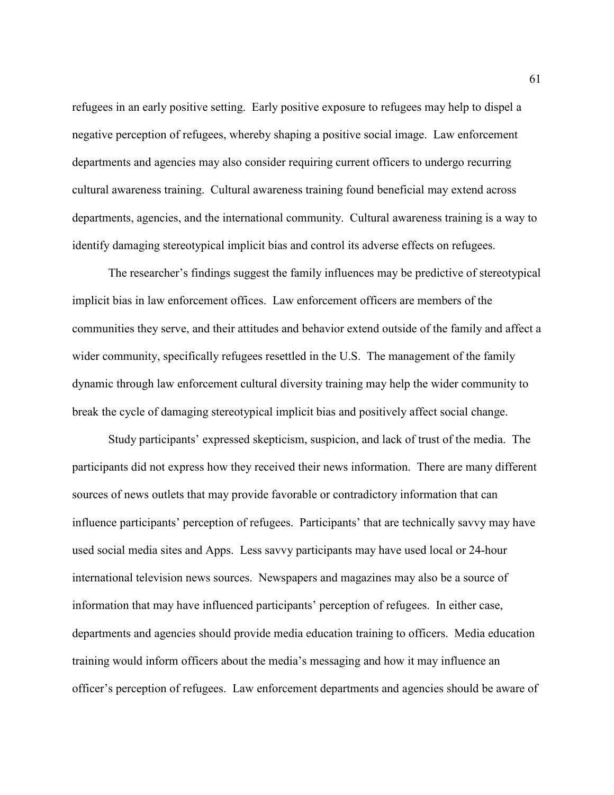refugees in an early positive setting. Early positive exposure to refugees may help to dispel a negative perception of refugees, whereby shaping a positive social image. Law enforcement departments and agencies may also consider requiring current officers to undergo recurring cultural awareness training. Cultural awareness training found beneficial may extend across departments, agencies, and the international community. Cultural awareness training is a way to identify damaging stereotypical implicit bias and control its adverse effects on refugees.

The researcher's findings suggest the family influences may be predictive of stereotypical implicit bias in law enforcement offices. Law enforcement officers are members of the communities they serve, and their attitudes and behavior extend outside of the family and affect a wider community, specifically refugees resettled in the U.S. The management of the family dynamic through law enforcement cultural diversity training may help the wider community to break the cycle of damaging stereotypical implicit bias and positively affect social change.

Study participants' expressed skepticism, suspicion, and lack of trust of the media. The participants did not express how they received their news information. There are many different sources of news outlets that may provide favorable or contradictory information that can influence participants' perception of refugees. Participants' that are technically savvy may have used social media sites and Apps. Less savvy participants may have used local or 24-hour international television news sources. Newspapers and magazines may also be a source of information that may have influenced participants' perception of refugees. In either case, departments and agencies should provide media education training to officers. Media education training would inform officers about the media's messaging and how it may influence an officer's perception of refugees. Law enforcement departments and agencies should be aware of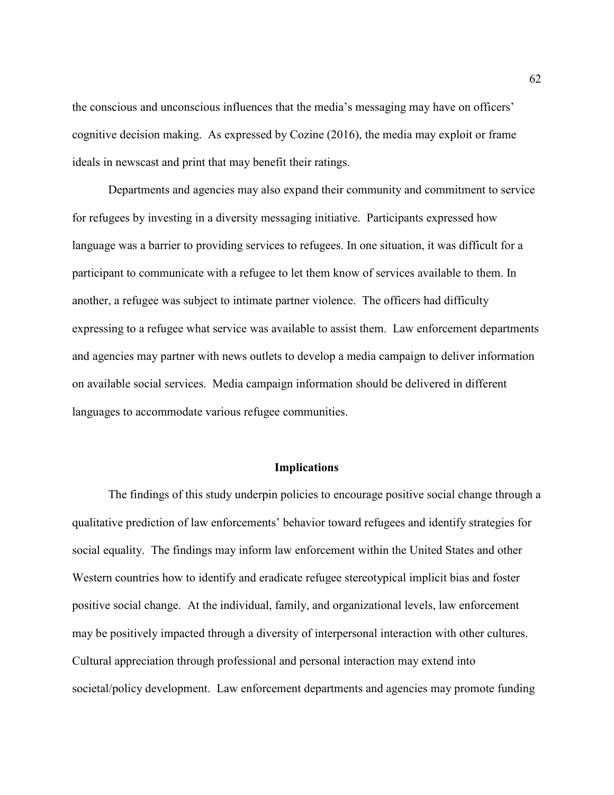the conscious and unconscious influences that the media's messaging may have on officers' cognitive decision making. As expressed by Cozine (2016), the media may exploit or frame ideals in newscast and print that may benefit their ratings.

Departments and agencies may also expand their community and commitment to service for refugees by investing in a diversity messaging initiative. Participants expressed how language was a barrier to providing services to refugees. In one situation, it was difficult for a participant to communicate with a refugee to let them know of services available to them. In another, a refugee was subject to intimate partner violence. The officers had difficulty expressing to a refugee what service was available to assist them. Law enforcement departments and agencies may partner with news outlets to develop a media campaign to deliver information on available social services. Media campaign information should be delivered in different languages to accommodate various refugee communities.

### **Implications**

The findings of this study underpin policies to encourage positive social change through a qualitative prediction of law enforcements' behavior toward refugees and identify strategies for social equality. The findings may inform law enforcement within the United States and other Western countries how to identify and eradicate refugee stereotypical implicit bias and foster positive social change. At the individual, family, and organizational levels, law enforcement may be positively impacted through a diversity of interpersonal interaction with other cultures. Cultural appreciation through professional and personal interaction may extend into societal/policy development. Law enforcement departments and agencies may promote funding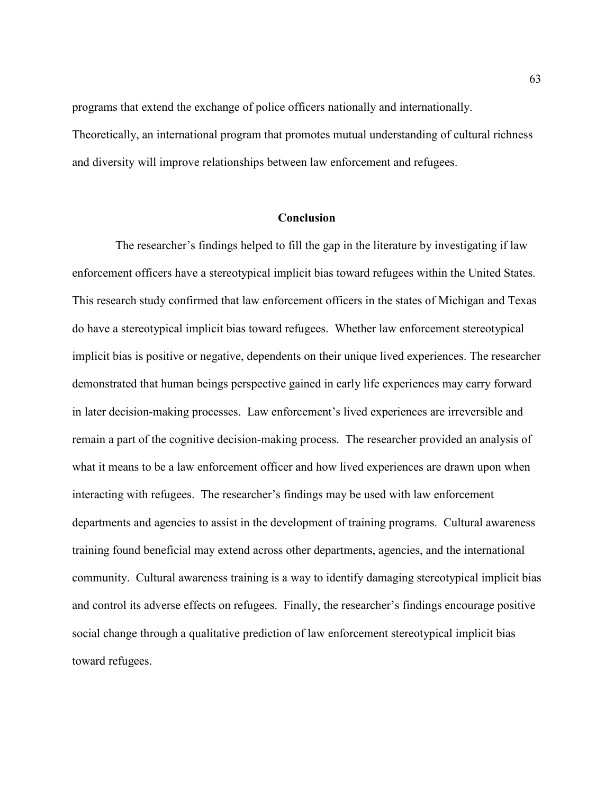programs that extend the exchange of police officers nationally and internationally.

Theoretically, an international program that promotes mutual understanding of cultural richness and diversity will improve relationships between law enforcement and refugees.

## **Conclusion**

The researcher's findings helped to fill the gap in the literature by investigating if law enforcement officers have a stereotypical implicit bias toward refugees within the United States. This research study confirmed that law enforcement officers in the states of Michigan and Texas do have a stereotypical implicit bias toward refugees. Whether law enforcement stereotypical implicit bias is positive or negative, dependents on their unique lived experiences. The researcher demonstrated that human beings perspective gained in early life experiences may carry forward in later decision-making processes. Law enforcement's lived experiences are irreversible and remain a part of the cognitive decision-making process. The researcher provided an analysis of what it means to be a law enforcement officer and how lived experiences are drawn upon when interacting with refugees. The researcher's findings may be used with law enforcement departments and agencies to assist in the development of training programs. Cultural awareness training found beneficial may extend across other departments, agencies, and the international community. Cultural awareness training is a way to identify damaging stereotypical implicit bias and control its adverse effects on refugees. Finally, the researcher's findings encourage positive social change through a qualitative prediction of law enforcement stereotypical implicit bias toward refugees.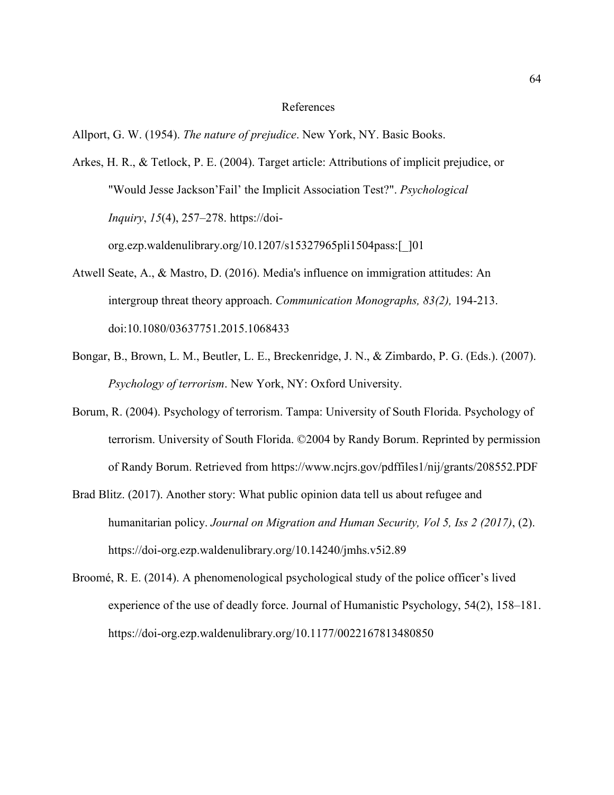#### References

Allport, G. W. (1954). *The nature of prejudice*. New York, NY. Basic Books.

Arkes, H. R., & Tetlock, P. E. (2004). Target article: Attributions of implicit prejudice, or "Would Jesse Jackson'Fail' the Implicit Association Test?". *Psychological Inquiry*, *15*(4), 257–278. https://doi-

org.ezp.waldenulibrary.org/10.1207/s15327965pli1504pass:[\_]01

- Atwell Seate, A., & Mastro, D. (2016). Media's influence on immigration attitudes: An intergroup threat theory approach. *Communication Monographs, 83(2),* 194-213. doi:10.1080/03637751.2015.1068433
- Bongar, B., Brown, L. M., Beutler, L. E., Breckenridge, J. N., & Zimbardo, P. G. (Eds.). (2007). *Psychology of terrorism*. New York, NY: Oxford University.
- Borum, R. (2004). Psychology of terrorism. Tampa: University of South Florida. Psychology of terrorism. University of South Florida. ©2004 by Randy Borum. Reprinted by permission of Randy Borum. Retrieved from https://www.ncjrs.gov/pdffiles1/nij/grants/208552.PDF
- Brad Blitz. (2017). Another story: What public opinion data tell us about refugee and humanitarian policy. *Journal on Migration and Human Security, Vol 5, Iss 2 (2017)*, (2). https://doi-org.ezp.waldenulibrary.org/10.14240/jmhs.v5i2.89
- Broomé, R. E. (2014). A phenomenological psychological study of the police officer's lived experience of the use of deadly force. Journal of Humanistic Psychology, 54(2), 158–181. https://doi-org.ezp.waldenulibrary.org/10.1177/0022167813480850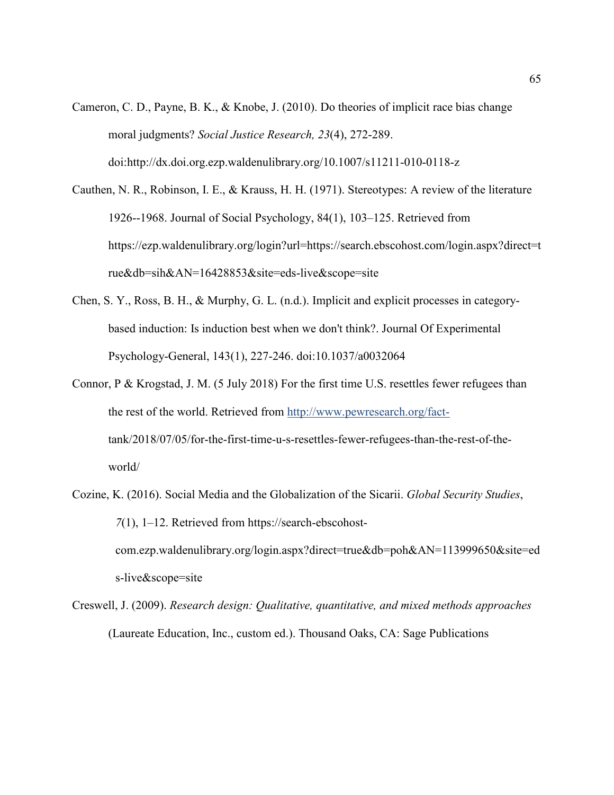Cameron, C. D., Payne, B. K., & Knobe, J. (2010). Do theories of implicit race bias change moral judgments? *Social Justice Research, 23*(4), 272-289. doi:http://dx.doi.org.ezp.waldenulibrary.org/10.1007/s11211-010-0118-z

Cauthen, N. R., Robinson, I. E., & Krauss, H. H. (1971). Stereotypes: A review of the literature 1926--1968. Journal of Social Psychology, 84(1), 103–125. Retrieved from https://ezp.waldenulibrary.org/login?url=https://search.ebscohost.com/login.aspx?direct=t rue&db=sih&AN=16428853&site=eds-live&scope=site

- Chen, S. Y., Ross, B. H., & Murphy, G. L. (n.d.). Implicit and explicit processes in categorybased induction: Is induction best when we don't think?. Journal Of Experimental Psychology-General, 143(1), 227-246. doi:10.1037/a0032064
- Connor, P & Krogstad, J. M. (5 July 2018) For the first time U.S. resettles fewer refugees than the rest of the world. Retrieved from http://www.pewresearch.org/facttank/2018/07/05/for-the-first-time-u-s-resettles-fewer-refugees-than-the-rest-of-theworld/
- Cozine, K. (2016). Social Media and the Globalization of the Sicarii. *Global Security Studies*, *7*(1), 1–12. Retrieved from https://search-ebscohostcom.ezp.waldenulibrary.org/login.aspx?direct=true&db=poh&AN=113999650&site=ed s-live&scope=site
- Creswell, J. (2009). *Research design: Qualitative, quantitative, and mixed methods approaches* (Laureate Education, Inc., custom ed.). Thousand Oaks, CA: Sage Publications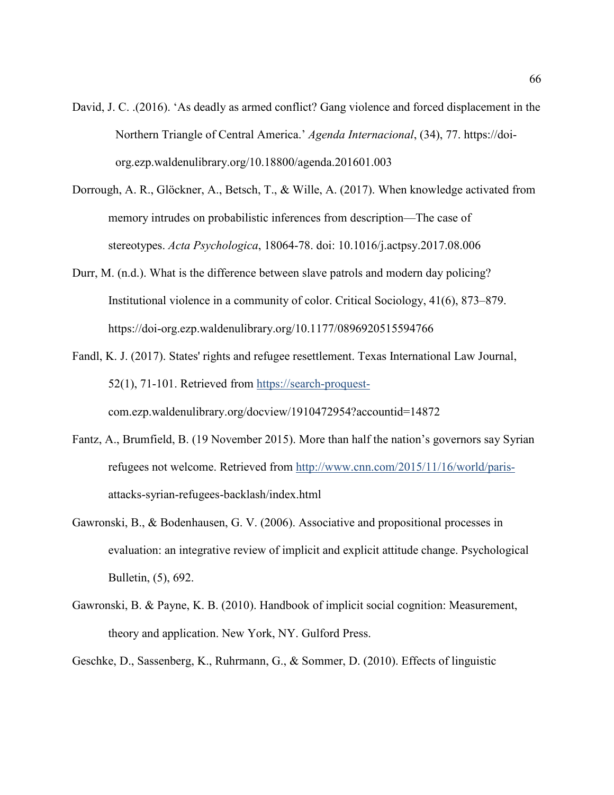- David, J. C. .(2016). 'As deadly as armed conflict? Gang violence and forced displacement in the Northern Triangle of Central America.' *Agenda Internacional*, (34), 77. https://doiorg.ezp.waldenulibrary.org/10.18800/agenda.201601.003
- Dorrough, A. R., Glöckner, A., Betsch, T., & Wille, A. (2017). When knowledge activated from memory intrudes on probabilistic inferences from description—The case of stereotypes. *Acta Psychologica*, 18064-78. doi: 10.1016/j.actpsy.2017.08.006
- Durr, M. (n.d.). What is the difference between slave patrols and modern day policing? Institutional violence in a community of color. Critical Sociology, 41(6), 873–879. https://doi-org.ezp.waldenulibrary.org/10.1177/0896920515594766
- Fandl, K. J. (2017). States' rights and refugee resettlement. Texas International Law Journal, 52(1), 71-101. Retrieved from https://search-proquestcom.ezp.waldenulibrary.org/docview/1910472954?accountid=14872
- Fantz, A., Brumfield, B. (19 November 2015). More than half the nation's governors say Syrian refugees not welcome. Retrieved from http://www.cnn.com/2015/11/16/world/parisattacks-syrian-refugees-backlash/index.html
- Gawronski, B., & Bodenhausen, G. V. (2006). Associative and propositional processes in evaluation: an integrative review of implicit and explicit attitude change. Psychological Bulletin, (5), 692.
- Gawronski, B. & Payne, K. B. (2010). Handbook of implicit social cognition: Measurement, theory and application. New York, NY. Gulford Press.
- Geschke, D., Sassenberg, K., Ruhrmann, G., & Sommer, D. (2010). Effects of linguistic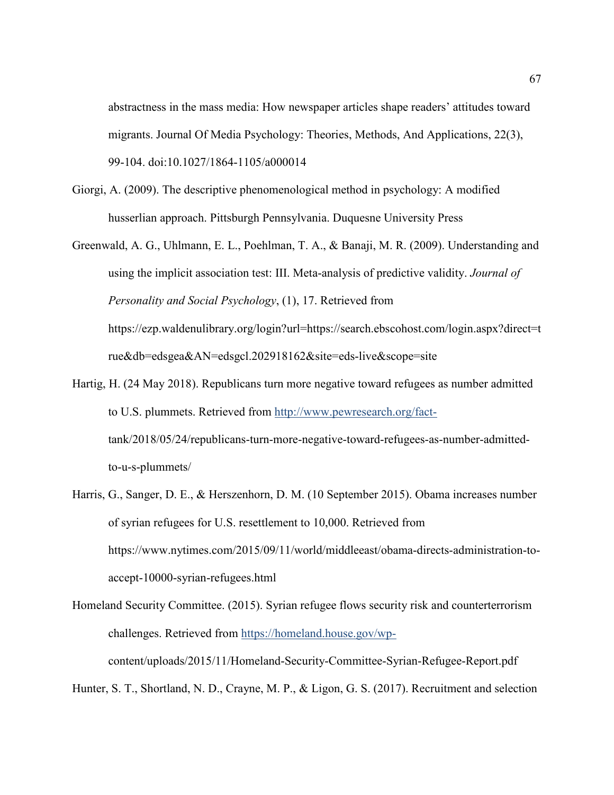abstractness in the mass media: How newspaper articles shape readers' attitudes toward migrants. Journal Of Media Psychology: Theories, Methods, And Applications, 22(3), 99-104. doi:10.1027/1864-1105/a000014

- Giorgi, A. (2009). The descriptive phenomenological method in psychology: A modified husserlian approach. Pittsburgh Pennsylvania. Duquesne University Press
- Greenwald, A. G., Uhlmann, E. L., Poehlman, T. A., & Banaji, M. R. (2009). Understanding and using the implicit association test: III. Meta-analysis of predictive validity. *Journal of Personality and Social Psychology*, (1), 17. Retrieved from https://ezp.waldenulibrary.org/login?url=https://search.ebscohost.com/login.aspx?direct=t rue&db=edsgea&AN=edsgcl.202918162&site=eds-live&scope=site
- Hartig, H. (24 May 2018). Republicans turn more negative toward refugees as number admitted to U.S. plummets. Retrieved from http://www.pewresearch.org/facttank/2018/05/24/republicans-turn-more-negative-toward-refugees-as-number-admittedto-u-s-plummets/
- Harris, G., Sanger, D. E., & Herszenhorn, D. M. (10 September 2015). Obama increases number of syrian refugees for U.S. resettlement to 10,000. Retrieved from https://www.nytimes.com/2015/09/11/world/middleeast/obama-directs-administration-toaccept-10000-syrian-refugees.html
- Homeland Security Committee. (2015). Syrian refugee flows security risk and counterterrorism challenges. Retrieved from https://homeland.house.gov/wpcontent/uploads/2015/11/Homeland-Security-Committee-Syrian-Refugee-Report.pdf

Hunter, S. T., Shortland, N. D., Crayne, M. P., & Ligon, G. S. (2017). Recruitment and selection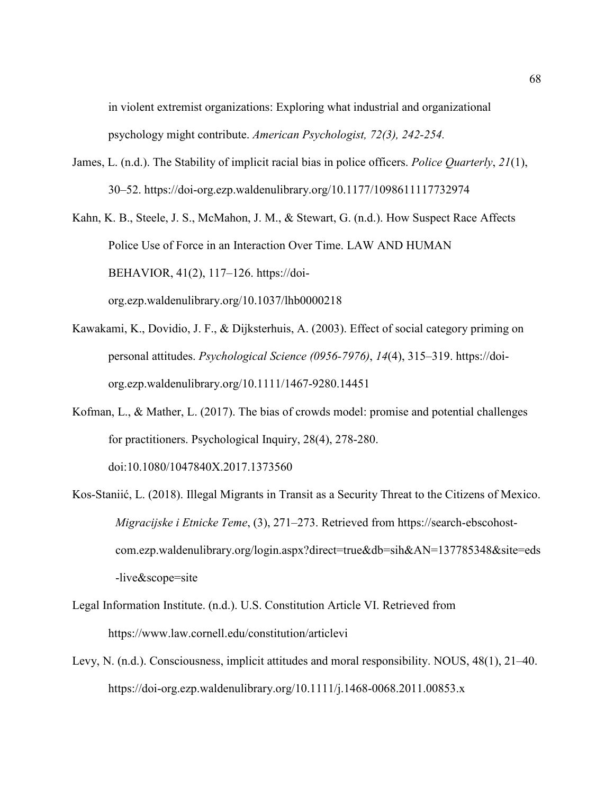in violent extremist organizations: Exploring what industrial and organizational psychology might contribute. *American Psychologist, 72(3), 242-254.* 

James, L. (n.d.). The Stability of implicit racial bias in police officers. *Police Quarterly*, *21*(1), 30–52. https://doi-org.ezp.waldenulibrary.org/10.1177/1098611117732974

Kahn, K. B., Steele, J. S., McMahon, J. M., & Stewart, G. (n.d.). How Suspect Race Affects Police Use of Force in an Interaction Over Time. LAW AND HUMAN BEHAVIOR, 41(2), 117–126. https://doiorg.ezp.waldenulibrary.org/10.1037/lhb0000218

- Kawakami, K., Dovidio, J. F., & Dijksterhuis, A. (2003). Effect of social category priming on personal attitudes. *Psychological Science (0956-7976)*, *14*(4), 315–319. https://doiorg.ezp.waldenulibrary.org/10.1111/1467-9280.14451
- Kofman, L., & Mather, L. (2017). The bias of crowds model: promise and potential challenges for practitioners. Psychological Inquiry, 28(4), 278-280. doi:10.1080/1047840X.2017.1373560
- Kos-Staniić, L. (2018). Illegal Migrants in Transit as a Security Threat to the Citizens of Mexico. *Migracijske i Etnicke Teme*, (3), 271–273. Retrieved from https://search-ebscohostcom.ezp.waldenulibrary.org/login.aspx?direct=true&db=sih&AN=137785348&site=eds -live&scope=site
- Legal Information Institute. (n.d.). U.S. Constitution Article VI. Retrieved from https://www.law.cornell.edu/constitution/articlevi
- Levy, N. (n.d.). Consciousness, implicit attitudes and moral responsibility. NOUS, 48(1), 21–40. https://doi-org.ezp.waldenulibrary.org/10.1111/j.1468-0068.2011.00853.x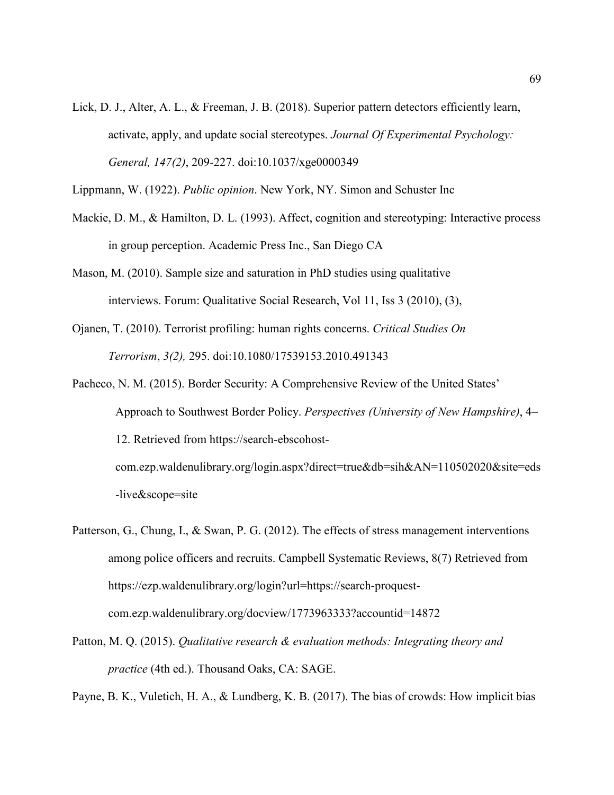Lick, D. J., Alter, A. L., & Freeman, J. B. (2018). Superior pattern detectors efficiently learn, activate, apply, and update social stereotypes. *Journal Of Experimental Psychology: General, 147(2)*, 209-227. doi:10.1037/xge0000349

Lippmann, W. (1922). *Public opinion*. New York, NY. Simon and Schuster Inc

- Mackie, D. M., & Hamilton, D. L. (1993). Affect, cognition and stereotyping: Interactive process in group perception. Academic Press Inc., San Diego CA
- Mason, M. (2010). Sample size and saturation in PhD studies using qualitative interviews. Forum: Qualitative Social Research, Vol 11, Iss 3 (2010), (3),
- Ojanen, T. (2010). Terrorist profiling: human rights concerns. *Critical Studies On Terrorism*, *3(2),* 295. doi:10.1080/17539153.2010.491343
- Pacheco, N. M. (2015). Border Security: A Comprehensive Review of the United States' Approach to Southwest Border Policy. *Perspectives (University of New Hampshire)*, 4– 12. Retrieved from https://search-ebscohostcom.ezp.waldenulibrary.org/login.aspx?direct=true&db=sih&AN=110502020&site=eds -live&scope=site
- Patterson, G., Chung, I., & Swan, P. G. (2012). The effects of stress management interventions among police officers and recruits. Campbell Systematic Reviews, 8(7) Retrieved from https://ezp.waldenulibrary.org/login?url=https://search-proquestcom.ezp.waldenulibrary.org/docview/1773963333?accountid=14872
- Patton, M. Q. (2015). *Qualitative research & evaluation methods: Integrating theory and practice* (4th ed.). Thousand Oaks, CA: SAGE.

Payne, B. K., Vuletich, H. A., & Lundberg, K. B. (2017). The bias of crowds: How implicit bias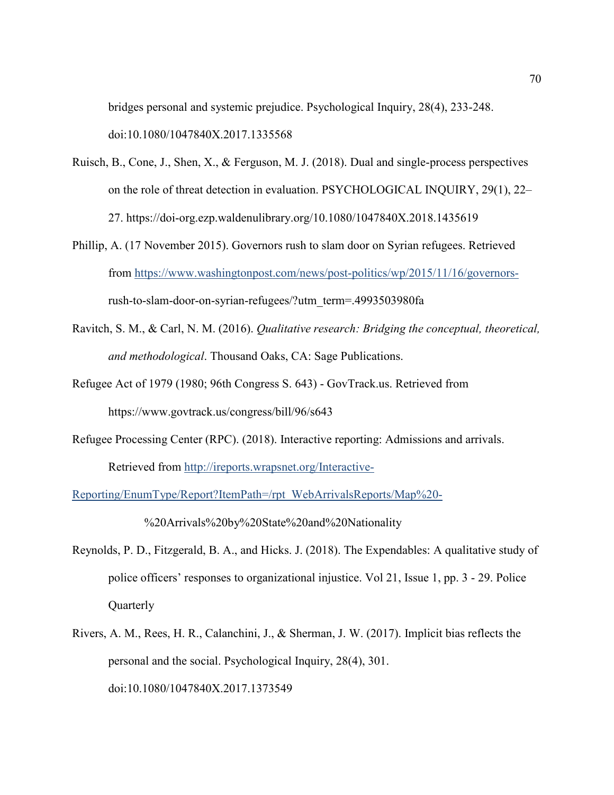bridges personal and systemic prejudice. Psychological Inquiry, 28(4), 233-248. doi:10.1080/1047840X.2017.1335568

- Ruisch, B., Cone, J., Shen, X., & Ferguson, M. J. (2018). Dual and single-process perspectives on the role of threat detection in evaluation. PSYCHOLOGICAL INQUIRY, 29(1), 22– 27. https://doi-org.ezp.waldenulibrary.org/10.1080/1047840X.2018.1435619
- Phillip, A. (17 November 2015). Governors rush to slam door on Syrian refugees. Retrieved from https://www.washingtonpost.com/news/post-politics/wp/2015/11/16/governorsrush-to-slam-door-on-syrian-refugees/?utm\_term=.4993503980fa
- Ravitch, S. M., & Carl, N. M. (2016). *Qualitative research: Bridging the conceptual, theoretical, and methodological*. Thousand Oaks, CA: Sage Publications.
- Refugee Act of 1979 (1980; 96th Congress S. 643) GovTrack.us. Retrieved from https://www.govtrack.us/congress/bill/96/s643
- Refugee Processing Center (RPC). (2018). Interactive reporting: Admissions and arrivals. Retrieved from http://ireports.wrapsnet.org/Interactive-

Reporting/EnumType/Report?ItemPath=/rpt\_WebArrivalsReports/Map%20-

%20Arrivals%20by%20State%20and%20Nationality

- Reynolds, P. D., Fitzgerald, B. A., and Hicks. J. (2018). The Expendables: A qualitative study of police officers' responses to organizational injustice. Vol 21, Issue 1, pp. 3 - 29. Police **Quarterly**
- Rivers, A. M., Rees, H. R., Calanchini, J., & Sherman, J. W. (2017). Implicit bias reflects the personal and the social. Psychological Inquiry, 28(4), 301. doi:10.1080/1047840X.2017.1373549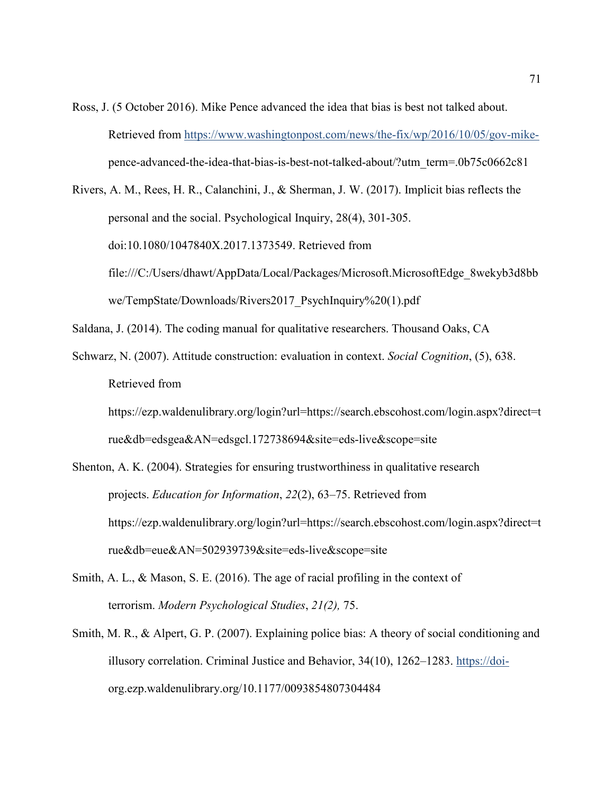Ross, J. (5 October 2016). Mike Pence advanced the idea that bias is best not talked about. Retrieved from https://www.washingtonpost.com/news/the-fix/wp/2016/10/05/gov-mikepence-advanced-the-idea-that-bias-is-best-not-talked-about/?utm\_term=.0b75c0662c81

Rivers, A. M., Rees, H. R., Calanchini, J., & Sherman, J. W. (2017). Implicit bias reflects the personal and the social. Psychological Inquiry, 28(4), 301-305. doi:10.1080/1047840X.2017.1373549. Retrieved from file:///C:/Users/dhawt/AppData/Local/Packages/Microsoft.MicrosoftEdge\_8wekyb3d8bb we/TempState/Downloads/Rivers2017\_PsychInquiry%20(1).pdf

Saldana, J. (2014). The coding manual for qualitative researchers. Thousand Oaks, CA

Schwarz, N. (2007). Attitude construction: evaluation in context. *Social Cognition*, (5), 638. Retrieved from

https://ezp.waldenulibrary.org/login?url=https://search.ebscohost.com/login.aspx?direct=t rue&db=edsgea&AN=edsgcl.172738694&site=eds-live&scope=site

- Shenton, A. K. (2004). Strategies for ensuring trustworthiness in qualitative research projects. *Education for Information*, *22*(2), 63–75. Retrieved from https://ezp.waldenulibrary.org/login?url=https://search.ebscohost.com/login.aspx?direct=t rue&db=eue&AN=502939739&site=eds-live&scope=site
- Smith, A. L., & Mason, S. E. (2016). The age of racial profiling in the context of terrorism. *Modern Psychological Studies*, *21(2),* 75.
- Smith, M. R., & Alpert, G. P. (2007). Explaining police bias: A theory of social conditioning and illusory correlation. Criminal Justice and Behavior, 34(10), 1262–1283. https://doiorg.ezp.waldenulibrary.org/10.1177/0093854807304484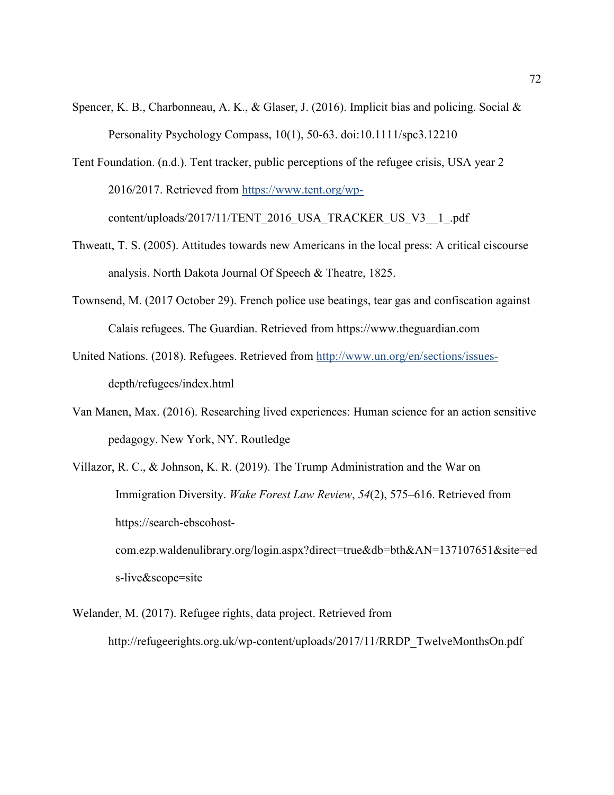- Spencer, K. B., Charbonneau, A. K., & Glaser, J. (2016). Implicit bias and policing. Social & Personality Psychology Compass, 10(1), 50-63. doi:10.1111/spc3.12210
- Tent Foundation. (n.d.). Tent tracker, public perceptions of the refugee crisis, USA year 2 2016/2017. Retrieved from https://www.tent.org/wpcontent/uploads/2017/11/TENT\_2016\_USA\_TRACKER\_US\_V3\_\_1\_.pdf
- Thweatt, T. S. (2005). Attitudes towards new Americans in the local press: A critical ciscourse analysis. North Dakota Journal Of Speech & Theatre, 1825.
- Townsend, M. (2017 October 29). French police use beatings, tear gas and confiscation against Calais refugees. The Guardian. Retrieved from https://www.theguardian.com
- United Nations. (2018). Refugees. Retrieved from http://www.un.org/en/sections/issuesdepth/refugees/index.html
- Van Manen, Max. (2016). Researching lived experiences: Human science for an action sensitive pedagogy. New York, NY. Routledge
- Villazor, R. C., & Johnson, K. R. (2019). The Trump Administration and the War on Immigration Diversity. *Wake Forest Law Review*, *54*(2), 575–616. Retrieved from https://search-ebscohostcom.ezp.waldenulibrary.org/login.aspx?direct=true&db=bth&AN=137107651&site=ed s-live&scope=site
- Welander, M. (2017). Refugee rights, data project. Retrieved from http://refugeerights.org.uk/wp-content/uploads/2017/11/RRDP\_TwelveMonthsOn.pdf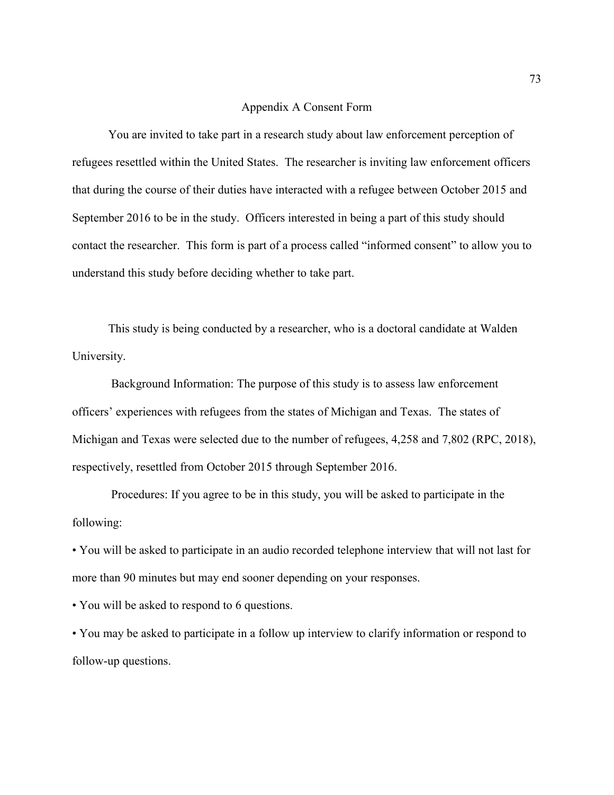## Appendix A Consent Form

You are invited to take part in a research study about law enforcement perception of refugees resettled within the United States. The researcher is inviting law enforcement officers that during the course of their duties have interacted with a refugee between October 2015 and September 2016 to be in the study. Officers interested in being a part of this study should contact the researcher. This form is part of a process called "informed consent" to allow you to understand this study before deciding whether to take part.

This study is being conducted by a researcher, who is a doctoral candidate at Walden University.

 Background Information: The purpose of this study is to assess law enforcement officers' experiences with refugees from the states of Michigan and Texas. The states of Michigan and Texas were selected due to the number of refugees, 4,258 and 7,802 (RPC, 2018), respectively, resettled from October 2015 through September 2016.

 Procedures: If you agree to be in this study, you will be asked to participate in the following:

• You will be asked to participate in an audio recorded telephone interview that will not last for more than 90 minutes but may end sooner depending on your responses.

• You will be asked to respond to 6 questions.

• You may be asked to participate in a follow up interview to clarify information or respond to follow-up questions.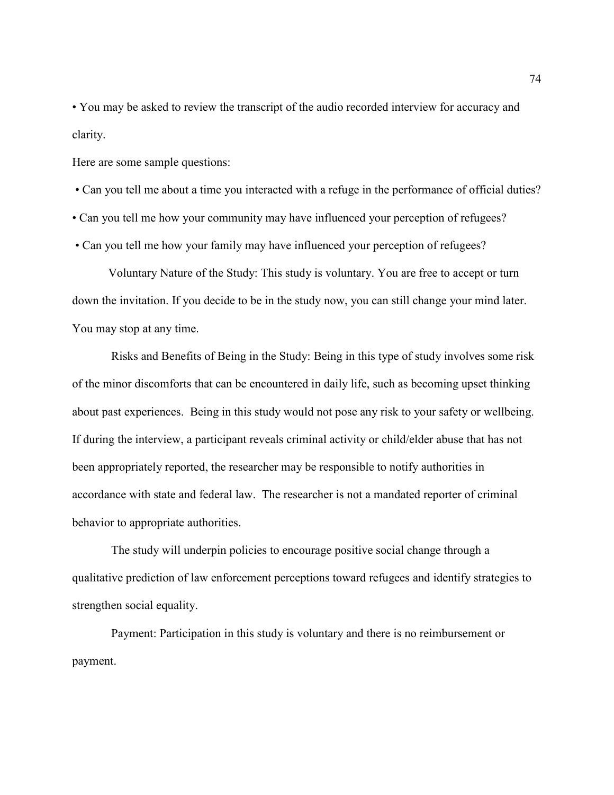• You may be asked to review the transcript of the audio recorded interview for accuracy and clarity.

Here are some sample questions:

• Can you tell me about a time you interacted with a refuge in the performance of official duties?

• Can you tell me how your community may have influenced your perception of refugees?

• Can you tell me how your family may have influenced your perception of refugees?

Voluntary Nature of the Study: This study is voluntary. You are free to accept or turn down the invitation. If you decide to be in the study now, you can still change your mind later. You may stop at any time.

 Risks and Benefits of Being in the Study: Being in this type of study involves some risk of the minor discomforts that can be encountered in daily life, such as becoming upset thinking about past experiences. Being in this study would not pose any risk to your safety or wellbeing. If during the interview, a participant reveals criminal activity or child/elder abuse that has not been appropriately reported, the researcher may be responsible to notify authorities in accordance with state and federal law. The researcher is not a mandated reporter of criminal behavior to appropriate authorities.

 The study will underpin policies to encourage positive social change through a qualitative prediction of law enforcement perceptions toward refugees and identify strategies to strengthen social equality.

 Payment: Participation in this study is voluntary and there is no reimbursement or payment.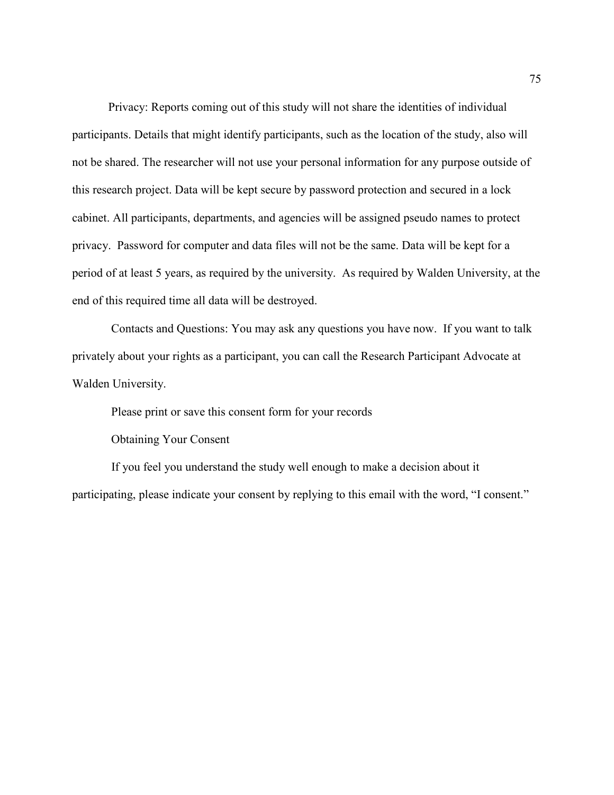Privacy: Reports coming out of this study will not share the identities of individual participants. Details that might identify participants, such as the location of the study, also will not be shared. The researcher will not use your personal information for any purpose outside of this research project. Data will be kept secure by password protection and secured in a lock cabinet. All participants, departments, and agencies will be assigned pseudo names to protect privacy. Password for computer and data files will not be the same. Data will be kept for a period of at least 5 years, as required by the university. As required by Walden University, at the end of this required time all data will be destroyed.

 Contacts and Questions: You may ask any questions you have now. If you want to talk privately about your rights as a participant, you can call the Research Participant Advocate at Walden University.

Please print or save this consent form for your records

Obtaining Your Consent

 If you feel you understand the study well enough to make a decision about it participating, please indicate your consent by replying to this email with the word, "I consent."